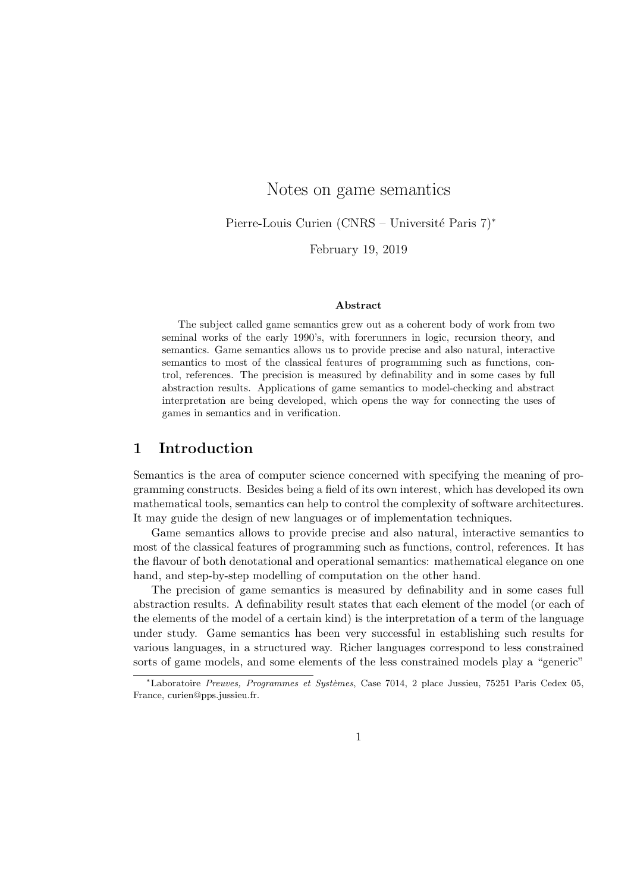# Notes on game semantics

Pierre-Louis Curien (CNRS – Université Paris 7)<sup>∗</sup>

February 19, 2019

#### Abstract

The subject called game semantics grew out as a coherent body of work from two seminal works of the early 1990's, with forerunners in logic, recursion theory, and semantics. Game semantics allows us to provide precise and also natural, interactive semantics to most of the classical features of programming such as functions, control, references. The precision is measured by definability and in some cases by full abstraction results. Applications of game semantics to model-checking and abstract interpretation are being developed, which opens the way for connecting the uses of games in semantics and in verification.

### 1 Introduction

Semantics is the area of computer science concerned with specifying the meaning of programming constructs. Besides being a field of its own interest, which has developed its own mathematical tools, semantics can help to control the complexity of software architectures. It may guide the design of new languages or of implementation techniques.

Game semantics allows to provide precise and also natural, interactive semantics to most of the classical features of programming such as functions, control, references. It has the flavour of both denotational and operational semantics: mathematical elegance on one hand, and step-by-step modelling of computation on the other hand.

The precision of game semantics is measured by definability and in some cases full abstraction results. A definability result states that each element of the model (or each of the elements of the model of a certain kind) is the interpretation of a term of the language under study. Game semantics has been very successful in establishing such results for various languages, in a structured way. Richer languages correspond to less constrained sorts of game models, and some elements of the less constrained models play a "generic"

<sup>\*</sup>Laboratoire Preuves, Programmes et Systèmes, Case 7014, 2 place Jussieu, 75251 Paris Cedex 05, France, curien@pps.jussieu.fr.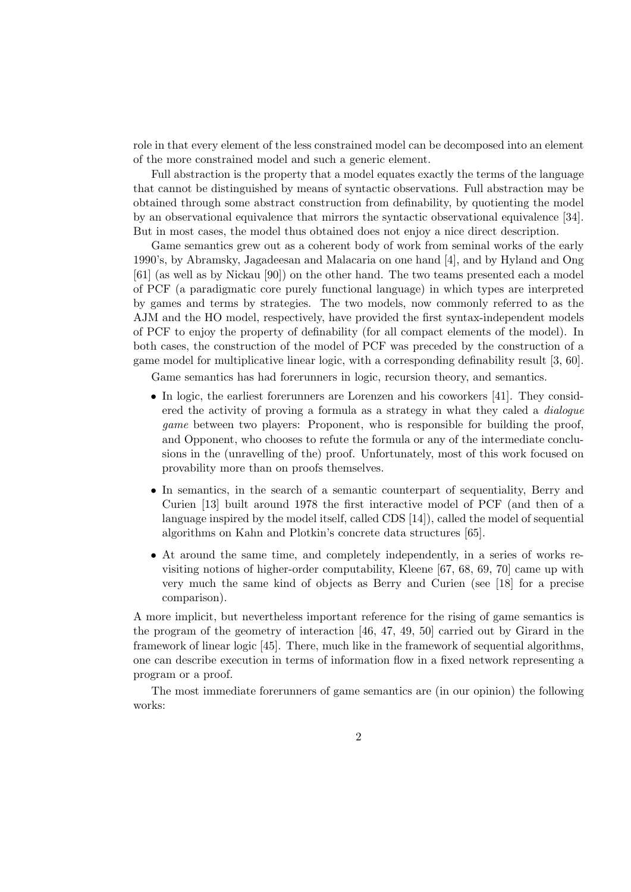role in that every element of the less constrained model can be decomposed into an element of the more constrained model and such a generic element.

Full abstraction is the property that a model equates exactly the terms of the language that cannot be distinguished by means of syntactic observations. Full abstraction may be obtained through some abstract construction from definability, by quotienting the model by an observational equivalence that mirrors the syntactic observational equivalence [34]. But in most cases, the model thus obtained does not enjoy a nice direct description.

Game semantics grew out as a coherent body of work from seminal works of the early 1990's, by Abramsky, Jagadeesan and Malacaria on one hand [4], and by Hyland and Ong [61] (as well as by Nickau [90]) on the other hand. The two teams presented each a model of PCF (a paradigmatic core purely functional language) in which types are interpreted by games and terms by strategies. The two models, now commonly referred to as the AJM and the HO model, respectively, have provided the first syntax-independent models of PCF to enjoy the property of definability (for all compact elements of the model). In both cases, the construction of the model of PCF was preceded by the construction of a game model for multiplicative linear logic, with a corresponding definability result [3, 60].

Game semantics has had forerunners in logic, recursion theory, and semantics.

- In logic, the earliest forerunners are Lorenzen and his coworkers [41]. They considered the activity of proving a formula as a strategy in what they caled a dialogue *game* between two players: Proponent, who is responsible for building the proof, and Opponent, who chooses to refute the formula or any of the intermediate conclusions in the (unravelling of the) proof. Unfortunately, most of this work focused on provability more than on proofs themselves.
- In semantics, in the search of a semantic counterpart of sequentiality, Berry and Curien [13] built around 1978 the first interactive model of PCF (and then of a language inspired by the model itself, called CDS [14]), called the model of sequential algorithms on Kahn and Plotkin's concrete data structures [65].
- At around the same time, and completely independently, in a series of works revisiting notions of higher-order computability, Kleene [67, 68, 69, 70] came up with very much the same kind of objects as Berry and Curien (see [18] for a precise comparison).

A more implicit, but nevertheless important reference for the rising of game semantics is the program of the geometry of interaction [46, 47, 49, 50] carried out by Girard in the framework of linear logic [45]. There, much like in the framework of sequential algorithms, one can describe execution in terms of information flow in a fixed network representing a program or a proof.

The most immediate forerunners of game semantics are (in our opinion) the following works: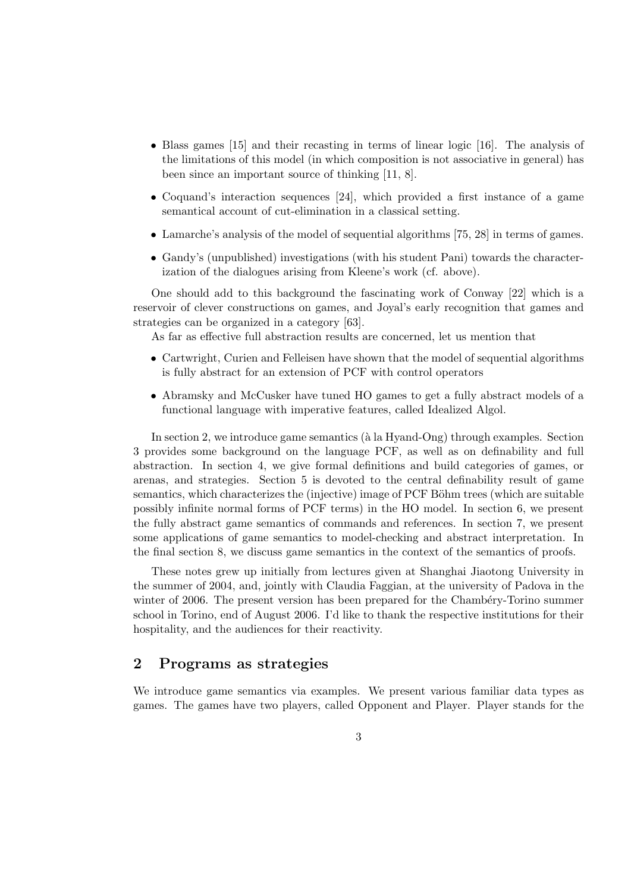- Blass games [15] and their recasting in terms of linear logic [16]. The analysis of the limitations of this model (in which composition is not associative in general) has been since an important source of thinking [11, 8].
- Coquand's interaction sequences [24], which provided a first instance of a game semantical account of cut-elimination in a classical setting.
- Lamarche's analysis of the model of sequential algorithms [75, 28] in terms of games.
- Gandy's (unpublished) investigations (with his student Pani) towards the characterization of the dialogues arising from Kleene's work (cf. above).

One should add to this background the fascinating work of Conway [22] which is a reservoir of clever constructions on games, and Joyal's early recognition that games and strategies can be organized in a category [63].

As far as effective full abstraction results are concerned, let us mention that

- Cartwright, Curien and Felleisen have shown that the model of sequential algorithms is fully abstract for an extension of PCF with control operators
- Abramsky and McCusker have tuned HO games to get a fully abstract models of a functional language with imperative features, called Idealized Algol.

In section 2, we introduce game semantics ( $\hat{a}$  la Hyand-Ong) through examples. Section 3 provides some background on the language PCF, as well as on definability and full abstraction. In section 4, we give formal definitions and build categories of games, or arenas, and strategies. Section 5 is devoted to the central definability result of game semantics, which characterizes the (injective) image of PCF Böhm trees (which are suitable possibly infinite normal forms of PCF terms) in the HO model. In section 6, we present the fully abstract game semantics of commands and references. In section 7, we present some applications of game semantics to model-checking and abstract interpretation. In the final section 8, we discuss game semantics in the context of the semantics of proofs.

These notes grew up initially from lectures given at Shanghai Jiaotong University in the summer of 2004, and, jointly with Claudia Faggian, at the university of Padova in the winter of 2006. The present version has been prepared for the Chambéry-Torino summer school in Torino, end of August 2006. I'd like to thank the respective institutions for their hospitality, and the audiences for their reactivity.

#### 2 Programs as strategies

We introduce game semantics via examples. We present various familiar data types as games. The games have two players, called Opponent and Player. Player stands for the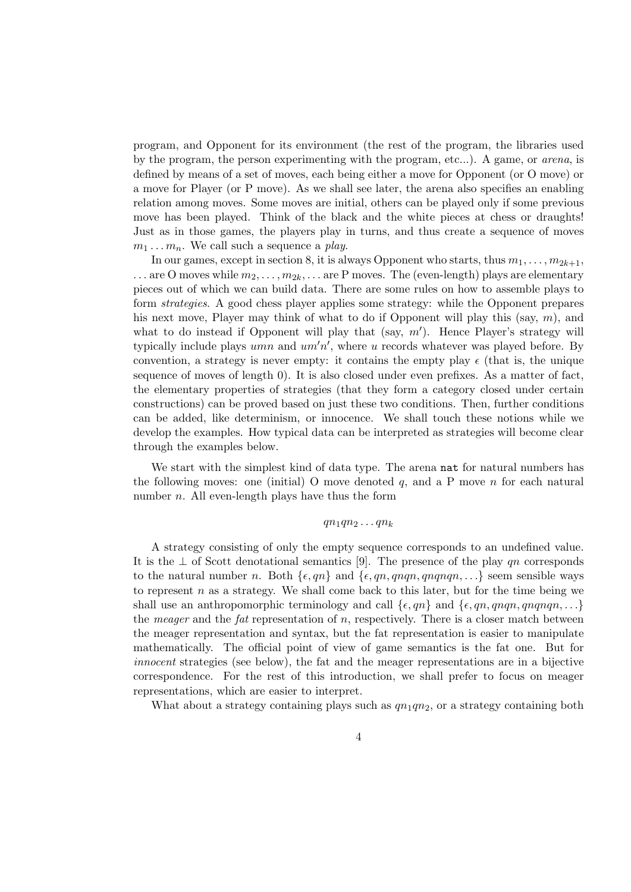program, and Opponent for its environment (the rest of the program, the libraries used by the program, the person experimenting with the program, etc...). A game, or arena, is defined by means of a set of moves, each being either a move for Opponent (or O move) or a move for Player (or P move). As we shall see later, the arena also specifies an enabling relation among moves. Some moves are initial, others can be played only if some previous move has been played. Think of the black and the white pieces at chess or draughts! Just as in those games, the players play in turns, and thus create a sequence of moves  $m_1 \ldots m_n$ . We call such a sequence a play.

In our games, except in section 8, it is always Opponent who starts, thus  $m_1, \ldots, m_{2k+1}$ ,  $\ldots$  are O moves while  $m_2, \ldots, m_{2k}, \ldots$  are P moves. The (even-length) plays are elementary pieces out of which we can build data. There are some rules on how to assemble plays to form strategies. A good chess player applies some strategy: while the Opponent prepares his next move, Player may think of what to do if Opponent will play this (say,  $m$ ), and what to do instead if Opponent will play that (say,  $m'$ ). Hence Player's strategy will typically include plays  $umn$  and  $um'n'$ , where u records whatever was played before. By convention, a strategy is never empty: it contains the empty play  $\epsilon$  (that is, the unique sequence of moves of length 0). It is also closed under even prefixes. As a matter of fact, the elementary properties of strategies (that they form a category closed under certain constructions) can be proved based on just these two conditions. Then, further conditions can be added, like determinism, or innocence. We shall touch these notions while we develop the examples. How typical data can be interpreted as strategies will become clear through the examples below.

We start with the simplest kind of data type. The arena nat for natural numbers has the following moves: one (initial) O move denoted  $q$ , and a P move  $n$  for each natural number *n*. All even-length plays have thus the form

#### $qn_1qn_2\ldots qn_k$

A strategy consisting of only the empty sequence corresponds to an undefined value. It is the  $\perp$  of Scott denotational semantics [9]. The presence of the play qn corresponds to the natural number n. Both  $\{\epsilon, qn\}$  and  $\{\epsilon, qn, qnqn, qnqnqn, \ldots\}$  seem sensible ways to represent  $n$  as a strategy. We shall come back to this later, but for the time being we shall use an anthropomorphic terminology and call  $\{\epsilon, qn\}$  and  $\{\epsilon, qn, qnqn, qnqn, \ldots\}$ the *meager* and the *fat* representation of  $n$ , respectively. There is a closer match between the meager representation and syntax, but the fat representation is easier to manipulate mathematically. The official point of view of game semantics is the fat one. But for innocent strategies (see below), the fat and the meager representations are in a bijective correspondence. For the rest of this introduction, we shall prefer to focus on meager representations, which are easier to interpret.

What about a strategy containing plays such as  $qn_1qn_2$ , or a strategy containing both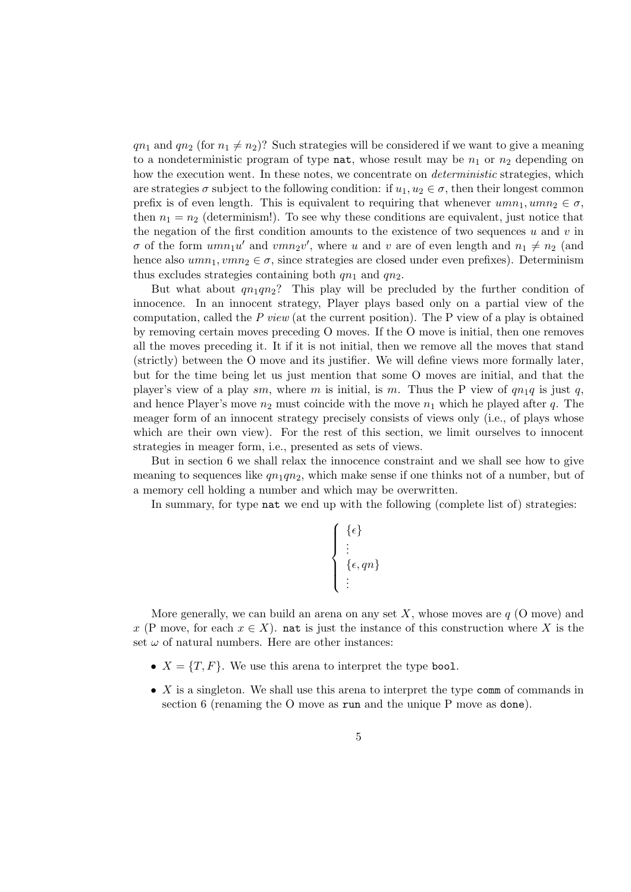$qn_1$  and  $qn_2$  (for  $n_1 \neq n_2$ )? Such strategies will be considered if we want to give a meaning to a nondeterministic program of type nat, whose result may be  $n_1$  or  $n_2$  depending on how the execution went. In these notes, we concentrate on *deterministic* strategies, which are strategies  $\sigma$  subject to the following condition: if  $u_1, u_2 \in \sigma$ , then their longest common prefix is of even length. This is equivalent to requiring that whenever  $umn_1, umn_2 \in \sigma$ , then  $n_1 = n_2$  (determinism!). To see why these conditions are equivalent, just notice that the negation of the first condition amounts to the existence of two sequences u and v in  $\sigma$  of the form  $umn_1u'$  and  $vmn_2v'$ , where u and v are of even length and  $n_1 \neq n_2$  (and hence also  $umn_1, vmn_2 \in \sigma$ , since strategies are closed under even prefixes). Determinism thus excludes strategies containing both  $qn_1$  and  $qn_2$ .

But what about  $qn_1qn_2$ ? This play will be precluded by the further condition of innocence. In an innocent strategy, Player plays based only on a partial view of the computation, called the  $P$  view (at the current position). The  $P$  view of a play is obtained by removing certain moves preceding O moves. If the O move is initial, then one removes all the moves preceding it. It if it is not initial, then we remove all the moves that stand (strictly) between the O move and its justifier. We will define views more formally later, but for the time being let us just mention that some O moves are initial, and that the player's view of a play sm, where m is initial, is m. Thus the P view of  $qn_1q$  is just q, and hence Player's move  $n_2$  must coincide with the move  $n_1$  which he played after q. The meager form of an innocent strategy precisely consists of views only (i.e., of plays whose which are their own view). For the rest of this section, we limit ourselves to innocent strategies in meager form, i.e., presented as sets of views.

But in section 6 we shall relax the innocence constraint and we shall see how to give meaning to sequences like  $qn_1qn_2$ , which make sense if one thinks not of a number, but of a memory cell holding a number and which may be overwritten.

In summary, for type nat we end up with the following (complete list of) strategies:

$$
\left\{\begin{array}{l}\{\epsilon\}\\ \vdots\\ \{\epsilon,qn\}\\ \vdots\end{array}\right.
$$

More generally, we can build an arena on any set  $X$ , whose moves are  $q$  (O move) and x (P move, for each  $x \in X$ ). nat is just the instance of this construction where X is the set  $\omega$  of natural numbers. Here are other instances:

- $X = \{T, F\}$ . We use this arena to interpret the type bool.
- X is a singleton. We shall use this arena to interpret the type comm of commands in section 6 (renaming the O move as run and the unique P move as done).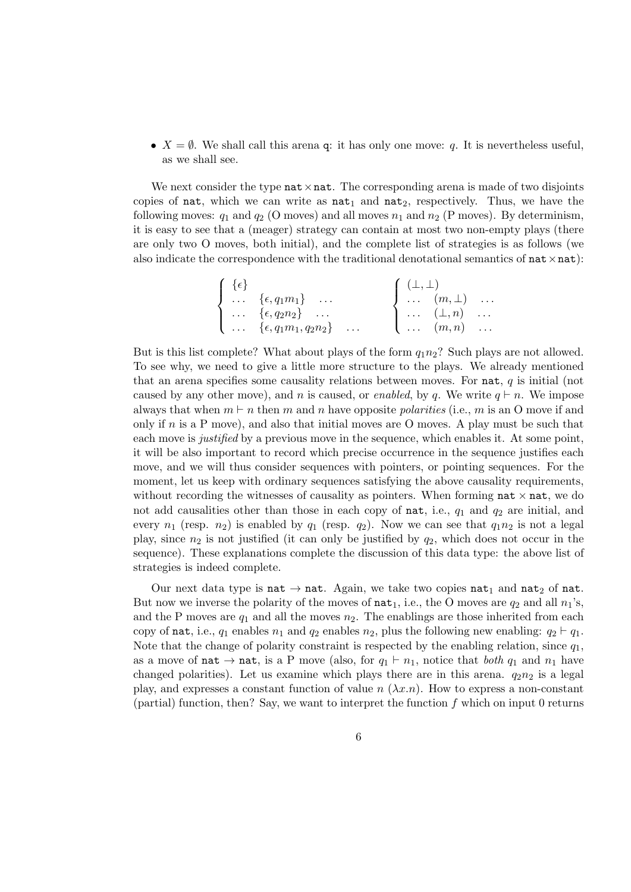•  $X = \emptyset$ . We shall call this arena q: it has only one move: q. It is nevertheless useful, as we shall see.

We next consider the type  $\texttt{nat} \times \texttt{nat}$ . The corresponding arena is made of two disjoints copies of nat, which we can write as  $nat_1$  and  $nat_2$ , respectively. Thus, we have the following moves:  $q_1$  and  $q_2$  (O moves) and all moves  $n_1$  and  $n_2$  (P moves). By determinism, it is easy to see that a (meager) strategy can contain at most two non-empty plays (there are only two O moves, both initial), and the complete list of strategies is as follows (we also indicate the correspondence with the traditional denotational semantics of  $nat \times nat$ ):

| $\{\epsilon\}$ |                                                    | $( \perp, \perp)$ |                                            |  |
|----------------|----------------------------------------------------|-------------------|--------------------------------------------|--|
|                | $\bigcup \ldots \{ \epsilon, q_1 m_1 \} \ldots$    |                   | $\int \ldots$ $(m, \perp)$                 |  |
|                | $\big\}$ $\{\epsilon, q_2 n_2\}$                   |                   | $\mathbf{1} \ldots (\mathbf{1}, n) \ldots$ |  |
|                | $\{\ldots \} \{ \epsilon, q_1m_1, q_2n_2\} \ldots$ |                   | $\left(\ldots \quad (m,n)\right)$          |  |

But is this list complete? What about plays of the form  $q_1n_2$ ? Such plays are not allowed. To see why, we need to give a little more structure to the plays. We already mentioned that an arena specifies some causality relations between moves. For nat,  $q$  is initial (not caused by any other move), and n is caused, or enabled, by q. We write  $q \vdash n$ . We impose always that when  $m \vdash n$  then m and n have opposite polarities (i.e., m is an O move if and only if  $n$  is a P move), and also that initial moves are O moves. A play must be such that each move is justified by a previous move in the sequence, which enables it. At some point, it will be also important to record which precise occurrence in the sequence justifies each move, and we will thus consider sequences with pointers, or pointing sequences. For the moment, let us keep with ordinary sequences satisfying the above causality requirements, without recording the witnesses of causality as pointers. When forming  $\texttt{nat} \times \texttt{nat}$ , we do not add causalities other than those in each copy of nat, i.e.,  $q_1$  and  $q_2$  are initial, and every  $n_1$  (resp.  $n_2$ ) is enabled by  $q_1$  (resp.  $q_2$ ). Now we can see that  $q_1n_2$  is not a legal play, since  $n_2$  is not justified (it can only be justified by  $q_2$ , which does not occur in the sequence). These explanations complete the discussion of this data type: the above list of strategies is indeed complete.

Our next data type is nat  $\rightarrow$  nat. Again, we take two copies nat<sub>1</sub> and nat<sub>2</sub> of nat. But now we inverse the polarity of the moves of  $\texttt{nat}_1$ , i.e., the O moves are  $q_2$  and all  $n_1$ 's, and the P moves are  $q_1$  and all the moves  $n_2$ . The enablings are those inherited from each copy of nat, i.e.,  $q_1$  enables  $n_1$  and  $q_2$  enables  $n_2$ , plus the following new enabling:  $q_2 \vdash q_1$ . Note that the change of polarity constraint is respected by the enabling relation, since  $q_1$ , as a move of nat  $\rightarrow$  nat, is a P move (also, for  $q_1 \vdash n_1$ , notice that both  $q_1$  and  $n_1$  have changed polarities). Let us examine which plays there are in this arena.  $q_2n_2$  is a legal play, and expresses a constant function of value  $n (\lambda x.n)$ . How to express a non-constant (partial) function, then? Say, we want to interpret the function  $f$  which on input 0 returns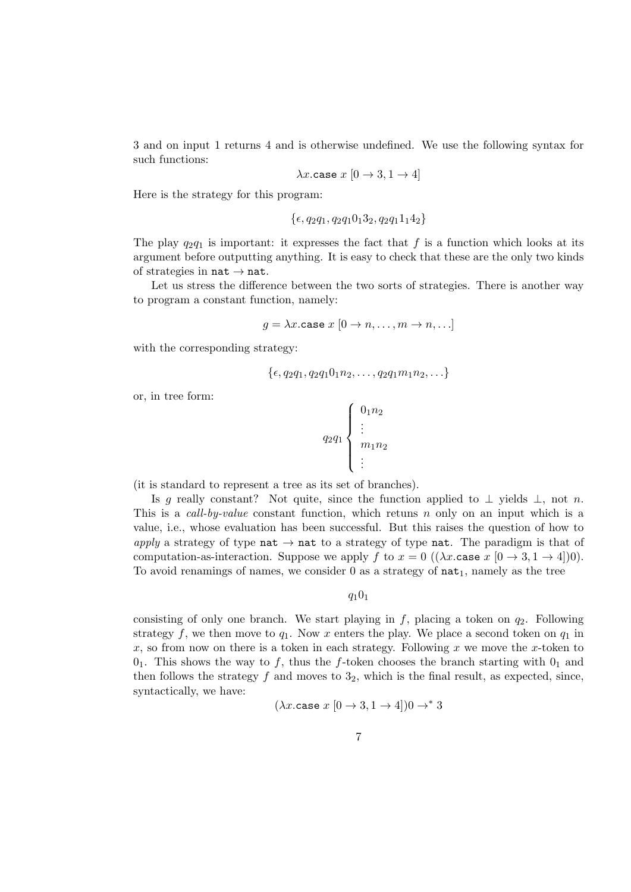3 and on input 1 returns 4 and is otherwise undefined. We use the following syntax for such functions:

$$
\lambda x
$$
.case  $x [0 \rightarrow 3, 1 \rightarrow 4]$ 

Here is the strategy for this program:

$$
\{\epsilon, q_2q_1, q_2q_10_13_2, q_2q_11_14_2\}
$$

The play  $q_2q_1$  is important: it expresses the fact that f is a function which looks at its argument before outputting anything. It is easy to check that these are the only two kinds of strategies in  $nat \rightarrow nat$ .

Let us stress the difference between the two sorts of strategies. There is another way to program a constant function, namely:

$$
g = \lambda x.\mathtt{case} \ x \ [0 \to n, \dots, m \to n, \dots]
$$

with the corresponding strategy:

$$
\{\epsilon, q_2q_1, q_2q_10_1n_2, \ldots, q_2q_1m_1n_2, \ldots\}
$$

or, in tree form:

$$
q_2 q_1 \begin{cases} 0_1 n_2 \\ \vdots \\ m_1 n_2 \\ \vdots \end{cases}
$$

(it is standard to represent a tree as its set of branches).

Is g really constant? Not quite, since the function applied to  $\perp$  yields  $\perp$ , not n. This is a call-by-value constant function, which retuns n only on an input which is a value, i.e., whose evaluation has been successful. But this raises the question of how to apply a strategy of type nat  $\rightarrow$  nat to a strategy of type nat. The paradigm is that of computation-as-interaction. Suppose we apply f to  $x = 0$  (( $\lambda x$  case  $x$  [ $0 \rightarrow 3, 1 \rightarrow 4$ ])0). To avoid renamings of names, we consider  $0$  as a strategy of  $nat_1$ , namely as the tree

 $q_10_1$ 

consisting of only one branch. We start playing in  $f$ , placing a token on  $q_2$ . Following strategy f, we then move to  $q_1$ . Now x enters the play. We place a second token on  $q_1$  in x, so from now on there is a token in each strategy. Following x we move the x-token to  $0<sub>1</sub>$ . This shows the way to f, thus the f-token chooses the branch starting with  $0<sub>1</sub>$  and then follows the strategy  $f$  and moves to  $3<sub>2</sub>$ , which is the final result, as expected, since, syntactically, we have:

$$
(\lambda x.\mathtt{case}\ x\ [0\to 3,1\to 4])0\to^* 3
$$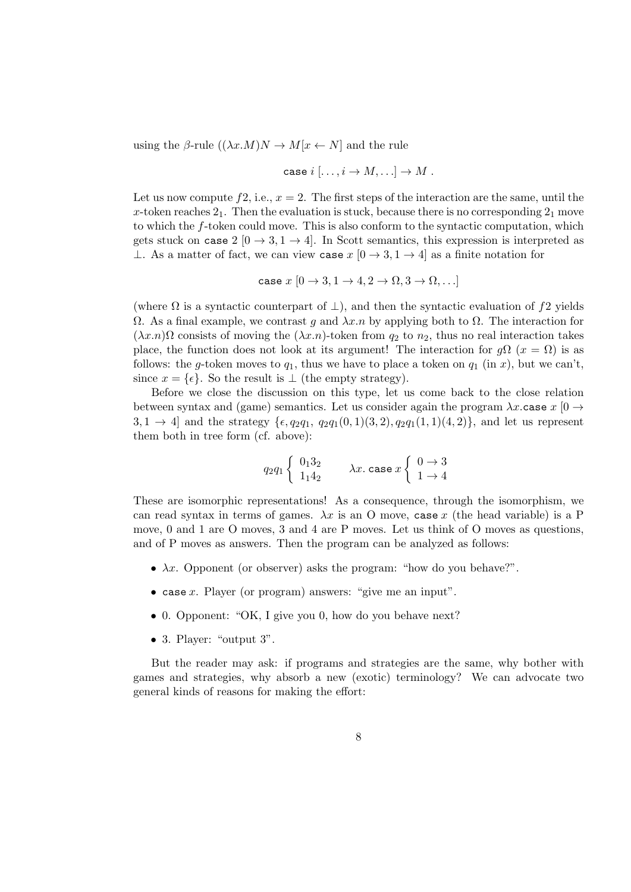using the  $\beta$ -rule  $((\lambda x.M)N \to M[x \leftarrow N]$  and the rule

case 
$$
i
$$
  $[..., i \rightarrow M,...] \rightarrow M$ .

Let us now compute  $f_1$ , i.e.,  $x = 2$ . The first steps of the interaction are the same, until the x-token reaches  $2<sub>1</sub>$ . Then the evaluation is stuck, because there is no corresponding  $2<sub>1</sub>$  move to which the f-token could move. This is also conform to the syntactic computation, which gets stuck on case  $2 \times 2 \rightarrow 3, 1 \rightarrow 4$ . In Scott semantics, this expression is interpreted as ⊥. As a matter of fact, we can view case  $x$  [0  $\rightarrow$  3, 1  $\rightarrow$  4] as a finite notation for

case 
$$
x [0 \rightarrow 3, 1 \rightarrow 4, 2 \rightarrow \Omega, 3 \rightarrow \Omega, \ldots]
$$

(where  $\Omega$  is a syntactic counterpart of  $\perp$ ), and then the syntactic evaluation of f2 yields  $Ω$ . As a final example, we contrast g and  $λx.n$  by applying both to  $Ω$ . The interaction for  $(\lambda x.n)\Omega$  consists of moving the  $(\lambda x.n)$ -token from  $q_2$  to  $n_2$ , thus no real interaction takes place, the function does not look at its argument! The interaction for  $g\Omega$  ( $x = \Omega$ ) is as follows: the g-token moves to  $q_1$ , thus we have to place a token on  $q_1$  (in x), but we can't, since  $x = \{\epsilon\}$ . So the result is  $\bot$  (the empty strategy).

Before we close the discussion on this type, let us come back to the close relation between syntax and (game) semantics. Let us consider again the program  $\lambda x$  case  $x$  [0  $\rightarrow$  $3, 1 \rightarrow 4$ ] and the strategy  $\{\epsilon, q_2q_1, q_2q_1(0, 1)(3, 2), q_2q_1(1, 1)(4, 2)\}\,$  and let us represent them both in tree form (cf. above):

$$
q_2 q_1 \begin{cases} 0_1 3_2 \\ 1_1 4_2 \end{cases} \qquad \lambda x. \text{ case } x \begin{cases} 0 \to 3 \\ 1 \to 4 \end{cases}
$$

These are isomorphic representations! As a consequence, through the isomorphism, we can read syntax in terms of games.  $\lambda x$  is an O move, case x (the head variable) is a P move, 0 and 1 are O moves, 3 and 4 are P moves. Let us think of O moves as questions, and of P moves as answers. Then the program can be analyzed as follows:

- $\lambda x$ . Opponent (or observer) asks the program: "how do you behave?".
- case x. Player (or program) answers: "give me an input".
- 0. Opponent: "OK, I give you 0, how do you behave next?
- 3. Player: "output 3".

But the reader may ask: if programs and strategies are the same, why bother with games and strategies, why absorb a new (exotic) terminology? We can advocate two general kinds of reasons for making the effort: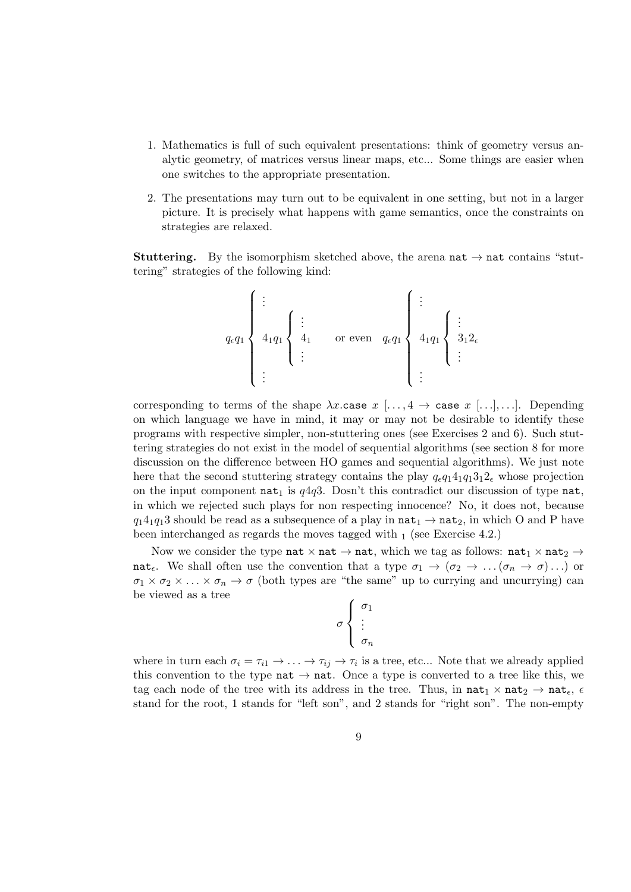- 1. Mathematics is full of such equivalent presentations: think of geometry versus analytic geometry, of matrices versus linear maps, etc... Some things are easier when one switches to the appropriate presentation.
- 2. The presentations may turn out to be equivalent in one setting, but not in a larger picture. It is precisely what happens with game semantics, once the constraints on strategies are relaxed.

**Stuttering.** By the isomorphism sketched above, the arena  $nat \rightarrow nat$  contains "stuttering" strategies of the following kind:

$$
q_{\epsilon}q_1\left\{\begin{array}{ccc}\vdots&&&&\\&4_1q_1\\4_1q_1\end{array}\right\}\begin{array}{c}\vdots\\4_1\\ \vdots\end{array}\quad\text{or even}\quad q_{\epsilon}q_1\left\{\begin{array}{c}\vdots\\&4_1q_1\end{array}\right\}\begin{array}{c}\vdots\\3_12_{\epsilon}\\ \vdots\end{array}
$$

corresponding to terms of the shape  $\lambda x$  case  $x$  [..., 4  $\rightarrow$  case  $x$  [...], ...]. Depending on which language we have in mind, it may or may not be desirable to identify these programs with respective simpler, non-stuttering ones (see Exercises 2 and 6). Such stuttering strategies do not exist in the model of sequential algorithms (see section 8 for more discussion on the difference between HO games and sequential algorithms). We just note here that the second stuttering strategy contains the play  $q_{\epsilon}q_14_1q_13_12_{\epsilon}$  whose projection on the input component  $nat_1$  is  $q4q3$ . Dosn't this contradict our discussion of type  $nat$ , in which we rejected such plays for non respecting innocence? No, it does not, because  $q_14_1q_13$  should be read as a subsequence of a play in  $\texttt{nat}_1 \rightarrow \texttt{nat}_2$ , in which O and P have been interchanged as regards the moves tagged with  $_1$  (see Exercise 4.2.)

Now we consider the type nat  $\times$  nat  $\rightarrow$  nat, which we tag as follows: nat<sub>1</sub>  $\times$  nat<sub>2</sub>  $\rightarrow$ nat<sub> $\epsilon$ </sub>. We shall often use the convention that a type  $\sigma_1 \to (\sigma_2 \to \ldots (\sigma_n \to \sigma) \ldots)$  or  $\sigma_1 \times \sigma_2 \times \ldots \times \sigma_n \to \sigma$  (both types are "the same" up to currying and uncurrying) can be viewed as a tree

$$
\sigma\left\{\begin{array}{c}\sigma_1\\\vdots\\\sigma_n\end{array}\right.
$$

where in turn each  $\sigma_i = \tau_{i1} \to \ldots \to \tau_{ij} \to \tau_i$  is a tree, etc... Note that we already applied this convention to the type nat  $\rightarrow$  nat. Once a type is converted to a tree like this, we tag each node of the tree with its address in the tree. Thus, in  $nat_1 \times nat_2 \rightarrow nat_{\epsilon}$ ,  $\epsilon$ stand for the root, 1 stands for "left son", and 2 stands for "right son". The non-empty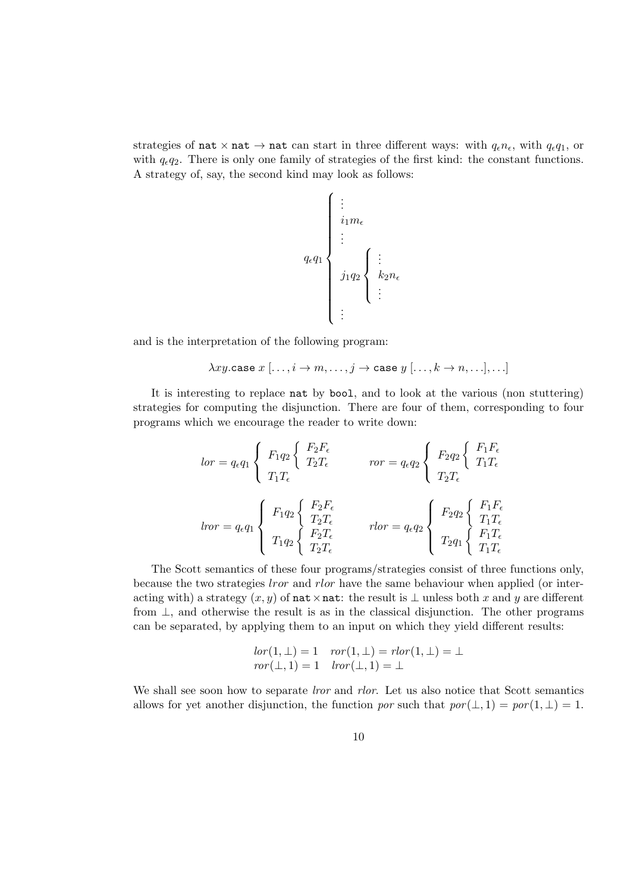strategies of nat  $\times$  nat  $\rightarrow$  nat can start in three different ways: with  $q_{\epsilon}n_{\epsilon}$ , with  $q_{\epsilon}q_1$ , or with  $q_{\epsilon}q_2$ . There is only one family of strategies of the first kind: the constant functions. A strategy of, say, the second kind may look as follows:

$$
q_{\epsilon}q_{1}\left\{\begin{array}{l} \vdots\\ i_{1}m_{\epsilon}\\ \vdots\\ j_{1}q_{2}\end{array}\right\}\vdots\\ j_{1}q_{2}\left\{\begin{array}{l} \vdots\\ k_{2}n_{\epsilon}\\ \vdots\end{array}\right.
$$

and is the interpretation of the following program:

$$
\lambda xy.\mathtt{case}\ x\ [\ldots, i \to m, \ldots, j \to \mathtt{case}\ y\ [\ldots, k \to n, \ldots], \ldots]
$$

It is interesting to replace nat by bool, and to look at the various (non stuttering) strategies for computing the disjunction. There are four of them, corresponding to four programs which we encourage the reader to write down:

$$
lor = q_{\epsilon}q_1 \left\{ \begin{array}{l} F_1q_2 \left\{ \begin{array}{l} F_2F_{\epsilon} \\ T_2T_{\epsilon} \end{array} \right. \\ \left. \begin{array}{l} T_1T_{\epsilon} \end{array} \right. \\ \left. \begin{array}{l} T_1T_{\epsilon} \end{array} \right. \\ \left. \begin{array}{l} \end{array} \right. \\ \left. \begin{array}{l} T_1T_{\epsilon} \end{array} \right. \\ \left. \begin{array}{l} \end{array} \right. \\ \left. \begin{array}{l} T_1T_{\epsilon} \end{array} \right. \\ \left. \begin{array}{l} T_1q_2 \left\{ \begin{array}{l} F_2F_{\epsilon} \\ T_2T_{\epsilon} \end{array} \right. \\ \left. \begin{array}{l} T_1q_2 \left\{ \begin{array}{l} F_2F_{\epsilon} \\ T_2T_{\epsilon} \end{array} \right. \\ \left. \begin{array}{l} T_1q_2 \left\{ \begin{array}{l} F_2F_{\epsilon} \\ T_2T_{\epsilon} \end{array} \right. \\ \left. \begin{array}{l} T_1q_2 \left\{ \begin{array}{l} F_2T_{\epsilon} \\ T_2T_{\epsilon} \end{array} \right. \\ \left. \begin{array}{l} T_1T_{\epsilon} \\ T_1T_{\epsilon} \end{array} \right. \\ \left. \begin{array}{l} T_1T_{\epsilon} \\ T_1T_{\epsilon} \end{array} \right. \\ \end{array} \right. \end{array} \right.
$$

The Scott semantics of these four programs/strategies consist of three functions only, because the two strategies lror and rlor have the same behaviour when applied (or interacting with) a strategy  $(x, y)$  of nat  $\times$  nat: the result is  $\perp$  unless both x and y are different from  $\perp$ , and otherwise the result is as in the classical disjunction. The other programs can be separated, by applying them to an input on which they yield different results:

$$
lor(1, \perp) = 1 \quad ror(1, \perp) = rlor(1, \perp) = \perp ror(\perp, 1) = 1 \quad lror(\perp, 1) = \perp
$$

We shall see soon how to separate *lror* and *rlor*. Let us also notice that Scott semantics allows for yet another disjunction, the function por such that  $por(\perp, 1) = por(1, \perp) = 1$ .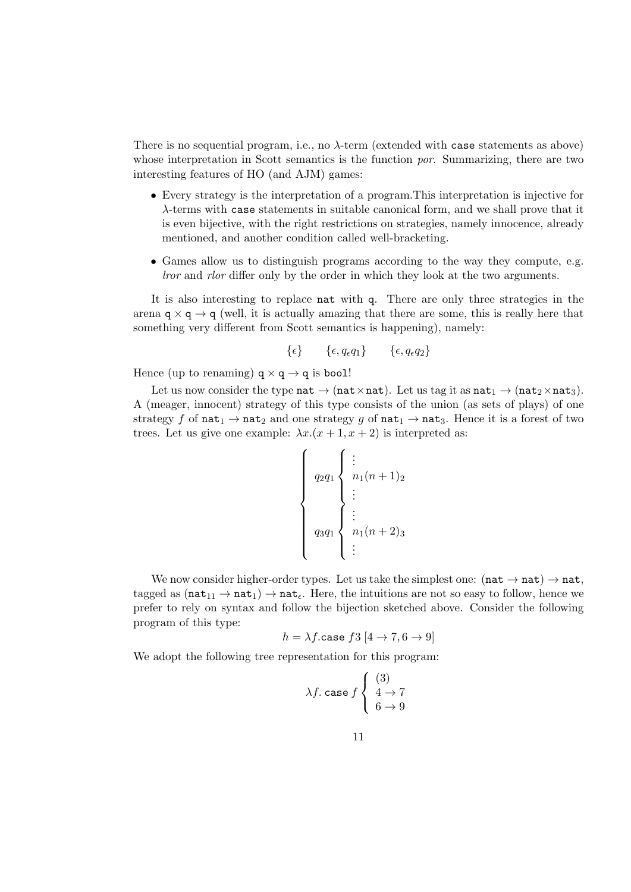There is no sequential program, i.e., no  $\lambda$ -term (extended with case statements as above) whose interpretation in Scott semantics is the function *por*. Summarizing, there are two interesting features of HO (and AJM) games:

- Every strategy is the interpretation of a program.This interpretation is injective for λ-terms with case statements in suitable canonical form, and we shall prove that it is even bijective, with the right restrictions on strategies, namely innocence, already mentioned, and another condition called well-bracketing.
- Games allow us to distinguish programs according to the way they compute, e.g. lror and rlor differ only by the order in which they look at the two arguments.

It is also interesting to replace nat with q. There are only three strategies in the arena  $q \times q \rightarrow q$  (well, it is actually amazing that there are some, this is really here that something very different from Scott semantics is happening), namely:

$$
\{\epsilon\} \qquad \{\epsilon, q_{\epsilon}q_1\} \qquad \{\epsilon, q_{\epsilon}q_2\}
$$

Hence (up to renaming)  $q \times q \rightarrow q$  is bool!

Let us now consider the type nat  $\rightarrow$  (nat ×nat). Let us tag it as nat<sub>1</sub>  $\rightarrow$  (nat<sub>2</sub>×nat<sub>3</sub>). A (meager, innocent) strategy of this type consists of the union (as sets of plays) of one strategy f of  $nat_1 \rightarrow nat_2$  and one strategy g of  $nat_1 \rightarrow nat_3$ . Hence it is a forest of two trees. Let us give one example:  $\lambda x.(x + 1, x + 2)$  is interpreted as:

$$
\left\{\n\begin{array}{c}\n q_2 q_1 \\
 q_2 q_1 \\
 \vdots \\
 q_3 q_1\n\end{array}\n\right\}\n\begin{array}{c}\n\vdots \\
\vdots \\
n_1(n+1)_2 \\
 \vdots \\
\vdots\n\end{array}
$$

We now consider higher-order types. Let us take the simplest one:  $(nat \rightarrow nat) \rightarrow nat$ , tagged as  $(\texttt{nat}_{11} \rightarrow \texttt{nat}_1) \rightarrow \texttt{nat}_{\epsilon}$ . Here, the intuitions are not so easy to follow, hence we prefer to rely on syntax and follow the bijection sketched above. Consider the following program of this type:

$$
h = \lambda f.\mathtt{case}~f3~[4 \to 7, 6 \to 9]
$$

We adopt the following tree representation for this program:

$$
\lambda f. \text{ case } f \begin{cases} (3) \\ 4 \to 7 \\ 6 \to 9 \end{cases}
$$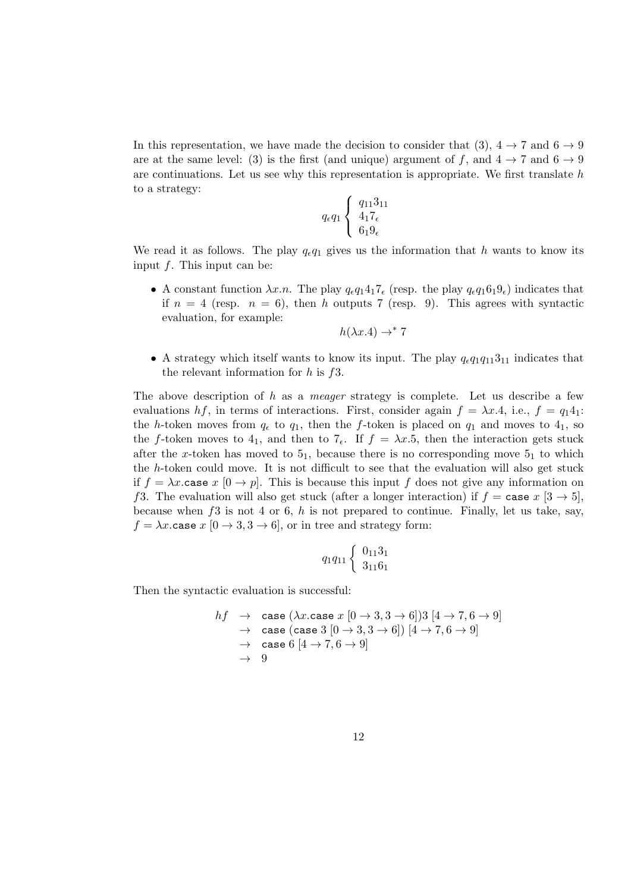In this representation, we have made the decision to consider that (3),  $4 \rightarrow 7$  and  $6 \rightarrow 9$ are at the same level: (3) is the first (and unique) argument of f, and  $4 \rightarrow 7$  and  $6 \rightarrow 9$ are continuations. Let us see why this representation is appropriate. We first translate  $h$ to a strategy:

$$
q_{\epsilon}q_1\left\{\begin{array}{c}q_{11}3_{11}\\4_17_{\epsilon}\\6_19_{\epsilon}\end{array}\right.
$$

We read it as follows. The play  $q_{\epsilon}q_1$  gives us the information that h wants to know its input  $f$ . This input can be:

• A constant function  $\lambda x.n$ . The play  $q_{\epsilon}q_14_17_{\epsilon}$  (resp. the play  $q_{\epsilon}q_16_19_{\epsilon}$ ) indicates that if  $n = 4$  (resp.  $n = 6$ ), then h outputs 7 (resp. 9). This agrees with syntactic evaluation, for example:

$$
h(\lambda x.4) \to^* 7
$$

• A strategy which itself wants to know its input. The play  $q_{\epsilon}q_1q_{11}3_{11}$  indicates that the relevant information for  $h$  is  $f3$ .

The above description of  $h$  as a *meager* strategy is complete. Let us describe a few evaluations hf, in terms of interactions. First, consider again  $f = \lambda x.4$ , i.e.,  $f = q_1 4_1$ : the h-token moves from  $q_{\epsilon}$  to  $q_1$ , then the f-token is placed on  $q_1$  and moves to  $4_1$ , so the f-token moves to 4<sub>1</sub>, and then to  $7<sub>\epsilon</sub>$ . If  $f = \lambda x.5$ , then the interaction gets stuck after the x-token has moved to  $5<sub>1</sub>$ , because there is no corresponding move  $5<sub>1</sub>$  to which the h-token could move. It is not difficult to see that the evaluation will also get stuck if  $f = \lambda x$  case  $x [0 \to p]$ . This is because this input f does not give any information on f3. The evaluation will also get stuck (after a longer interaction) if  $f = \csc x$  [3  $\rightarrow$  5], because when  $f3$  is not 4 or 6, h is not prepared to continue. Finally, let us take, say,  $f = \lambda x$  case  $x [0 \rightarrow 3, 3 \rightarrow 6]$ , or in tree and strategy form:

$$
q_1q_{11}\left\{\begin{array}{c} 0_{11}3_1\\3_{11}6_1\end{array}\right.
$$

Then the syntactic evaluation is successful:

$$
hf \rightarrow \text{case } (\lambda x.\text{case } x [0 \rightarrow 3, 3 \rightarrow 6])3 [4 \rightarrow 7, 6 \rightarrow 9]
$$
  
\n
$$
\rightarrow \text{case } (\text{case } 3 [0 \rightarrow 3, 3 \rightarrow 6]) [4 \rightarrow 7, 6 \rightarrow 9]
$$
  
\n
$$
\rightarrow \text{case } 6 [4 \rightarrow 7, 6 \rightarrow 9]
$$
  
\n
$$
\rightarrow 9
$$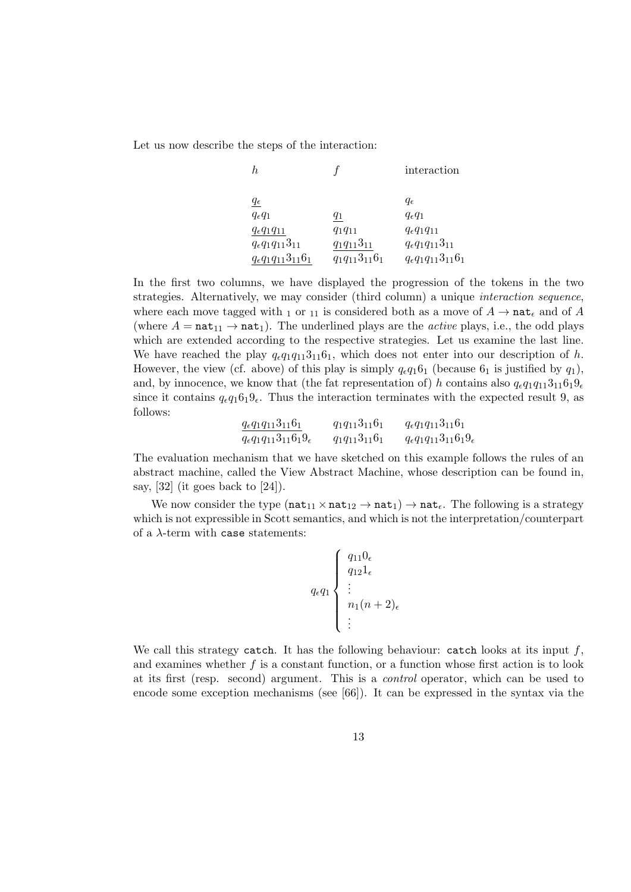Let us now describe the steps of the interaction:

| h,                               |                      | interaction                      |
|----------------------------------|----------------------|----------------------------------|
| $q_\epsilon$                     |                      | $q_{\epsilon}$                   |
| $q_{\epsilon}q_1$                | 41                   | $q_{\epsilon}q_1$                |
| $q_{\epsilon}q_1q_{11}$          | $q_1q_{11}$          | $q_{\epsilon}q_1q_{11}$          |
| $q_{\epsilon}q_1q_{11}3_{11}$    | $q_1q_{11}3_{11}$    | $q_{\epsilon}q_1q_{11}3_{11}$    |
| $q_{\epsilon}q_1q_{11}3_{11}6_1$ | $q_1q_{11}3_{11}6_1$ | $q_{\epsilon}q_1q_{11}3_{11}6_1$ |

In the first two columns, we have displayed the progression of the tokens in the two strategies. Alternatively, we may consider (third column) a unique interaction sequence, where each move tagged with 1 or 11 is considered both as a move of  $A \to \text{nat}_{\epsilon}$  and of A (where  $A = \texttt{nat}_{11} \rightarrow \texttt{nat}_1$ ). The underlined plays are the *active* plays, i.e., the odd plays which are extended according to the respective strategies. Let us examine the last line. We have reached the play  $q_{\epsilon}q_1q_{11}3_{11}6_1$ , which does not enter into our description of h. However, the view (cf. above) of this play is simply  $q_{\epsilon}q_16_1$  (because  $6_1$  is justified by  $q_1$ ), and, by innocence, we know that (the fat representation of) h contains also  $q_{\epsilon}q_1q_{11}3_{11}6_19_{\epsilon}$ since it contains  $q_{\epsilon}q_16_19_{\epsilon}$ . Thus the interaction terminates with the expected result 9, as follows:

$$
\frac{q_{\epsilon}q_1q_{11}3_{11}6_1}{q_{\epsilon}q_1q_{11}3_{11}6_19_{\epsilon}} \qquad q_1q_{11}3_{11}6_1 \qquad q_{\epsilon}q_1q_{11}3_{11}6_1
$$

The evaluation mechanism that we have sketched on this example follows the rules of an abstract machine, called the View Abstract Machine, whose description can be found in, say,  $[32]$  (it goes back to  $[24]$ ).

We now consider the type  $(nat_{11} \times nat_{12} \rightarrow nat_1) \rightarrow nat_{\epsilon}$ . The following is a strategy which is not expressible in Scott semantics, and which is not the interpretation/counterpart of a λ-term with case statements:

$$
q_{\epsilon}q_1\begin{cases} q_{11}0_{\epsilon} \\ q_{12}1_{\epsilon} \\ \vdots \\ n_1(n+2)_{\epsilon} \\ \vdots \end{cases}
$$

We call this strategy catch. It has the following behaviour: catch looks at its input  $f$ , and examines whether  $f$  is a constant function, or a function whose first action is to look at its first (resp. second) argument. This is a control operator, which can be used to encode some exception mechanisms (see [66]). It can be expressed in the syntax via the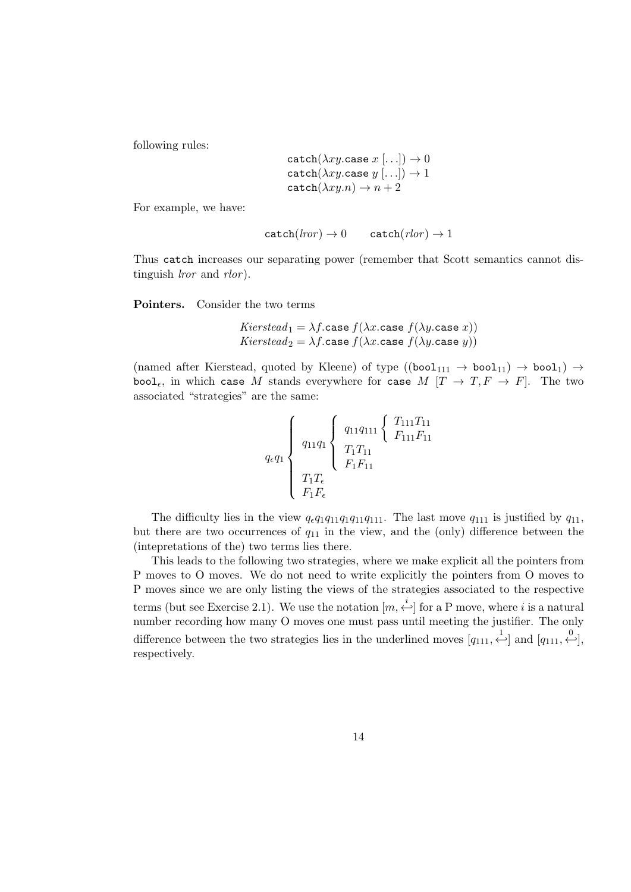following rules:

$$
\begin{array}{l} \mathtt{catch}(\lambda xy.\mathtt{case}\ x\ [\ldots]) \rightarrow 0 \\ \mathtt{catch}(\lambda xy.\mathtt{case}\ y\ [\ldots]) \rightarrow 1 \\ \mathtt{catch}(\lambda xy.n) \rightarrow n+2 \end{array}
$$

For example, we have:

$$
catch(lror) \to 0 \qquad catch(rlor) \to 1
$$

Thus catch increases our separating power (remember that Scott semantics cannot distinguish *lror* and *rlor*).

Pointers. Consider the two terms

Kierstead<sub>1</sub> = 
$$
\lambda f
$$
.case  $f(\lambda x$ .case  $f(\lambda y$ .case  $x)$ )  
Kierstead<sub>2</sub> =  $\lambda f$ .case  $f(\lambda x$ .case  $f(\lambda y$ .case  $y)$ )

(named after Kierstead, quoted by Kleene) of type  $((bool_{111} \rightarrow bool_{11}) \rightarrow bool_{11}) \rightarrow$ bool<sub>e</sub>, in which case M stands everywhere for case M  $[T \to T, F \to F]$ . The two associated "strategies" are the same:

$$
q_{\epsilon}q_{1}\begin{cases} q_{11}q_{1} \begin{cases} q_{11}q_{111} \begin{cases} T_{111}T_{11} \\ F_{111}F_{11} \end{cases} \\ T_{1}T_{\epsilon} \\ T_{1}T_{\epsilon} \\ F_{1}F_{\epsilon} \end{cases} \end{cases}
$$

The difficulty lies in the view  $q_{\epsilon}q_1q_{11}q_{11}q_{111}$ . The last move  $q_{111}$  is justified by  $q_{11}$ , but there are two occurrences of  $q_{11}$  in the view, and the (only) difference between the (intepretations of the) two terms lies there.

This leads to the following two strategies, where we make explicit all the pointers from P moves to O moves. We do not need to write explicitly the pointers from O moves to P moves since we are only listing the views of the strategies associated to the respective terms (but see Exercise 2.1). We use the notation  $[m, \stackrel{i}{\leftarrow}]$  for a P move, where i is a natural number recording how many O moves one must pass until meeting the justifier. The only difference between the two strategies lies in the underlined moves  $[q_{111}, \stackrel{1}{\leftarrow}]$  and  $[q_{111}, \stackrel{0}{\leftarrow}]$ , respectively.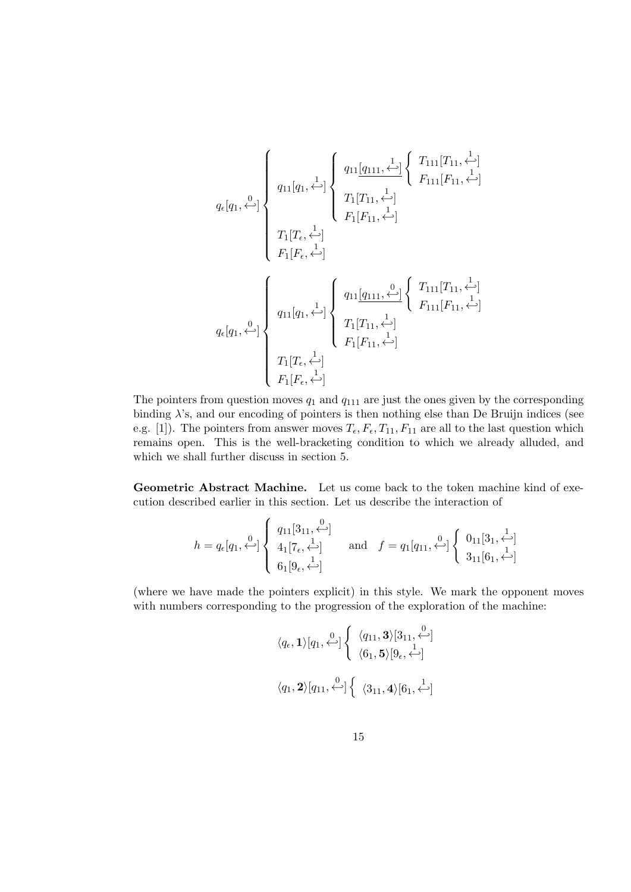$$
q_{\epsilon}[q_{1}, \stackrel{0}{\longleftrightarrow}] \left\{ \begin{array}{c} q_{11}[q_{1}, \stackrel{1}{\longleftrightarrow}] \left\{ \begin{array}{c} q_{11}[\underbrace{q_{111}}, \stackrel{1}{\longleftrightarrow}] \left\{ \begin{array}{c} T_{111}[T_{11}, \stackrel{1}{\longleftrightarrow}] \\ F_{111}[F_{11}, \stackrel{1}{\longleftrightarrow}] \end{array} \right. \\ \left. T_{1}[T_{\epsilon}, \stackrel{1}{\longleftrightarrow}] \right. \\ \left. T_{1}[T_{\epsilon}, \stackrel{1}{\longleftrightarrow}] \right. \\ \left. F_{1}[F_{\epsilon}, \stackrel{1}{\longleftrightarrow}] \right. \end{array} \right\} \\ q_{\epsilon}[q_{1}, \stackrel{0}{\longleftrightarrow}] \left\{ \begin{array}{c} q_{11}[\underbrace{q_{111}, \stackrel{0}{\longleftrightarrow}] \left\{ \begin{array}{c} T_{111}[T_{11}, \stackrel{1}{\longleftrightarrow}] \left. \right. \\ F_{111}[F_{11}, \stackrel{1}{\longleftrightarrow}] \end{array} \right. \\ \left. T_{1}[T_{\epsilon}, \stackrel{1}{\longleftrightarrow}] \right. \\ \left. T_{1}[T_{\epsilon}, \stackrel{1}{\longleftrightarrow}] \right. \\ \left. T_{1}[T_{\epsilon}, \stackrel{1}{\longleftrightarrow}] \right. \\ \left. T_{1}[F_{\epsilon}, \stackrel{1}{\longleftrightarrow}] \right. \end{array} \right.
$$

The pointers from question moves  $q_1$  and  $q_{111}$  are just the ones given by the corresponding binding  $\lambda$ 's, and our encoding of pointers is then nothing else than De Bruijn indices (see e.g. [1]). The pointers from answer moves  $T_{\epsilon}$ ,  $F_{\epsilon}$ ,  $T_{11}$ ,  $F_{11}$  are all to the last question which remains open. This is the well-bracketing condition to which we already alluded, and which we shall further discuss in section 5.

Geometric Abstract Machine. Let us come back to the token machine kind of execution described earlier in this section. Let us describe the interaction of

$$
h = q_{\epsilon}[q_1, \stackrel{0}{\longleftrightarrow}]\n\begin{cases}\nq_{11}[3_{11}, \stackrel{0}{\longleftrightarrow}]\n4_1[7_{\epsilon}, \stackrel{1}{\longleftrightarrow}]\n\end{cases}\n\text{ and }\n f = q_1[q_{11}, \stackrel{0}{\longleftrightarrow}]\n\begin{cases}\n0_{11}[3_1, \stackrel{1}{\longleftrightarrow}]\n3_{11}[6_1, \stackrel{1}{\longleftrightarrow}]\n\end{cases}
$$

(where we have made the pointers explicit) in this style. We mark the opponent moves with numbers corresponding to the progression of the exploration of the machine:

$$
\langle q_{\epsilon}, \mathbf{1} \rangle [q_1, \stackrel{0}{\longleftrightarrow}] \left\{ \begin{array}{c} \langle q_{11}, \mathbf{3} \rangle [3_{11}, \stackrel{0}{\longleftrightarrow} ] \\ \langle 6_1, \mathbf{5} \rangle [9_{\epsilon}, \stackrel{1}{\longleftrightarrow} ] \end{array} \right.
$$
  

$$
\langle q_1, \mathbf{2} \rangle [q_{11}, \stackrel{0}{\longleftrightarrow} ] \left\{ \begin{array}{c} \langle 3_{11}, \mathbf{4} \rangle [6_1, \stackrel{1}{\longleftrightarrow} ] \end{array} \right.
$$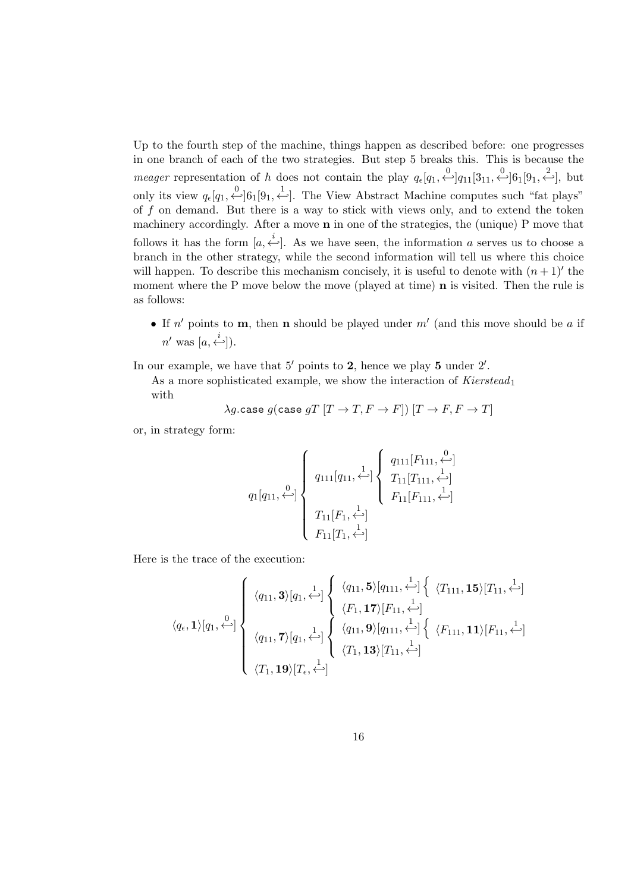Up to the fourth step of the machine, things happen as described before: one progresses in one branch of each of the two strategies. But step 5 breaks this. This is because the *meager* representation of h does not contain the play  $q_{\epsilon}[q_1, \stackrel{0}{\leftarrow}]q_{11}[3_{11}, \stackrel{0}{\leftarrow}]6_1[9_1, \stackrel{2}{\leftarrow}]$ , but only its view  $q_{\epsilon}[q_1, \stackrel{0}{\leftarrow}] 6_1[9_1, \stackrel{1}{\leftarrow}]$ . The View Abstract Machine computes such "fat plays" of  $f$  on demand. But there is a way to stick with views only, and to extend the token machinery accordingly. After a move n in one of the strategies, the (unique) P move that follows it has the form  $[a, \stackrel{i}{\leftarrow}]$ . As we have seen, the information a serves us to choose a branch in the other strategy, while the second information will tell us where this choice will happen. To describe this mechanism concisely, it is useful to denote with  $(n+1)$ ' the moment where the P move below the move (played at time)  $\bf{n}$  is visited. Then the rule is as follows:

• If  $n'$  points to **m**, then **n** should be played under  $m'$  (and this move should be a if  $n'$  was  $[a, \stackrel{i}{\leftarrow}]).$ 

In our example, we have that  $5'$  points to 2, hence we play 5 under  $2'$ .

As a more sophisticated example, we show the interaction of  $Kierstead<sub>1</sub>$ with

$$
\lambda g.\mathtt{case}\ g(\mathtt{case}\ gT\ [T\rightarrow T, F\rightarrow F])\ [T\rightarrow F, F\rightarrow T]
$$

or, in strategy form:

$$
q_{1}[q_{11}, \stackrel{0}{\longleftrightarrow}] \left\{ \begin{array}{c} q_{111}[q_{11}, \stackrel{1}{\longleftrightarrow}] \left\{ \begin{array}{c} q_{111}[F_{111}, \stackrel{0}{\longleftrightarrow}] \\ T_{11}[T_{111}, \stackrel{1}{\longleftrightarrow}] \\ F_{11}[F_{11}, \stackrel{1}{\longleftrightarrow}] \\ F_{11}[T_{1}, \stackrel{1}{\longleftrightarrow}] \end{array} \right. \end{array} \right.
$$

Here is the trace of the execution:

$$
\langle q_{\epsilon}, \mathbf{1} \rangle [q_1, \stackrel{0}{\longleftrightarrow} \begin{Bmatrix} \langle q_{11}, \mathbf{3} \rangle [q_1, \stackrel{1}{\longleftrightarrow} ] \left\{ \begin{array}{c} \langle q_{11}, \mathbf{5} \rangle [q_{111}, \stackrel{1}{\longleftrightarrow} ] \left\{ \begin{array}{c} \langle T_{111}, \mathbf{15} \rangle [T_{11}, \stackrel{1}{\longleftrightarrow} ] \\ \langle F_1, \mathbf{17} \rangle [F_{11}, \stackrel{1}{\longleftrightarrow} ] \end{array} \right\} \\ \langle q_{11}, \mathbf{7} \rangle [q_1, \stackrel{1}{\longleftrightarrow} ] \left\{ \begin{array}{c} \langle q_{11}, \mathbf{9} \rangle [q_{111}, \stackrel{1}{\longleftrightarrow} ] \left\{ \begin{array}{c} \langle F_{111}, \mathbf{11} \rangle [F_{11}, \stackrel{1}{\longleftrightarrow} ] \\ \langle T_1, \mathbf{19} \rangle [T_{\epsilon}, \stackrel{1}{\longleftrightarrow} ] \end{array} \right\} \end{Bmatrix}
$$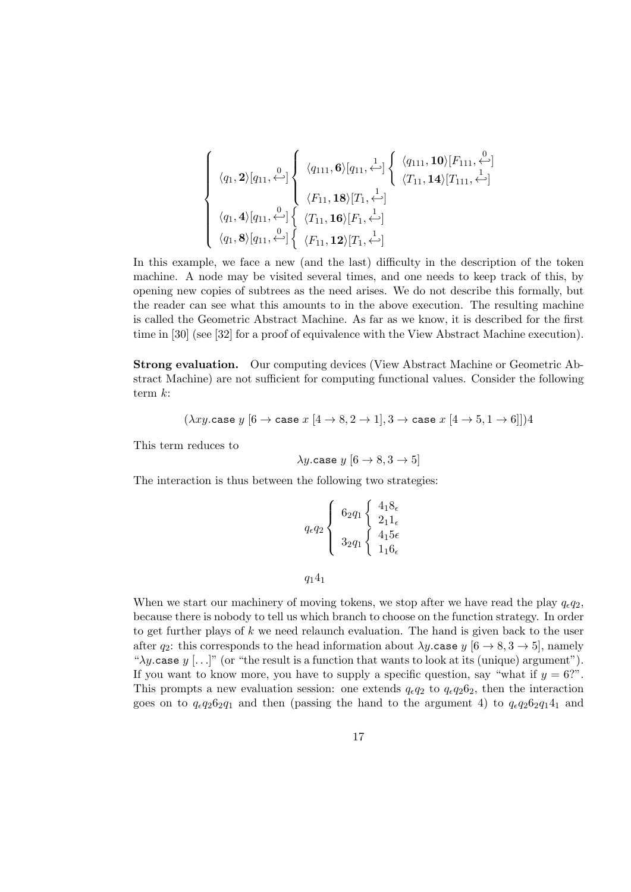$$
\begin{cases}\n\langle q_1, \mathbf{2} \rangle [q_{11}, \mathcal{L}]\n\left\{\n\begin{array}{l}\n\langle q_{111}, \mathbf{6} \rangle [q_{11}, \mathcal{L}]\n\end{array}\n\right\} \left\{\n\begin{array}{l}\n\langle q_{111}, \mathbf{10} \rangle [F_{111}, \mathcal{L}]\n\end{array}\n\right\} \\
\langle q_1, \mathbf{4} \rangle [q_{11}, \mathcal{L}]\n\left\{\n\begin{array}{l}\n\langle F_{11}, \mathbf{18} \rangle [T_1, \mathcal{L}]\n\end{array}\n\right\} \left\{\n\begin{array}{l}\n\langle T_{11}, \mathbf{14} \rangle [T_{111}, \mathcal{L}]\n\end{array}\n\right\} \\
\langle q_1, \mathbf{8} \rangle [q_{11}, \mathcal{L}]\n\left\{\n\begin{array}{l}\n\langle T_{11}, \mathbf{16} \rangle [F_1, \mathcal{L}]\n\end{array}\n\right\} \\
\langle F_{11}, \mathbf{12} \rangle [T_1, \mathcal{L}]\n\end{cases}
$$

In this example, we face a new (and the last) difficulty in the description of the token machine. A node may be visited several times, and one needs to keep track of this, by opening new copies of subtrees as the need arises. We do not describe this formally, but the reader can see what this amounts to in the above execution. The resulting machine is called the Geometric Abstract Machine. As far as we know, it is described for the first time in [30] (see [32] for a proof of equivalence with the View Abstract Machine execution).

Strong evaluation. Our computing devices (View Abstract Machine or Geometric Abstract Machine) are not sufficient for computing functional values. Consider the following term  $k$ :

$$
(\lambda xy.\mathtt{case}\ y\ [6\rightarrow \mathtt{case}\ x\ [4\rightarrow 8,2\rightarrow 1],3\rightarrow \mathtt{case}\ x\ [4\rightarrow 5,1\rightarrow 6]] )4
$$

This term reduces to

$$
\lambda y
$$
.case  $y$   $[6 \rightarrow 8, 3 \rightarrow 5]$ 

The interaction is thus between the following two strategies:

$$
q_{\epsilon}q_2\left\{\begin{array}{c}6_2q_1\left\{\begin{array}{c}4_18_{\epsilon}\\2_11_{\epsilon}\\3_2q_1\end{array}\right\}\frac{4_18_{\epsilon}}{4_15\epsilon}\right.\\0\end{array}\right.
$$

 $q_14_1$ 

When we start our machinery of moving tokens, we stop after we have read the play  $q_{\epsilon}q_2$ , because there is nobody to tell us which branch to choose on the function strategy. In order to get further plays of  $k$  we need relaunch evaluation. The hand is given back to the user after  $q_2$ : this corresponds to the head information about  $\lambda y$  case  $y$  [6  $\rightarrow$  8, 3  $\rightarrow$  5], namely " $\lambda y$ .case y [...]" (or "the result is a function that wants to look at its (unique) argument"). If you want to know more, you have to supply a specific question, say "what if  $y = 6$ ?". This prompts a new evaluation session: one extends  $q_{\epsilon}q_2$  to  $q_{\epsilon}q_26_2$ , then the interaction goes on to  $q_{\epsilon}q_26_2q_1$  and then (passing the hand to the argument 4) to  $q_{\epsilon}q_26_2q_14_1$  and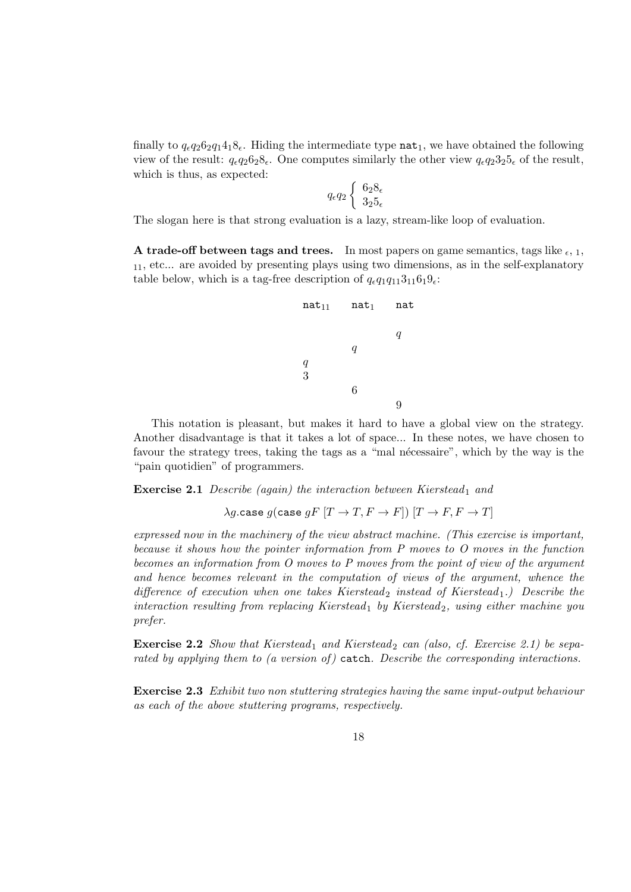finally to  $q_{\epsilon}q_26_2q_14_18_{\epsilon}$ . Hiding the intermediate type nat<sub>1</sub>, we have obtained the following view of the result:  $q_{\epsilon}q_2\delta_2\delta_{\epsilon}$ . One computes similarly the other view  $q_{\epsilon}q_2\delta_2\delta_{\epsilon}$  of the result, which is thus, as expected:

$$
q_{\epsilon}q_2\begin{cases}6_28_{\epsilon}\\3_25_{\epsilon}\end{cases}
$$

The slogan here is that strong evaluation is a lazy, stream-like loop of evaluation.

A trade-off between tags and trees. In most papers on game semantics, tags like  $_{\epsilon,1}$ , <sup>11</sup>, etc... are avoided by presenting plays using two dimensions, as in the self-explanatory table below, which is a tag-free description of  $q_{\epsilon}q_1q_{11}3_{11}6_19_{\epsilon}$ :

| $nat_{11}$    | $nat_1$          | nat |
|---------------|------------------|-----|
|               |                  | q   |
|               | $\boldsymbol{q}$ |     |
| $\frac{q}{3}$ |                  |     |
|               | 6                |     |
|               |                  |     |

This notation is pleasant, but makes it hard to have a global view on the strategy. Another disadvantage is that it takes a lot of space... In these notes, we have chosen to favour the strategy trees, taking the tags as a "mal nécessaire", which by the way is the "pain quotidien" of programmers.

**Exercise 2.1** Describe (again) the interaction between Kierstead<sub>1</sub> and

$$
\lambda g.\mathtt{case}\ g(\mathtt{case}\ gF\ [T\rightarrow T, F\rightarrow F])\ [T\rightarrow F, F\rightarrow T]
$$

expressed now in the machinery of the view abstract machine. (This exercise is important, because it shows how the pointer information from P moves to O moves in the function becomes an information from O moves to P moves from the point of view of the argument and hence becomes relevant in the computation of views of the argument, whence the difference of execution when one takes Kierstead<sub>2</sub> instead of Kierstead<sub>1</sub>.) Describe the interaction resulting from replacing Kierstead<sub>1</sub> by Kierstead<sub>2</sub>, using either machine you prefer.

**Exercise 2.2** Show that Kierstead<sub>1</sub> and Kierstead<sub>2</sub> can (also, cf. Exercise 2.1) be separated by applying them to (a version of) catch. Describe the corresponding interactions.

Exercise 2.3 Exhibit two non stuttering strategies having the same input-output behaviour as each of the above stuttering programs, respectively.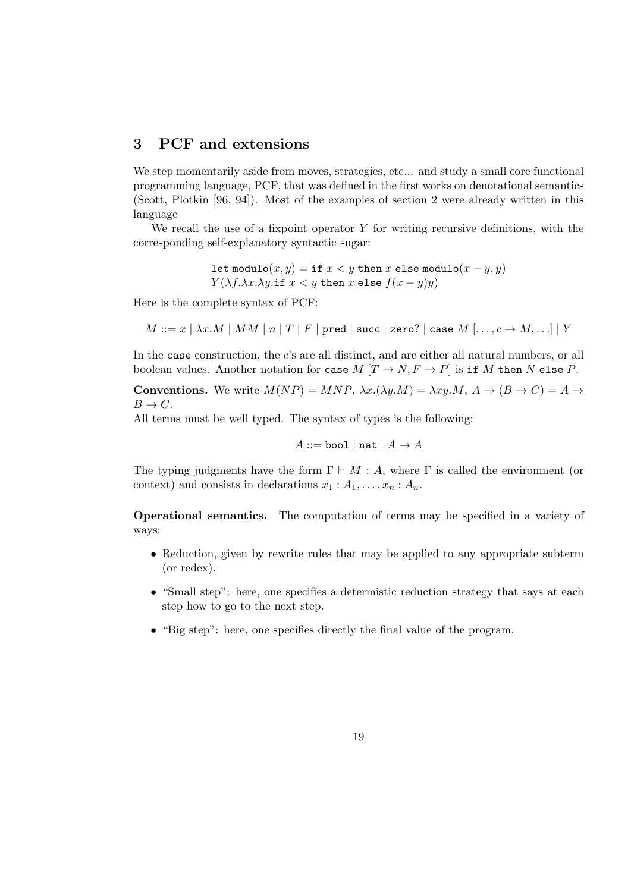## 3 PCF and extensions

We step momentarily aside from moves, strategies, etc... and study a small core functional programming language, PCF, that was defined in the first works on denotational semantics (Scott, Plotkin [96, 94]). Most of the examples of section 2 were already written in this language

We recall the use of a fixpoint operator  $Y$  for writing recursive definitions, with the corresponding self-explanatory syntactic sugar:

> let modulo $(x, y) =$  if  $x < y$  then x else modulo $(x - y, y)$  $Y(\lambda f.\lambda x.\lambda y.\texttt{if } x < y \texttt{ then } x \texttt{ else } f(x - y)y)$

Here is the complete syntax of PCF:

$$
M ::= x \mid \lambda x. M \mid MM \mid n \mid T \mid F \mid \texttt{pred} \mid \texttt{succ} \mid \texttt{zero?} \mid \texttt{case } M \mid \ldots, c \rightarrow M, \ldots] \mid Y
$$

In the case construction, the c's are all distinct, and are either all natural numbers, or all boolean values. Another notation for case  $M[T \to N, F \to P]$  is if M then N else P.

**Conventions.** We write  $M(NP) = MNP$ ,  $\lambda x.(\lambda y.M) = \lambda xy.M$ ,  $A \rightarrow (B \rightarrow C) = A \rightarrow$  $B \to C$ .

All terms must be well typed. The syntax of types is the following:

$$
A ::= \texttt{bool} \mid \texttt{nat} \mid A \rightarrow A
$$

The typing judgments have the form  $\Gamma \vdash M : A$ , where  $\Gamma$  is called the environment (or context) and consists in declarations  $x_1 : A_1, \ldots, x_n : A_n$ .

Operational semantics. The computation of terms may be specified in a variety of ways:

- Reduction, given by rewrite rules that may be applied to any appropriate subterm (or redex).
- "Small step": here, one specifies a determistic reduction strategy that says at each step how to go to the next step.
- "Big step": here, one specifies directly the final value of the program.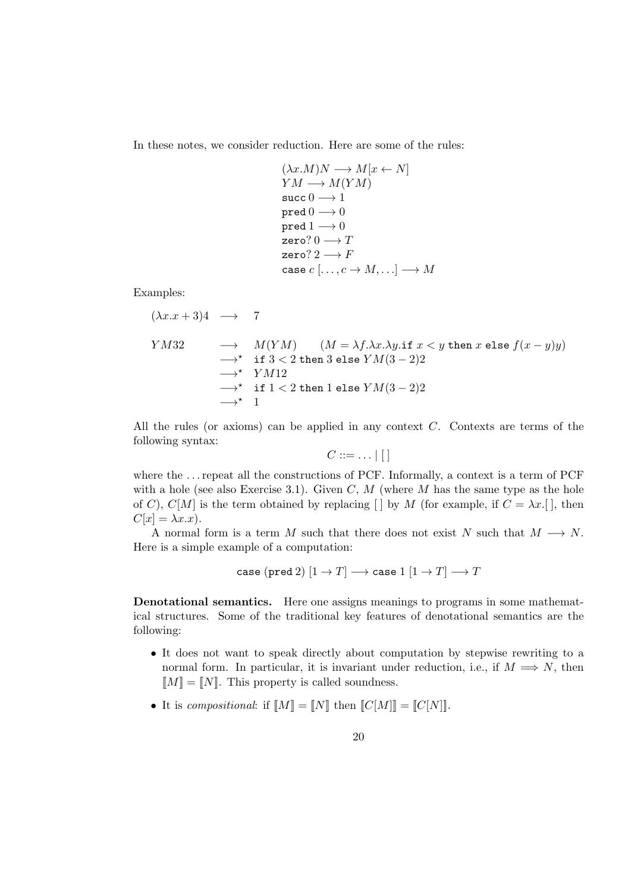In these notes, we consider reduction. Here are some of the rules:

 $(\lambda x.M)N \longrightarrow M[x \leftarrow N]$  $YM \longrightarrow M(YM)$ succ  $0 \rightarrow 1$  $pred 0 \longrightarrow 0$ pred  $1 \rightarrow 0$ zero?  $0 \longrightarrow T$ zero?  $2 \rightarrow F$ case  $c$   $[\ldots, c \rightarrow M, \ldots] \longrightarrow M$ 

Examples:

$$
(\lambda x.x + 3)4 \rightarrow 7
$$
  
\n
$$
YM32 \rightarrow M(YM) \quad (M = \lambda f.\lambda x.\lambda y.\text{if } x < y \text{ then } x \text{ else } f(x - y)y)
$$
  
\n
$$
\rightarrow^{\star} \text{if } 3 < 2 \text{ then } 3 \text{ else } YM(3 - 2)2
$$
  
\n
$$
\rightarrow^{\star} \text{if } 1 < 2 \text{ then } 1 \text{ else } YM(3 - 2)2
$$
  
\n
$$
\rightarrow^{\star} 1
$$

All the rules (or axioms) can be applied in any context C. Contexts are terms of the following syntax:

$$
C ::= \ldots |[]
$$

where the ... repeat all the constructions of PCF. Informally, a context is a term of PCF with a hole (see also Exercise 3.1). Given C, M (where M has the same type as the hole of C), C[M] is the term obtained by replacing [] by M (for example, if  $C = \lambda x$ . [], then  $C[x] = \lambda x.x$ ).

A normal form is a term M such that there does not exist N such that  $M \longrightarrow N$ . Here is a simple example of a computation:

$$
case (pred 2) [1 \rightarrow T] \rightarrow case 1 [1 \rightarrow T] \rightarrow T
$$

Denotational semantics. Here one assigns meanings to programs in some mathematical structures. Some of the traditional key features of denotational semantics are the following:

- It does not want to speak directly about computation by stepwise rewriting to a normal form. In particular, it is invariant under reduction, i.e., if  $M \implies N$ , then  $[M] = [N]$ . This property is called soundness.
- It is compositional: if  $[M] = [N]$  then  $[C[M]] = [C[N]]$ .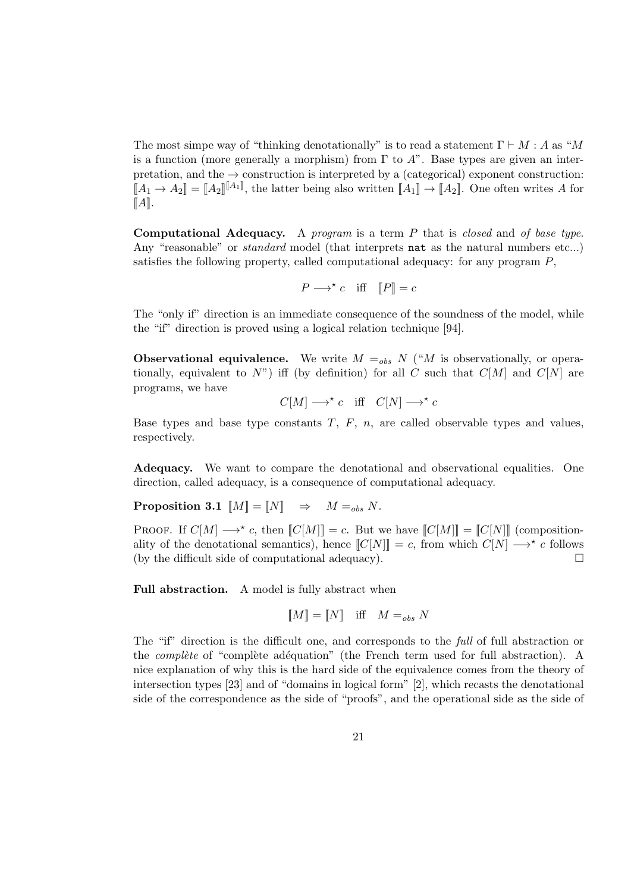The most simpe way of "thinking denotationally" is to read a statement  $\Gamma \vdash M : A$  as "M is a function (more generally a morphism) from  $\Gamma$  to  $A$ ". Base types are given an interpretation, and the  $\rightarrow$  construction is interpreted by a (categorical) exponent construction:  $[[A_1 \to A_2]] = [[A_2]^{[[A_1]}]$ , the latter being also written  $[[A_1] \to [A_2]]$ . One often writes A for  $\llbracket A \rrbracket$ .

**Computational Adequacy.** A program is a term  $P$  that is closed and of base type. Any "reasonable" or *standard* model (that interprets nat as the natural numbers etc...) satisfies the following property, called computational adequacy: for any program P,

$$
P \longrightarrow^{\star} c \quad \text{iff} \quad [P] = c
$$

The "only if" direction is an immediate consequence of the soundness of the model, while the "if" direction is proved using a logical relation technique [94].

**Observational equivalence.** We write  $M =_{obs} N$  ("M is observationally, or operationally, equivalent to  $N$ ") iff (by definition) for all C such that  $C[M]$  and  $C[N]$  are programs, we have

 $C[M] \longrightarrow^{\star} c$  iff  $C[N] \longrightarrow^{\star} c$ 

Base types and base type constants  $T$ ,  $F$ ,  $n$ , are called observable types and values, respectively.

Adequacy. We want to compare the denotational and observational equalities. One direction, called adequacy, is a consequence of computational adequacy.

**Proposition 3.1**  $[M] = [N] \Rightarrow M =_{obs} N$ .

PROOF. If  $C[M] \longrightarrow^* c$ , then  $[[C[M]] = c$ . But we have  $[[C[M]] = [[C[N]]]$  (compositionality of the denotational semantics), hence  $[[C[N]] = c$ , from which  $C[N] \longrightarrow^* c$  follows (by the difficult side of computational adequacy).  $\Box$ 

Full abstraction. A model is fully abstract when

$$
\llbracket M \rrbracket = \llbracket N \rrbracket \quad \text{iff} \quad M =_{obs} N
$$

The "if" direction is the difficult one, and corresponds to the full of full abstraction or the *complète* of "complète adéquation" (the French term used for full abstraction). A nice explanation of why this is the hard side of the equivalence comes from the theory of intersection types [23] and of "domains in logical form" [2], which recasts the denotational side of the correspondence as the side of "proofs", and the operational side as the side of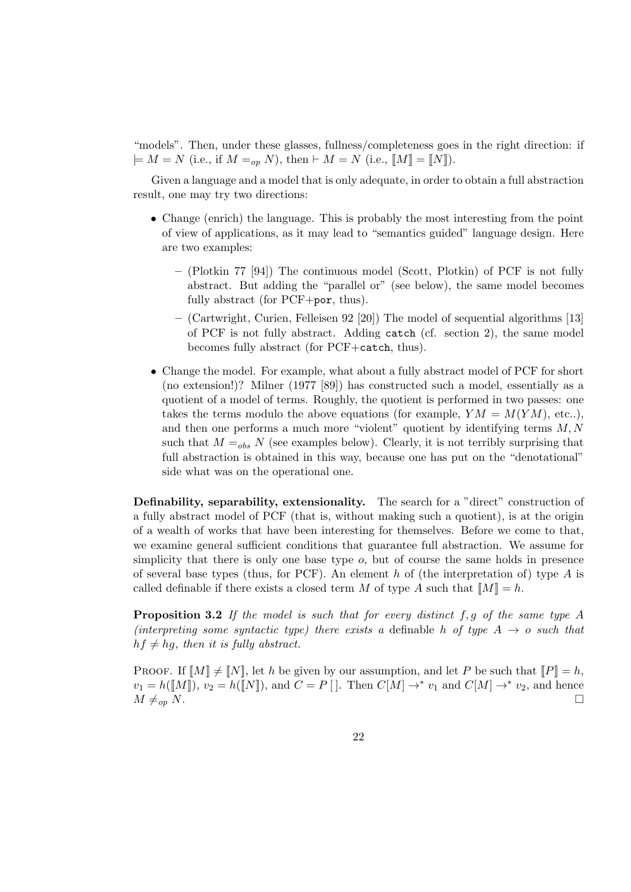"models". Then, under these glasses, fullness/completeness goes in the right direction: if  $\models M = N$  (i.e., if  $M =_{op} N$ ), then  $\models M = N$  (i.e.,  $\llbracket M \rrbracket = \llbracket N \rrbracket$ ).

Given a language and a model that is only adequate, in order to obtain a full abstraction result, one may try two directions:

- Change (enrich) the language. This is probably the most interesting from the point of view of applications, as it may lead to "semantics guided" language design. Here are two examples:
	- (Plotkin 77 [94]) The continuous model (Scott, Plotkin) of PCF is not fully abstract. But adding the "parallel or" (see below), the same model becomes fully abstract (for PCF+por, thus).
	- (Cartwright, Curien, Felleisen 92 [20]) The model of sequential algorithms [13] of PCF is not fully abstract. Adding catch (cf. section 2), the same model becomes fully abstract (for PCF+catch, thus).
- Change the model. For example, what about a fully abstract model of PCF for short (no extension!)? Milner (1977 [89]) has constructed such a model, essentially as a quotient of a model of terms. Roughly, the quotient is performed in two passes: one takes the terms modulo the above equations (for example,  $YM = M(YM)$ , etc..), and then one performs a much more "violent" quotient by identifying terms  $M, N$ such that  $M =_{obs} N$  (see examples below). Clearly, it is not terribly surprising that full abstraction is obtained in this way, because one has put on the "denotational" side what was on the operational one.

Definability, separability, extensionality. The search for a "direct" construction of a fully abstract model of PCF (that is, without making such a quotient), is at the origin of a wealth of works that have been interesting for themselves. Before we come to that, we examine general sufficient conditions that guarantee full abstraction. We assume for simplicity that there is only one base type  $o$ , but of course the same holds in presence of several base types (thus, for PCF). An element h of (the interpretation of) type  $A$  is called definable if there exists a closed term M of type A such that  $||M|| = h$ .

**Proposition 3.2** If the model is such that for every distinct f, g of the same type A (interpreting some syntactic type) there exists a definable h of type  $A \rightarrow o$  such that  $hf \neq hq$ , then it is fully abstract.

PROOF. If  $[M] \neq [N]$ , let h be given by our assumption, and let P be such that  $[P] = h$ ,  $v_1 = h(\llbracket M \rrbracket), v_2 = h(\llbracket N \rrbracket),$  and  $C = P \llbracket \cdot \rrbracket$ . Then  $C[M] \rightarrow^* v_1$  and  $C[M] \rightarrow^* v_2$ , and hence  $M \neq_{op} N.$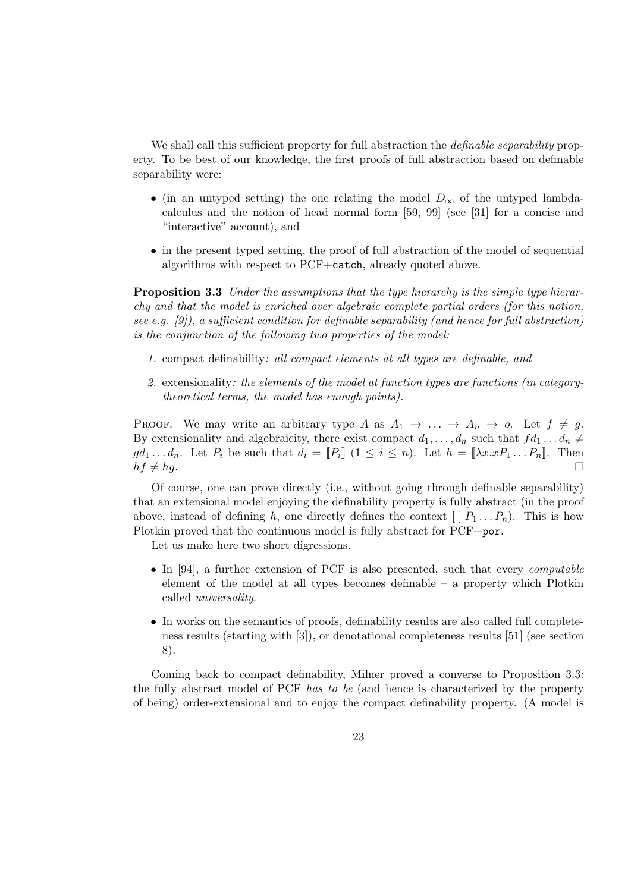We shall call this sufficient property for full abstraction the *definable separability* property. To be best of our knowledge, the first proofs of full abstraction based on definable separability were:

- (in an untyped setting) the one relating the model  $D_{\infty}$  of the untyped lambdacalculus and the notion of head normal form [59, 99] (see [31] for a concise and "interactive" account), and
- in the present typed setting, the proof of full abstraction of the model of sequential algorithms with respect to PCF+catch, already quoted above.

**Proposition 3.3** Under the assumptions that the type hierarchy is the simple type hierarchy and that the model is enriched over algebraic complete partial orders (for this notion, see e.g.  $[9]$ , a sufficient condition for definable separability (and hence for full abstraction) is the conjunction of the following two properties of the model:

- 1. compact definability: all compact elements at all types are definable, and
- 2. extensionality: the elements of the model at function types are functions (in categorytheoretical terms, the model has enough points).

PROOF. We may write an arbitrary type A as  $A_1 \rightarrow \ldots \rightarrow A_n \rightarrow o$ . Let  $f \neq g$ . By extensionality and algebraicity, there exist compact  $d_1, \ldots, d_n$  such that  $fd_1 \ldots d_n \neq$  $gd_1 \ldots d_n$ . Let  $P_i$  be such that  $d_i = [P_i]$   $(1 \leq i \leq n)$ . Let  $h = [\lambda x . x P_1 \ldots P_n]$ . Then  $hf \neq hg.$ 

Of course, one can prove directly (i.e., without going through definable separability) that an extensional model enjoying the definability property is fully abstract (in the proof above, instead of defining h, one directly defines the context  $[ | P_1 ... P_n ]$ . This is how Plotkin proved that the continuous model is fully abstract for PCF+por.

Let us make here two short digressions.

- In [94], a further extension of PCF is also presented, such that every *computable* element of the model at all types becomes definable – a property which Plotkin called universality.
- In works on the semantics of proofs, definability results are also called full completeness results (starting with [3]), or denotational completeness results [51] (see section 8).

Coming back to compact definability, Milner proved a converse to Proposition 3.3: the fully abstract model of PCF has to be (and hence is characterized by the property of being) order-extensional and to enjoy the compact definability property. (A model is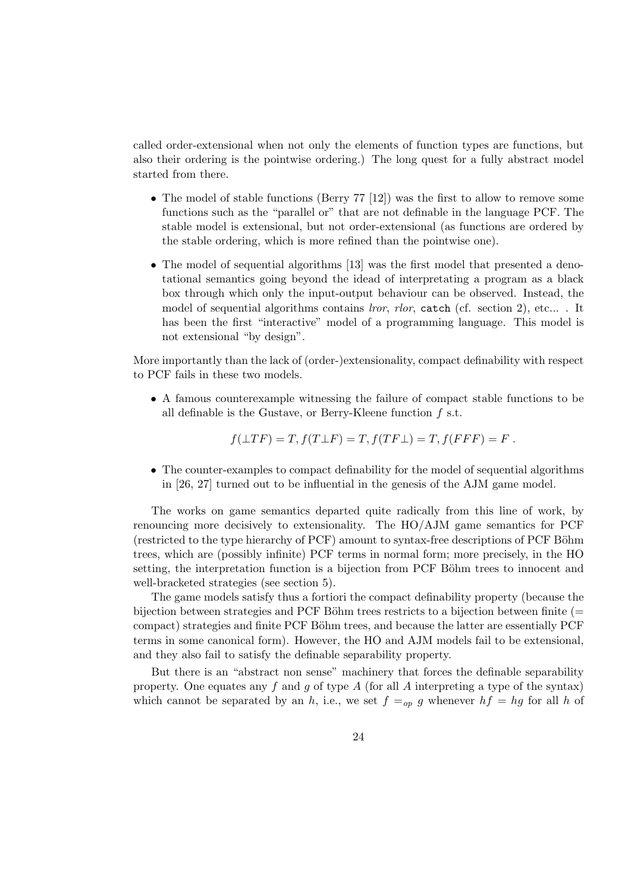called order-extensional when not only the elements of function types are functions, but also their ordering is the pointwise ordering.) The long quest for a fully abstract model started from there.

- The model of stable functions (Berry  $77 \vert 12 \vert$ ) was the first to allow to remove some functions such as the "parallel or" that are not definable in the language PCF. The stable model is extensional, but not order-extensional (as functions are ordered by the stable ordering, which is more refined than the pointwise one).
- The model of sequential algorithms [13] was the first model that presented a denotational semantics going beyond the idead of interpretating a program as a black box through which only the input-output behaviour can be observed. Instead, the model of sequential algorithms contains *lror, rlor,* catch (cf. section 2), etc... . It has been the first "interactive" model of a programming language. This model is not extensional "by design".

More importantly than the lack of (order-)extensionality, compact definability with respect to PCF fails in these two models.

• A famous counterexample witnessing the failure of compact stable functions to be all definable is the Gustave, or Berry-Kleene function f s.t.

 $f(\perp TF) = T$ ,  $f(T \perp F) = T$ ,  $f(TF \perp) = T$ ,  $f(FFF) = F$ .

• The counter-examples to compact definability for the model of sequential algorithms in [26, 27] turned out to be influential in the genesis of the AJM game model.

The works on game semantics departed quite radically from this line of work, by renouncing more decisively to extensionality. The HO/AJM game semantics for PCF (restricted to the type hierarchy of PCF) amount to syntax-free descriptions of PCF Böhm trees, which are (possibly infinite) PCF terms in normal form; more precisely, in the HO setting, the interpretation function is a bijection from PCF Böhm trees to innocent and well-bracketed strategies (see section 5).

The game models satisfy thus a fortiori the compact definability property (because the bijection between strategies and PCF Böhm trees restricts to a bijection between finite ( $=$ compact) strategies and finite PCF Böhm trees, and because the latter are essentially PCF terms in some canonical form). However, the HO and AJM models fail to be extensional, and they also fail to satisfy the definable separability property.

But there is an "abstract non sense" machinery that forces the definable separability property. One equates any f and g of type A (for all A interpreting a type of the syntax) which cannot be separated by an h, i.e., we set  $f =_{op} g$  whenever  $hf = hg$  for all h of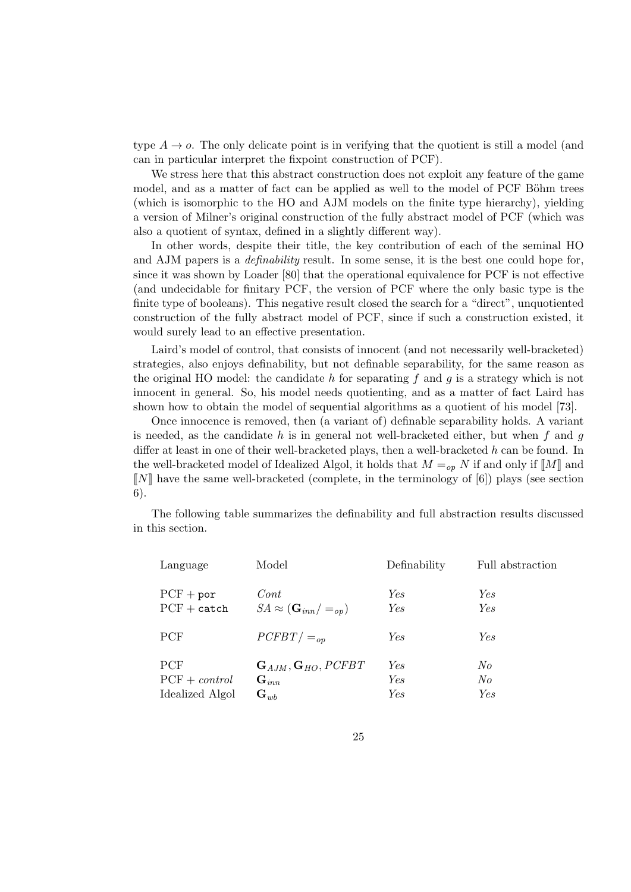type  $A \rightarrow o$ . The only delicate point is in verifying that the quotient is still a model (and can in particular interpret the fixpoint construction of PCF).

We stress here that this abstract construction does not exploit any feature of the game model, and as a matter of fact can be applied as well to the model of PCF Böhm trees (which is isomorphic to the HO and AJM models on the finite type hierarchy), yielding a version of Milner's original construction of the fully abstract model of PCF (which was also a quotient of syntax, defined in a slightly different way).

In other words, despite their title, the key contribution of each of the seminal HO and AJM papers is a definability result. In some sense, it is the best one could hope for, since it was shown by Loader [80] that the operational equivalence for PCF is not effective (and undecidable for finitary PCF, the version of PCF where the only basic type is the finite type of booleans). This negative result closed the search for a "direct", unquotiented construction of the fully abstract model of PCF, since if such a construction existed, it would surely lead to an effective presentation.

Laird's model of control, that consists of innocent (and not necessarily well-bracketed) strategies, also enjoys definability, but not definable separability, for the same reason as the original HO model: the candidate h for separating f and q is a strategy which is not innocent in general. So, his model needs quotienting, and as a matter of fact Laird has shown how to obtain the model of sequential algorithms as a quotient of his model [73].

Once innocence is removed, then (a variant of) definable separability holds. A variant is needed, as the candidate h is in general not well-bracketed either, but when f and g differ at least in one of their well-bracketed plays, then a well-bracketed h can be found. In the well-bracketed model of Idealized Algol, it holds that  $M =_{op} N$  if and only if  $\llbracket M \rrbracket$  and  $\llbracket N \rrbracket$  have the same well-bracketed (complete, in the terminology of [6]) plays (see section 6).

The following table summarizes the definability and full abstraction results discussed in this section.

| Model                                                      | Definability      | Full abstraction |
|------------------------------------------------------------|-------------------|------------------|
| Cont<br>$SA \approx (\mathbf{G}_{inn}/=_{op})$             | Yes<br>Yes        | Yes.<br>Yes      |
| $PCFBT/ =_{op}$                                            | Yes               | Yes              |
| ${\bf G}_{AJM}, {\bf G}_{HO}, PCFBT$<br>$\mathbf{G}_{inn}$ | Yes<br>Yes        | No<br>N o<br>Yes |
|                                                            | $\mathbf{G}_{wb}$ | Yes              |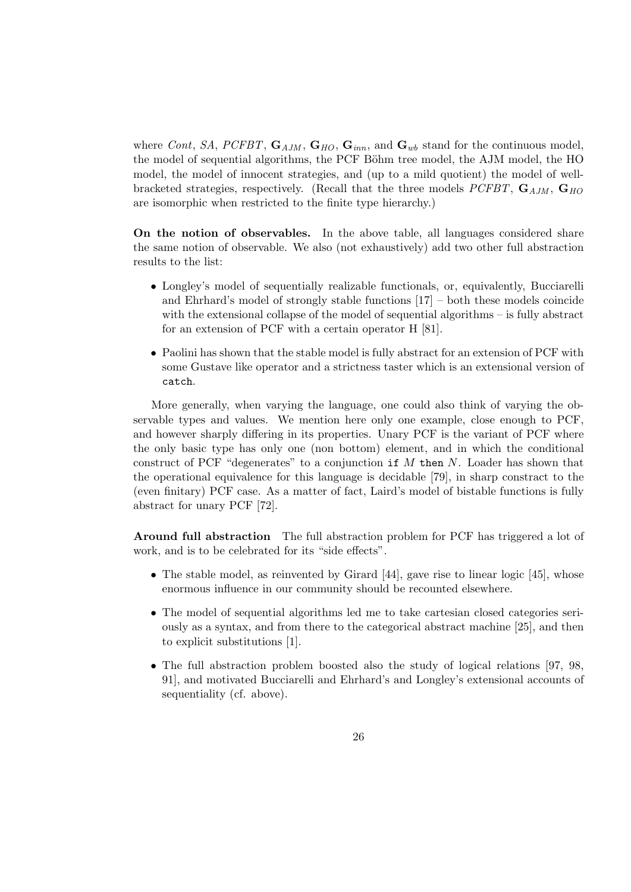where Cont, SA, PCFBT,  $\mathbf{G}_{AIM}$ ,  $\mathbf{G}_{HO}$ ,  $\mathbf{G}_{inn}$ , and  $\mathbf{G}_{wb}$  stand for the continuous model, the model of sequential algorithms, the PCF Böhm tree model, the AJM model, the HO model, the model of innocent strategies, and (up to a mild quotient) the model of wellbracketed strategies, respectively. (Recall that the three models  $PCFBT$ ,  $\mathbf{G}_{ADM}$ ,  $\mathbf{G}_{HO}$ are isomorphic when restricted to the finite type hierarchy.)

On the notion of observables. In the above table, all languages considered share the same notion of observable. We also (not exhaustively) add two other full abstraction results to the list:

- Longley's model of sequentially realizable functionals, or, equivalently, Bucciarelli and Ehrhard's model of strongly stable functions [17] – both these models coincide with the extensional collapse of the model of sequential algorithms – is fully abstract for an extension of PCF with a certain operator H [81].
- Paolini has shown that the stable model is fully abstract for an extension of PCF with some Gustave like operator and a strictness taster which is an extensional version of catch.

More generally, when varying the language, one could also think of varying the observable types and values. We mention here only one example, close enough to PCF, and however sharply differing in its properties. Unary PCF is the variant of PCF where the only basic type has only one (non bottom) element, and in which the conditional construct of PCF "degenerates" to a conjunction if  $M$  then  $N$ . Loader has shown that the operational equivalence for this language is decidable [79], in sharp constract to the (even finitary) PCF case. As a matter of fact, Laird's model of bistable functions is fully abstract for unary PCF [72].

Around full abstraction The full abstraction problem for PCF has triggered a lot of work, and is to be celebrated for its "side effects".

- The stable model, as reinvented by Girard [44], gave rise to linear logic [45], whose enormous influence in our community should be recounted elsewhere.
- The model of sequential algorithms led me to take cartesian closed categories seriously as a syntax, and from there to the categorical abstract machine [25], and then to explicit substitutions [1].
- The full abstraction problem boosted also the study of logical relations [97, 98, 91], and motivated Bucciarelli and Ehrhard's and Longley's extensional accounts of sequentiality (cf. above).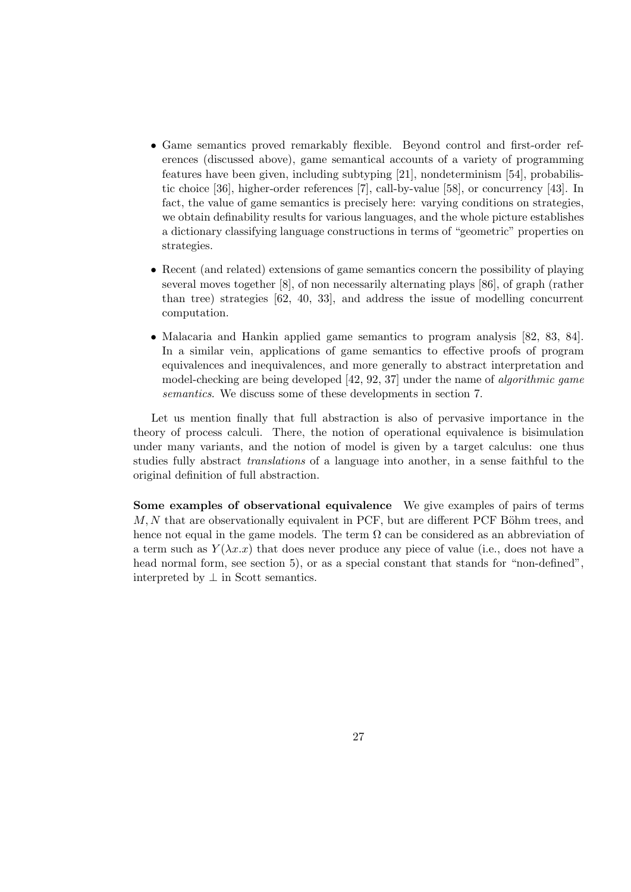- Game semantics proved remarkably flexible. Beyond control and first-order references (discussed above), game semantical accounts of a variety of programming features have been given, including subtyping [21], nondeterminism [54], probabilistic choice [36], higher-order references [7], call-by-value [58], or concurrency [43]. In fact, the value of game semantics is precisely here: varying conditions on strategies, we obtain definability results for various languages, and the whole picture establishes a dictionary classifying language constructions in terms of "geometric" properties on strategies.
- Recent (and related) extensions of game semantics concern the possibility of playing several moves together [8], of non necessarily alternating plays [86], of graph (rather than tree) strategies [62, 40, 33], and address the issue of modelling concurrent computation.
- Malacaria and Hankin applied game semantics to program analysis [82, 83, 84]. In a similar vein, applications of game semantics to effective proofs of program equivalences and inequivalences, and more generally to abstract interpretation and model-checking are being developed [42, 92, 37] under the name of algorithmic game semantics. We discuss some of these developments in section 7.

Let us mention finally that full abstraction is also of pervasive importance in the theory of process calculi. There, the notion of operational equivalence is bisimulation under many variants, and the notion of model is given by a target calculus: one thus studies fully abstract translations of a language into another, in a sense faithful to the original definition of full abstraction.

Some examples of observational equivalence We give examples of pairs of terms  $M, N$  that are observationally equivalent in PCF, but are different PCF Böhm trees, and hence not equal in the game models. The term  $\Omega$  can be considered as an abbreviation of a term such as  $Y(\lambda x.x)$  that does never produce any piece of value (i.e., does not have a head normal form, see section 5), or as a special constant that stands for "non-defined", interpreted by  $\perp$  in Scott semantics.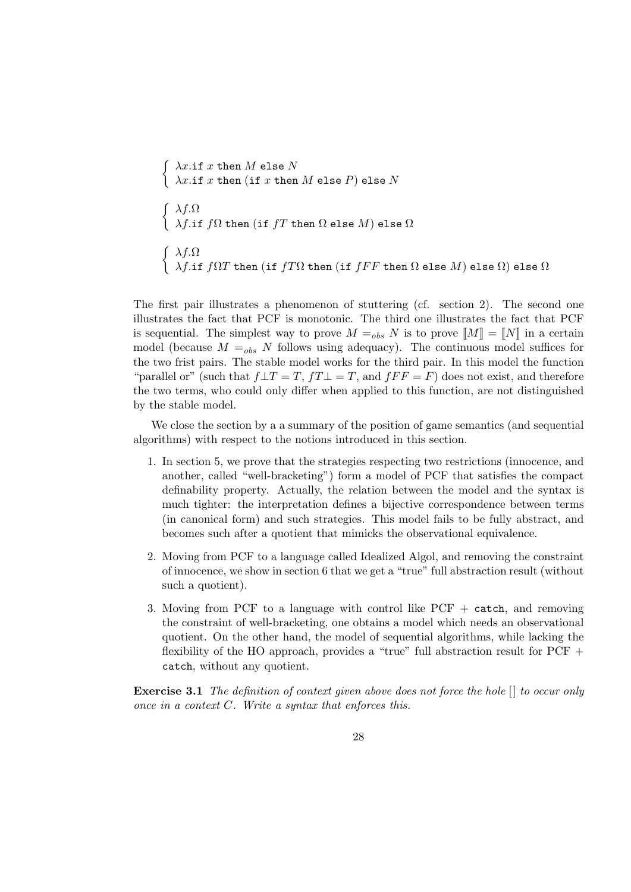```
\int \ \lambda x \cdot \text{if } x \text{ then } M \text{ else } N\left\{\begin{array}{l}\lambda x.\texttt{if }x \texttt{ then (if }x \texttt{ then }M \texttt{ else }P\end{array}\right) \texttt{else }N\int \lambda f \cdot \Omega\lambda f.if f\Omega then (\texttt{if}\;fT then \Omega else M) else \Omega\int \lambda f \cdot \Omega\lambda f.if f\Omega T then (\text{if }fT\Omega then (\text{if }fFF then \Omega else M) else \Omega else \Omega
```
The first pair illustrates a phenomenon of stuttering (cf. section 2). The second one illustrates the fact that PCF is monotonic. The third one illustrates the fact that PCF is sequential. The simplest way to prove  $M =_{obs} N$  is to prove  $\llbracket M \rrbracket = \llbracket N \rrbracket$  in a certain model (because  $M =_{obs} N$  follows using adequacy). The continuous model suffices for the two frist pairs. The stable model works for the third pair. In this model the function "parallel or" (such that  $f \perp T = T$ ,  $f \perp T = T$ , and  $f \perp F = F$ ) does not exist, and therefore the two terms, who could only differ when applied to this function, are not distinguished by the stable model.

We close the section by a a summary of the position of game semantics (and sequential algorithms) with respect to the notions introduced in this section.

- 1. In section 5, we prove that the strategies respecting two restrictions (innocence, and another, called "well-bracketing") form a model of PCF that satisfies the compact definability property. Actually, the relation between the model and the syntax is much tighter: the interpretation defines a bijective correspondence between terms (in canonical form) and such strategies. This model fails to be fully abstract, and becomes such after a quotient that mimicks the observational equivalence.
- 2. Moving from PCF to a language called Idealized Algol, and removing the constraint of innocence, we show in section 6 that we get a "true" full abstraction result (without such a quotient).
- 3. Moving from PCF to a language with control like PCF + catch, and removing the constraint of well-bracketing, one obtains a model which needs an observational quotient. On the other hand, the model of sequential algorithms, while lacking the flexibility of the HO approach, provides a "true" full abstraction result for PCF + catch, without any quotient.

Exercise 3.1 The definition of context given above does not force the hole  $\lceil \rceil$  to occur only once in a context  $C$ . Write a syntax that enforces this.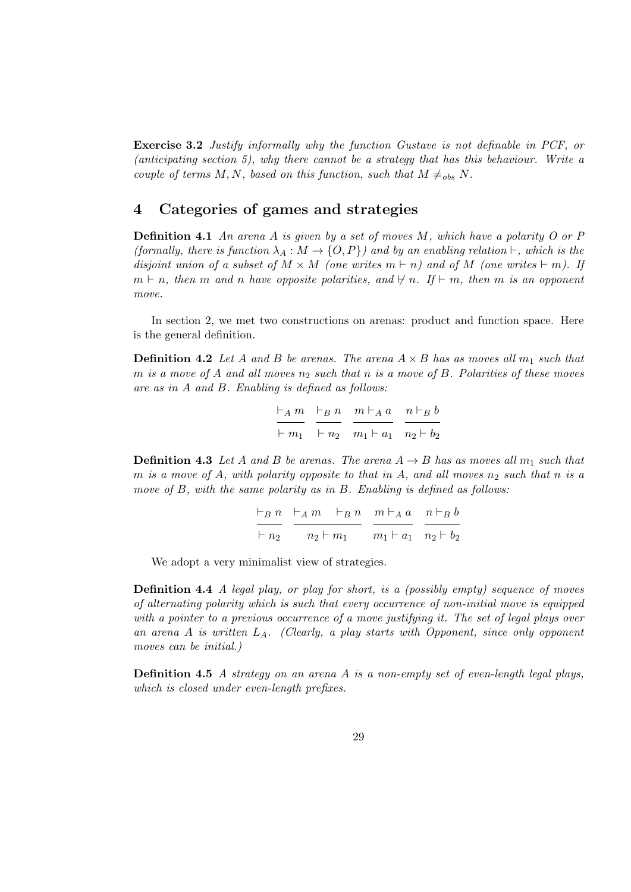Exercise 3.2 Justify informally why the function Gustave is not definable in PCF, or (anticipating section 5), why there cannot be a strategy that has this behaviour. Write a couple of terms M, N, based on this function, such that  $M \neq_{obs} N$ .

## 4 Categories of games and strategies

**Definition 4.1** An arena A is given by a set of moves M, which have a polarity O or P (formally, there is function  $\lambda_A : M \to \{O, P\}$ ) and by an enabling relation  $\vdash$ , which is the disjoint union of a subset of  $M \times M$  (one writes  $m \vdash n$ ) and of M (one writes  $\vdash m$ ). If  $m \vdash n$ , then m and n have opposite polarities, and  $\nvdash n$ . If  $\vdash m$ , then m is an opponent move.

In section 2, we met two constructions on arenas: product and function space. Here is the general definition.

**Definition 4.2** Let A and B be arenas. The arena  $A \times B$  has as moves all  $m_1$  such that m is a move of A and all moves  $n_2$  such that n is a move of B. Polarities of these moves are as in A and B. Enabling is defined as follows:

$$
\frac{\vdash_A m}{\vdash m_1} \quad \frac{\vdash_B n}{\vdash n_2} \quad \frac{m \vdash_A a}{m_1 \vdash a_1} \quad \frac{n \vdash_B b}{n_2 \vdash b_2}
$$

**Definition 4.3** Let A and B be arenas. The arena  $A \rightarrow B$  has as moves all  $m_1$  such that m is a move of A, with polarity opposite to that in A, and all moves  $n_2$  such that n is a move of B, with the same polarity as in B. Enabling is defined as follows:

$$
\frac{\vdash_B n}{\vdash n_2} \quad \frac{\vdash_A m \quad \vdash_B n}{n_2 \vdash m_1} \quad \frac{m \vdash_A a}{m_1 \vdash a_1} \quad \frac{n \vdash_B b}{n_2 \vdash b_2}
$$

We adopt a very minimalist view of strategies.

Definition 4.4 A legal play, or play for short, is a (possibly empty) sequence of moves of alternating polarity which is such that every occurrence of non-initial move is equipped with a pointer to a previous occurrence of a move justifying it. The set of legal plays over an arena A is written  $L_A$ . (Clearly, a play starts with Opponent, since only opponent moves can be initial.)

Definition 4.5 A strategy on an arena A is a non-empty set of even-length legal plays, which is closed under even-length prefixes.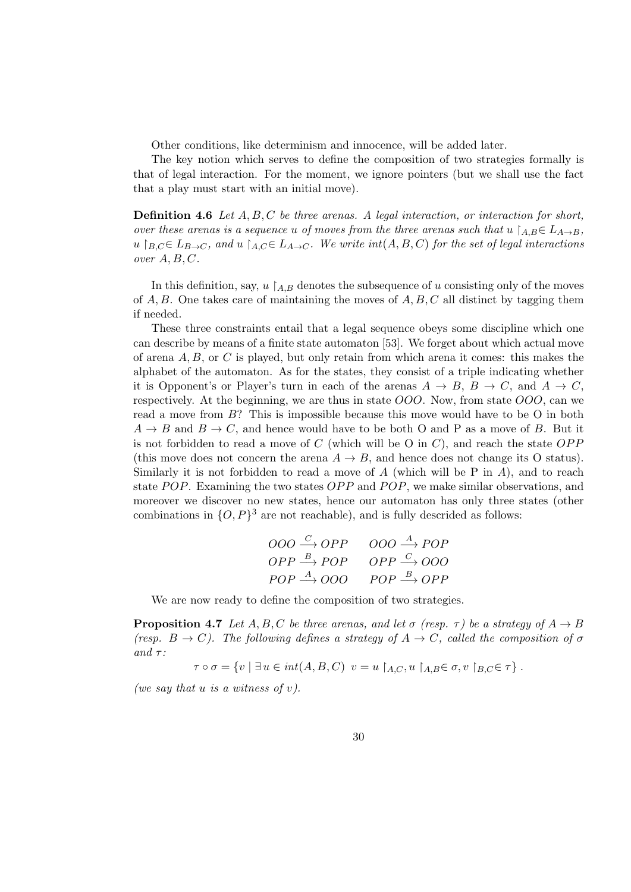Other conditions, like determinism and innocence, will be added later.

The key notion which serves to define the composition of two strategies formally is that of legal interaction. For the moment, we ignore pointers (but we shall use the fact that a play must start with an initial move).

**Definition 4.6** Let  $A, B, C$  be three arenas. A legal interaction, or interaction for short, over these arenas is a sequence u of moves from the three arenas such that  $u \nvert_{AB} \in L_{A\to B}$ , u  $B_C \in L_{B \to C}$ , and u  $A_C \in L_{A \to C}$ . We write int $(A, B, C)$  for the set of legal interactions over  $A, B, C$ .

In this definition, say,  $u \nvert_{AB}$  denotes the subsequence of u consisting only of the moves of  $A, B$ . One takes care of maintaining the moves of  $A, B, C$  all distinct by tagging them if needed.

These three constraints entail that a legal sequence obeys some discipline which one can describe by means of a finite state automaton [53]. We forget about which actual move of arena  $A, B$ , or C is played, but only retain from which arena it comes: this makes the alphabet of the automaton. As for the states, they consist of a triple indicating whether it is Opponent's or Player's turn in each of the arenas  $A \to B$ ,  $B \to C$ , and  $A \to C$ , respectively. At the beginning, we are thus in state OOO. Now, from state OOO, can we read a move from B? This is impossible because this move would have to be O in both  $A \rightarrow B$  and  $B \rightarrow C$ , and hence would have to be both O and P as a move of B. But it is not forbidden to read a move of  $C$  (which will be O in  $C$ ), and reach the state  $OPP$ (this move does not concern the arena  $A \rightarrow B$ , and hence does not change its O status). Similarly it is not forbidden to read a move of A (which will be P in A), and to reach state  $POP$ . Examining the two states  $OPP$  and  $POP$ , we make similar observations, and moreover we discover no new states, hence our automaton has only three states (other combinations in  $\{O, P\}^3$  are not reachable), and is fully descrided as follows:

$$
\begin{array}{ccc}\nOOO & \xrightarrow{C} OPP & OOO & \xrightarrow{A} POP \\
OPP & \xrightarrow{B} POP & OPP & \xrightarrow{C} OOO \\
POP & \xrightarrow{A} OOO & POP & \xrightarrow{B} OPP\n\end{array}
$$

We are now ready to define the composition of two strategies.

**Proposition 4.7** Let A, B, C be three arenas, and let  $\sigma$  (resp.  $\tau$ ) be a strategy of  $A \rightarrow B$ (resp.  $B \to C$ ). The following defines a strategy of  $A \to C$ , called the composition of  $\sigma$ and  $\tau$ :

 $\tau \circ \sigma = \{v \mid \exists u \in int(A, B, C) \ v = u \restriction_{A,C} u \restriction_{A,B} \in \sigma, v \restriction_{B,C} \in \tau \}.$ 

(we say that u is a witness of  $v$ ).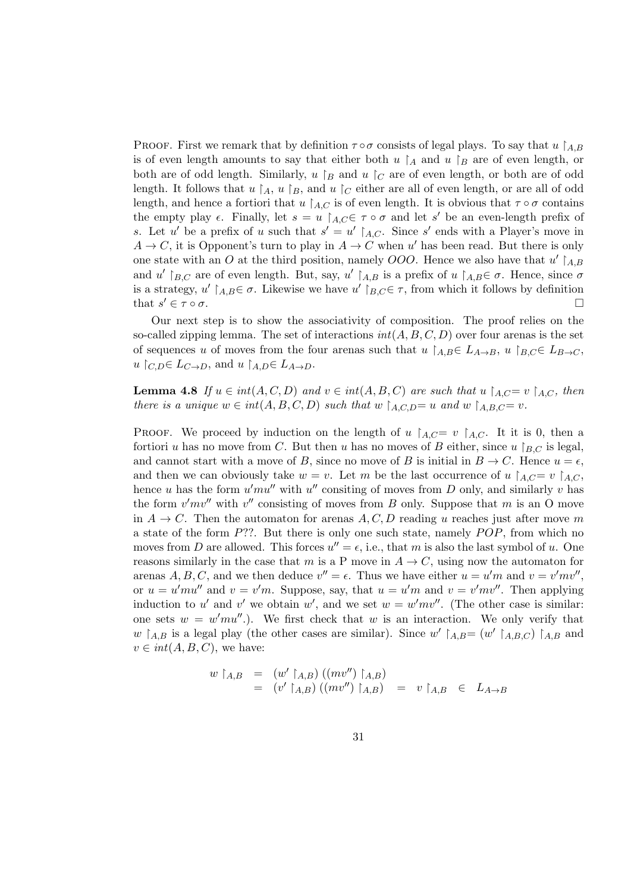PROOF. First we remark that by definition  $\tau \circ \sigma$  consists of legal plays. To say that  $u \upharpoonright_{AB} B$ is of even length amounts to say that either both  $u \nvert_A$  and  $u \nvert_B$  are of even length, or both are of odd length. Similarly, u  $\beta$  and u  $\sigma$  are of even length, or both are of odd length. It follows that  $u \nvert_A$ ,  $u \nvert_B$ , and  $u \nvert_C$  either are all of even length, or are all of odd length, and hence a fortiori that u  $A_{AC}$  is of even length. It is obvious that  $\tau \circ \sigma$  contains the empty play  $\epsilon$ . Finally, let  $s = u \restriction_{A,C} \epsilon \tau \circ \sigma$  and let s' be an even-length prefix of s. Let u' be a prefix of u such that  $s' = u' \upharpoonright_{A,C}$ . Since s' ends with a Player's move in  $A \to C$ , it is Opponent's turn to play in  $A \to C$  when u' has been read. But there is only one state with an O at the third position, namely OOO. Hence we also have that  $u' \upharpoonright_{A,B}$ and u'  $\upharpoonright_{B,C}$  are of even length. But, say, u'  $\upharpoonright_{A,B}$  is a prefix of u  $\upharpoonright_{A,B} \in \sigma$ . Hence, since  $\sigma$ is a strategy,  $u' \upharpoonright_{A,B} \in \sigma$ . Likewise we have  $u' \upharpoonright_{B,C} \in \tau$ , from which it follows by definition that  $s' \in \tau \circ \sigma$ .  $\sigma$  =  $\sigma$ .

Our next step is to show the associativity of composition. The proof relies on the so-called zipping lemma. The set of interactions  $int(A, B, C, D)$  over four arenas is the set of sequences u of moves from the four arenas such that  $u \upharpoonright_{A,B} \in L_{A\to B}$ ,  $u \upharpoonright_{B,C} \in L_{B\to C}$ ,  $u \restriction_{C,D} \in L_{C\to D}$ , and  $u \restriction_{A,D} \in L_{A\to D}$ .

**Lemma 4.8** If  $u \in int(A, C, D)$  and  $v \in int(A, B, C)$  are such that  $u \upharpoonright_{A,C} = v \upharpoonright_{A,C}$ , then there is a unique  $w \in int(A, B, C, D)$  such that  $w \nvert_{A, C, D} = u$  and  $w \nvert_{A, B, C} = v$ .

**PROOF.** We proceed by induction on the length of u  $A_{C}= v$   $A_{C}$ . It it is 0, then a fortiori u has no move from C. But then u has no moves of B either, since  $u \restriction_{BC}$  is legal, and cannot start with a move of B, since no move of B is initial in  $B \to C$ . Hence  $u = \epsilon$ , and then we can obviously take  $w = v$ . Let m be the last occurrence of u  $A_{AC} = v A_{AC}$ , hence u has the form  $u'mu''$  with  $u''$  consiting of moves from D only, and similarly v has the form  $v'mv''$  with  $v''$  consisting of moves from B only. Suppose that m is an O move in  $A \to C$ . Then the automaton for arenas A, C, D reading u reaches just after move m a state of the form  $P$ ??. But there is only one such state, namely  $POP$ , from which no moves from D are allowed. This forces  $u'' = \epsilon$ , i.e., that m is also the last symbol of u. One reasons similarly in the case that m is a P move in  $A \to C$ , using now the automaton for arenas A, B, C, and we then deduce  $v'' = \epsilon$ . Thus we have either  $u = u'm$  and  $v = v'mv''$ , or  $u = u' m u''$  and  $v = v' m$ . Suppose, say, that  $u = u' m$  and  $v = v' m v''$ . Then applying induction to u' and v' we obtain w', and we set  $w = w'mv''$ . (The other case is similar: one sets  $w = w'mu''$ .). We first check that w is an interaction. We only verify that w  $A,B$  is a legal play (the other cases are similar). Since w'  $A,B = (w' \nvert_{A,B,C})$   $A,B$  and  $v \in int(A, B, C)$ , we have:

$$
w \upharpoonright_{A,B} = (w' \upharpoonright_{A,B}) ((mv'') \upharpoonright_{A,B})
$$
  
= 
$$
(v' \upharpoonright_{A,B}) ((mv'') \upharpoonright_{A,B}) = v \upharpoonright_{A,B} \in L_{A \to B}
$$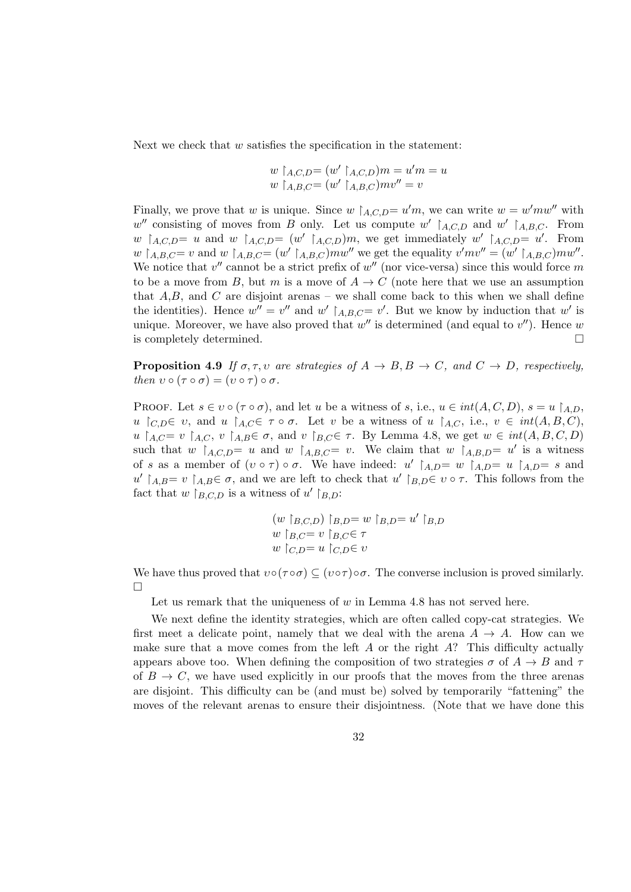Next we check that  $w$  satisfies the specification in the statement:

$$
w \restriction_{A,C,D} = (w' \restriction_{A,C,D})m = u'm = u
$$
  

$$
w \restriction_{A,B,C} = (w' \restriction_{A,B,C})mv'' = v
$$

Finally, we prove that w is unique. Since  $w \nvert_{A,C,D} = u'm$ , we can write  $w = w'mw''$  with w'' consisting of moves from B only. Let us compute w'  $|_{A,C,D}$  and w'  $|_{A,B,C}$ . From w  $\upharpoonright_{A,C,D} = u$  and w  $\upharpoonright_{A,C,D} = (w' \upharpoonright_{A,C,D})m$ , we get immediately w'  $\upharpoonright_{A,C,D} = u'$ . From  $w \upharpoonright_{A,B,C} = v$  and  $w \upharpoonright_{A,B,C} = (w' \upharpoonright_{A,B,C})m w''$  we get the equality  $v'mv'' = (w' \upharpoonright_{A,B,C})m w''$ . We notice that  $v''$  cannot be a strict prefix of  $w''$  (nor vice-versa) since this would force m to be a move from B, but m is a move of  $A \to C$  (note here that we use an assumption that  $A,B$ , and  $C$  are disjoint arenas – we shall come back to this when we shall define the identities). Hence  $w'' = v''$  and  $w' \upharpoonright_{A,B,C} = v'$ . But we know by induction that  $w'$  is unique. Moreover, we have also proved that  $w''$  is determined (and equal to  $v''$ ). Hence w is completely determined.

**Proposition 4.9** If  $\sigma, \tau, \nu$  are strategies of  $A \rightarrow B, B \rightarrow C$ , and  $C \rightarrow D$ , respectively, then  $v \circ (\tau \circ \sigma) = (v \circ \tau) \circ \sigma$ .

PROOF. Let  $s \in v \circ (\tau \circ \sigma)$ , and let u be a witness of s, i.e.,  $u \in int(A, C, D)$ ,  $s = u \upharpoonright_{A,D}$ , u  $\lceil c_D \in v$ , and u  $\lceil_{A,C} \in \tau \circ \sigma$ . Let v be a witness of u  $\lceil_{A,C}$ , i.e.,  $v \in int(A, B, C)$ , u  $A, C = v$   $A, C, v$   $A, B \in \sigma$ , and v  $B, C \in \tau$ . By Lemma 4.8, we get  $w \in int(A, B, C, D)$ such that w  $A, C, D = u$  and w  $A, B, C = v$ . We claim that w  $A, B, D = u'$  is a witness of s as a member of  $(v \circ \tau) \circ \sigma$ . We have indeed:  $u' \upharpoonright_{A,D} = w \upharpoonright_{A,D} = u \upharpoonright_{A,D} = s$  and u'  $A, B = v$   $A, B \in \sigma$ , and we are left to check that u'  $B, D \in \sigma$   $\tau$ . This follows from the fact that  $w \nvert_{B,C,D}$  is a witness of  $u' \nvert_{B,D}$ :

$$
(w |_{B,C,D}) |_{B,D} = w |_{B,D} = u' |_{B,D}
$$
  

$$
w |_{B,C} = v |_{B,C} \in \tau
$$
  

$$
w |_{C,D} = u |_{C,D} \in v
$$

We have thus proved that  $v \circ (\tau \circ \sigma) \subseteq (v \circ \tau) \circ \sigma$ . The converse inclusion is proved similarly.  $\Box$ 

Let us remark that the uniqueness of  $w$  in Lemma 4.8 has not served here.

We next define the identity strategies, which are often called copy-cat strategies. We first meet a delicate point, namely that we deal with the arena  $A \rightarrow A$ . How can we make sure that a move comes from the left  $A$  or the right  $A$ ? This difficulty actually appears above too. When defining the composition of two strategies  $\sigma$  of  $A \rightarrow B$  and  $\tau$ of  $B \to C$ , we have used explicitly in our proofs that the moves from the three arenas are disjoint. This difficulty can be (and must be) solved by temporarily "fattening" the moves of the relevant arenas to ensure their disjointness. (Note that we have done this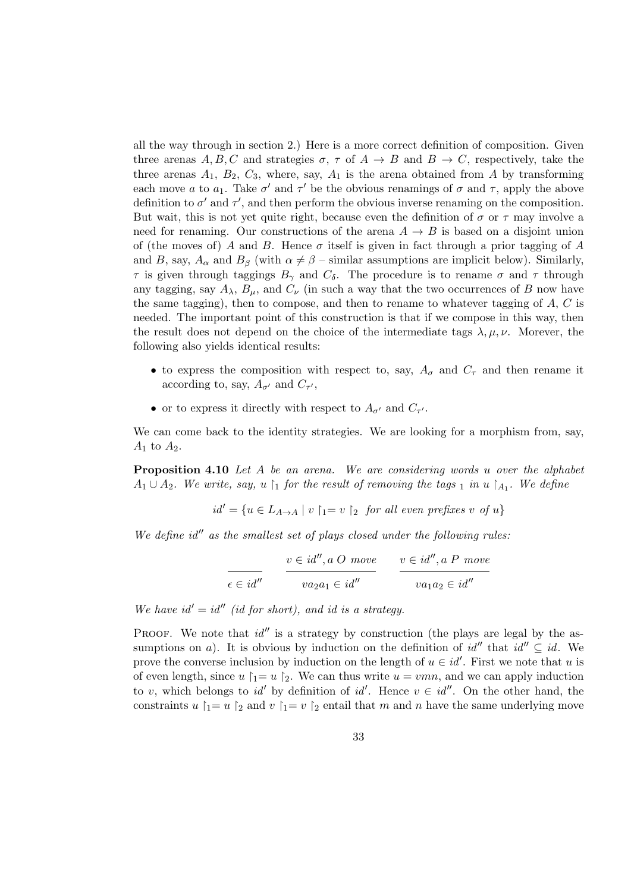all the way through in section 2.) Here is a more correct definition of composition. Given three arenas A, B, C and strategies  $\sigma$ ,  $\tau$  of  $A \to B$  and  $B \to C$ , respectively, take the three arenas  $A_1$ ,  $B_2$ ,  $C_3$ , where, say,  $A_1$  is the arena obtained from A by transforming each move a to  $a_1$ . Take  $\sigma'$  and  $\tau'$  be the obvious renamings of  $\sigma$  and  $\tau$ , apply the above definition to  $\sigma'$  and  $\tau'$ , and then perform the obvious inverse renaming on the composition. But wait, this is not yet quite right, because even the definition of  $\sigma$  or  $\tau$  may involve a need for renaming. Our constructions of the arena  $A \rightarrow B$  is based on a disjoint union of (the moves of) A and B. Hence  $\sigma$  itself is given in fact through a prior tagging of A and B, say,  $A_{\alpha}$  and  $B_{\beta}$  (with  $\alpha \neq \beta$  – similar assumptions are implicit below). Similarly, τ is given through taggings  $B_γ$  and  $C_δ$ . The procedure is to rename σ and τ through any tagging, say  $A_{\lambda}$ ,  $B_{\mu}$ , and  $C_{\nu}$  (in such a way that the two occurrences of B now have the same tagging), then to compose, and then to rename to whatever tagging of A, C is needed. The important point of this construction is that if we compose in this way, then the result does not depend on the choice of the intermediate tags  $\lambda, \mu, \nu$ . Morever, the following also yields identical results:

- to express the composition with respect to, say,  $A_{\sigma}$  and  $C_{\tau}$  and then rename it according to, say,  $A_{\sigma'}$  and  $C_{\tau'}$ ,
- or to express it directly with respect to  $A_{\sigma'}$  and  $C_{\tau'}$ .

We can come back to the identity strategies. We are looking for a morphism from, say,  $A_1$  to  $A_2$ .

Proposition 4.10 Let A be an arena. We are considering words u over the alphabet  $A_1 \cup A_2$ . We write, say, u \ i for the result of removing the tags i in u \ \ A<sub>1</sub>. We define

 $id' = \{u \in L_{A\to A} \mid v\upharpoonright_1 = v\upharpoonright_2 \text{ for all even prefixes } v \text{ of } u\}$ 

We define  $id''$  as the smallest set of plays closed under the following rules:

$$
\frac{v \in id'', a O \; \text{move}}{v a_2 a_1 \in id''}
$$
\n
$$
\frac{v \in id'', a P \; \text{move}}{v a_1 a_2 \in id''}
$$

We have  $id' = id''$  (id for short), and id is a strategy.

PROOF. We note that  $id''$  is a strategy by construction (the plays are legal by the assumptions on a). It is obvious by induction on the definition of  $id''$  that  $id'' \subseteq id$ . We prove the converse inclusion by induction on the length of  $u \in id'$ . First we note that u is of even length, since  $u \upharpoonright_1 = u \upharpoonright_2$ . We can thus write  $u = vmn$ , and we can apply induction to v, which belongs to id' by definition of id'. Hence  $v \in id''$ . On the other hand, the constraints u  $\vert_1= u \vert_2$  and v  $\vert_1= v \vert_2$  entail that m and n have the same underlying move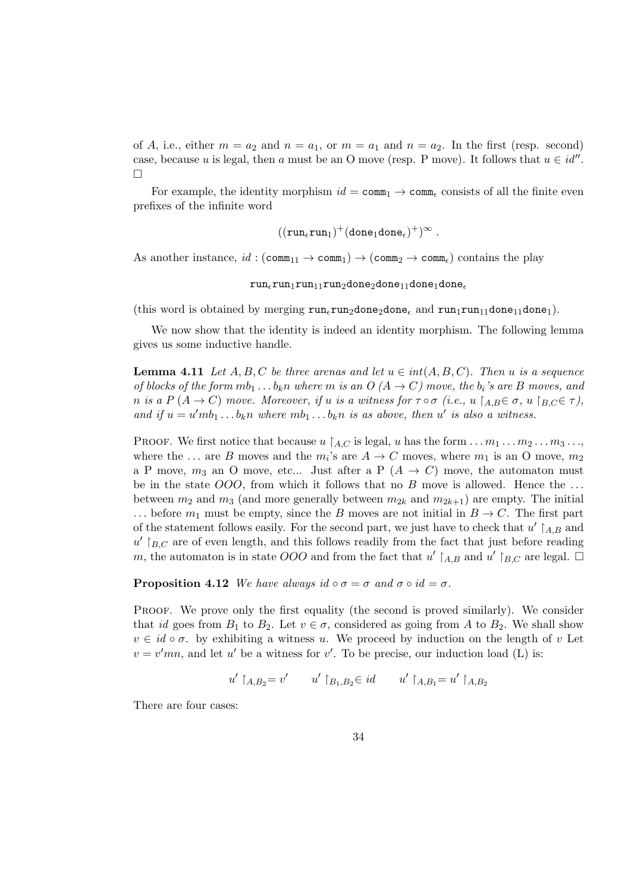of A, i.e., either  $m = a_2$  and  $n = a_1$ , or  $m = a_1$  and  $n = a_2$ . In the first (resp. second) case, because u is legal, then a must be an O move (resp. P move). It follows that  $u \in id''$ .  $\Box$ 

For example, the identity morphism  $id = \text{comm}_1 \rightarrow \text{comm}_c$  consists of all the finite even prefixes of the infinite word

$$
((\mathtt{run}_\epsilon\mathtt{run}_1)^+(\mathtt{done}_1\mathtt{done}_\epsilon)^+)^\infty\;.
$$

As another instance,  $id : (\text{comm}_{11} \to \text{comm}_{1}) \to (\text{comm}_{2} \to \text{comm}_{\epsilon})$  contains the play

 $run_{\epsilon}run_1run_1run_2done_2done_{11}done_1done_1$ 

(this word is obtained by merging  $\text{run}_{\epsilon} \text{run}_{2}$ done<sub>2</sub>done<sub> $\epsilon$ </sub> and  $\text{run}_{1} \text{run}_{11}$ done<sub>11</sub>done<sub>1</sub>).

We now show that the identity is indeed an identity morphism. The following lemma gives us some inductive handle.

**Lemma 4.11** Let  $A, B, C$  be three arenas and let  $u \in int(A, B, C)$ . Then u is a sequence of blocks of the form  $mb_1 \dots b_k n$  where m is an  $O(A \rightarrow C)$  move, the  $b_i$ 's are B moves, and n is a P  $(A \to C)$  move. Moreover, if u is a witness for  $\tau \circ \sigma$  (i.e., u  $A \in \mathcal{B}$ , u  $B \subset \tau$ ), and if  $u = u' m b_1 ... b_k n$  where  $m b_1 ... b_k n$  is as above, then u' is also a witness.

PROOF. We first notice that because  $u \nvert_{A,C}$  is legal, u has the form  $\dots m_1 \dots m_2 \dots m_3 \dots$ where the ... are B moves and the  $m_i$ 's are  $A \to C$  moves, where  $m_1$  is an O move,  $m_2$ a P move,  $m_3$  an O move, etc... Just after a P  $(A \rightarrow C)$  move, the automaton must be in the state  $OOO$ , from which it follows that no B move is allowed. Hence the ... between  $m_2$  and  $m_3$  (and more generally between  $m_{2k}$  and  $m_{2k+1}$ ) are empty. The initial ... before  $m_1$  must be empty, since the B moves are not initial in  $B \to C$ . The first part of the statement follows easily. For the second part, we just have to check that  $u' \upharpoonright_{A,B}$  and  $u'$  [ $_{B,C}$  are of even length, and this follows readily from the fact that just before reading m, the automaton is in state OOO and from the fact that u'  $A, B$  and u'  $B, C$  are legal.  $\Box$ 

**Proposition 4.12** We have always id  $\circ \sigma = \sigma$  and  $\sigma \circ id = \sigma$ .

PROOF. We prove only the first equality (the second is proved similarly). We consider that id goes from  $B_1$  to  $B_2$ . Let  $v \in \sigma$ , considered as going from A to  $B_2$ . We shall show  $v \in id \circ \sigma$ . by exhibiting a witness u. We proceed by induction on the length of v Let  $v = v'mn$ , and let u' be a witness for v'. To be precise, our induction load (L) is:

$$
u' \upharpoonright_{A,B_2} = v' \qquad u' \upharpoonright_{B_1,B_2} \in id \qquad u' \upharpoonright_{A,B_1} = u' \upharpoonright_{A,B_2}
$$

There are four cases: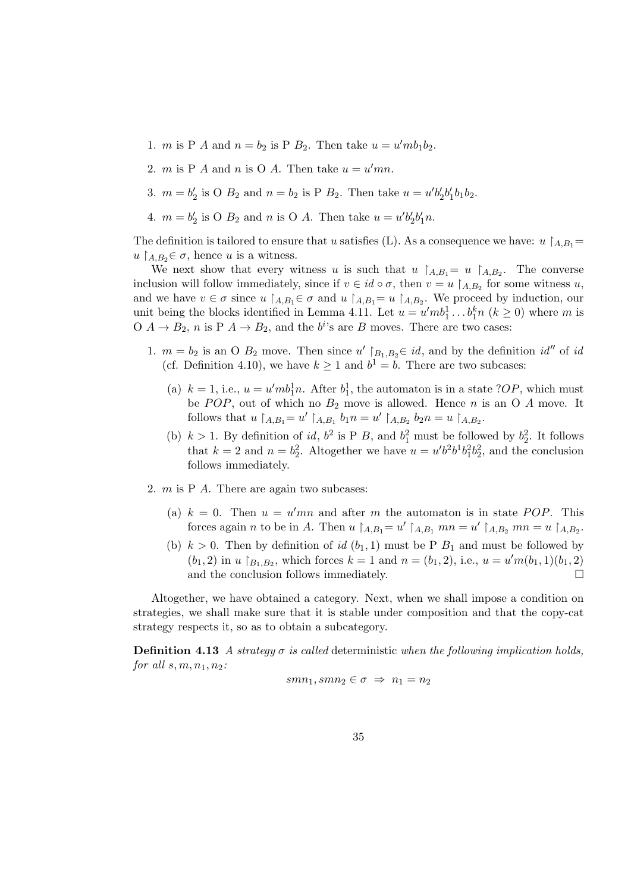- 1. *m* is P *A* and  $n = b_2$  is P  $B_2$ . Then take  $u = u' m b_1 b_2$ .
- 2. *m* is P *A* and *n* is O *A*. Then take  $u = u'mn$ .
- 3.  $m = b'_2$  is O  $B_2$  and  $n = b_2$  is P  $B_2$ . Then take  $u = u'b'_2b'_1b_1b_2$ .
- 4.  $m = b'_2$  is O  $B_2$  and n is O A. Then take  $u = u'b'_2b'_1n$ .

The definition is tailored to ensure that u satisfies (L). As a consequence we have:  $u \upharpoonright_{A,B_1} =$  $u \upharpoonright_{A,B_2} \in \sigma$ , hence u is a witness.

We next show that every witness u is such that  $u \restriction_{A,B_1} = u \restriction_{A,B_2}$ . The converse inclusion will follow immediately, since if  $v \in id \circ \sigma$ , then  $v = u \upharpoonright_{A,B_2}$  for some witness u, and we have  $v \in \sigma$  since  $u \restriction_{A,B_1} \in \sigma$  and  $u \restriction_{A,B_1} = u \restriction_{A,B_2}$ . We proceed by induction, our unit being the blocks identified in Lemma 4.11. Let  $u = u' m b_1^1 \dots b_1^k n$   $(k \ge 0)$  where m is  $O \nmid A \rightarrow B_2$ , n is  $P \nmid A \rightarrow B_2$ , and the  $b^i$ 's are B moves. There are two cases:

- 1.  $m = b_2$  is an O  $B_2$  move. Then since  $u' \upharpoonright_{B_1, B_2} \in id$ , and by the definition  $id''$  of id (cf. Definition 4.10), we have  $k \geq 1$  and  $b^1 = b$ . There are two subcases:
	- (a)  $k = 1$ , i.e.,  $u = u'mb_1^1n$ . After  $b_1^1$ , the automaton is in a state ?*OP*, which must be  $POP$ , out of which no  $B_2$  move is allowed. Hence n is an O A move. It follows that  $u \upharpoonright_{A,B_1} = u' \upharpoonright_{A,B_1} b_1 n = u' \upharpoonright_{A,B_2} b_2 n = u \upharpoonright_{A,B_2}$ .
	- (b)  $k > 1$ . By definition of id,  $b^2$  is P B, and  $b_1^2$  must be followed by  $b_2^2$ . It follows that  $k = 2$  and  $n = b_2^2$ . Altogether we have  $u = u'b^2b^1b_1^2b_2^2$ , and the conclusion follows immediately.
- 2.  $m$  is P  $A$ . There are again two subcases:
	- (a)  $k = 0$ . Then  $u = u'mn$  and after m the automaton is in state POP. This forces again *n* to be in A. Then  $u \upharpoonright_{A,B_1} = u' \upharpoonright_{A,B_1} mn = u' \upharpoonright_{A,B_2} mn = u \upharpoonright_{A,B_2}$ .
	- (b)  $k > 0$ . Then by definition of id  $(b_1, 1)$  must be P  $B_1$  and must be followed by  $(b_1, 2)$  in u  $b_{1, B_2}$ , which forces  $k = 1$  and  $n = (b_1, 2)$ , i.e.,  $u = u'm(b_1, 1)(b_1, 2)$ and the conclusion follows immediately.  $\Box$

Altogether, we have obtained a category. Next, when we shall impose a condition on strategies, we shall make sure that it is stable under composition and that the copy-cat strategy respects it, so as to obtain a subcategory.

**Definition 4.13** A strategy  $\sigma$  is called deterministic when the following implication holds, for all  $s, m, n_1, n_2$ :

$$
smn_1, smn_2 \in \sigma \ \Rightarrow \ n_1 = n_2
$$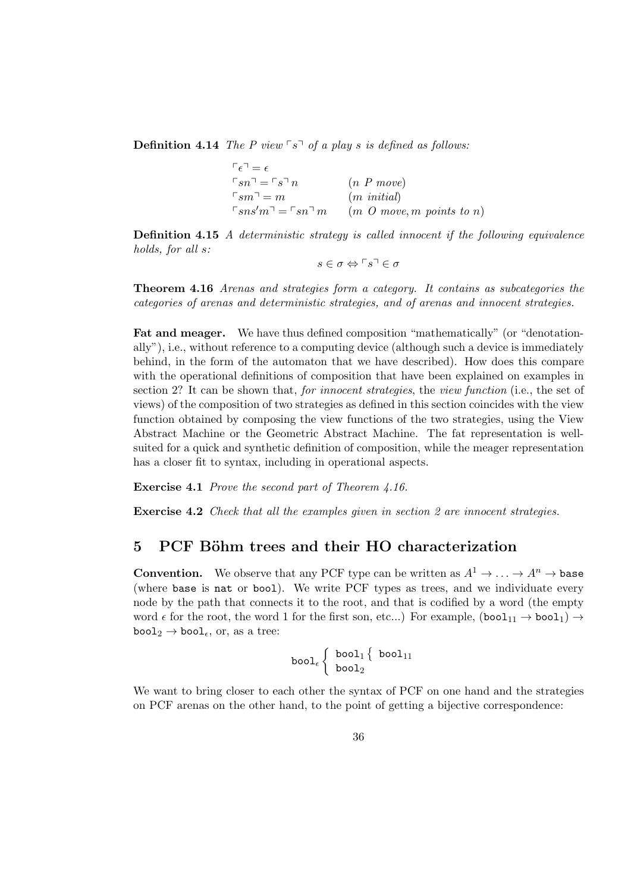**Definition 4.14** The P view  $\lceil s \rceil$  of a play s is defined as follows:

| $\lceil \epsilon \rceil = \epsilon$              |                                  |
|--------------------------------------------------|----------------------------------|
| $\Gamma_{S} n^{\square} = \Gamma_{S} \Gamma n$   | $(n \; P \; move)$               |
| $\lceil sm \rceil = m$                           | $(m \text{ initial})$            |
| $\sqcap$ sns'm $\sqcap$ = $\sqcap$ sn $\sqcap$ m | $(m\ O\ move, m\ points\ to\ n)$ |

Definition 4.15 A deterministic strategy is called innocent if the following equivalence holds, for all s:

$$
s\in\sigma\Leftrightarrow\ulcorner s\urcorner\in\sigma
$$

Theorem 4.16 Arenas and strategies form a category. It contains as subcategories the categories of arenas and deterministic strategies, and of arenas and innocent strategies.

Fat and meager. We have thus defined composition "mathematically" (or "denotationally"), i.e., without reference to a computing device (although such a device is immediately behind, in the form of the automaton that we have described). How does this compare with the operational definitions of composition that have been explained on examples in section 2? It can be shown that, *for innocent strategies*, the *view function* (i.e., the set of views) of the composition of two strategies as defined in this section coincides with the view function obtained by composing the view functions of the two strategies, using the View Abstract Machine or the Geometric Abstract Machine. The fat representation is wellsuited for a quick and synthetic definition of composition, while the meager representation has a closer fit to syntax, including in operational aspects.

Exercise 4.1 Prove the second part of Theorem 4.16.

Exercise 4.2 Check that all the examples given in section 2 are innocent strategies.

### 5 PCF Böhm trees and their HO characterization

**Convention.** We observe that any PCF type can be written as  $A^1 \rightarrow \cdots \rightarrow A^n \rightarrow$  base (where base is nat or bool). We write PCF types as trees, and we individuate every node by the path that connects it to the root, and that is codified by a word (the empty word  $\epsilon$  for the root, the word 1 for the first son, etc...) For example,  $(bool_{11} \rightarrow bool_1) \rightarrow$  $\text{bool}_2 \rightarrow \text{bool}_\epsilon$ , or, as a tree:

$$
\texttt{bool}_\epsilon \left\{ \begin{array}{c} \texttt{bool}_1 \left\{ \begin{array}{c} \texttt{bool}_{11} \\ \texttt{bool}_2 \end{array} \right.
$$

We want to bring closer to each other the syntax of PCF on one hand and the strategies on PCF arenas on the other hand, to the point of getting a bijective correspondence: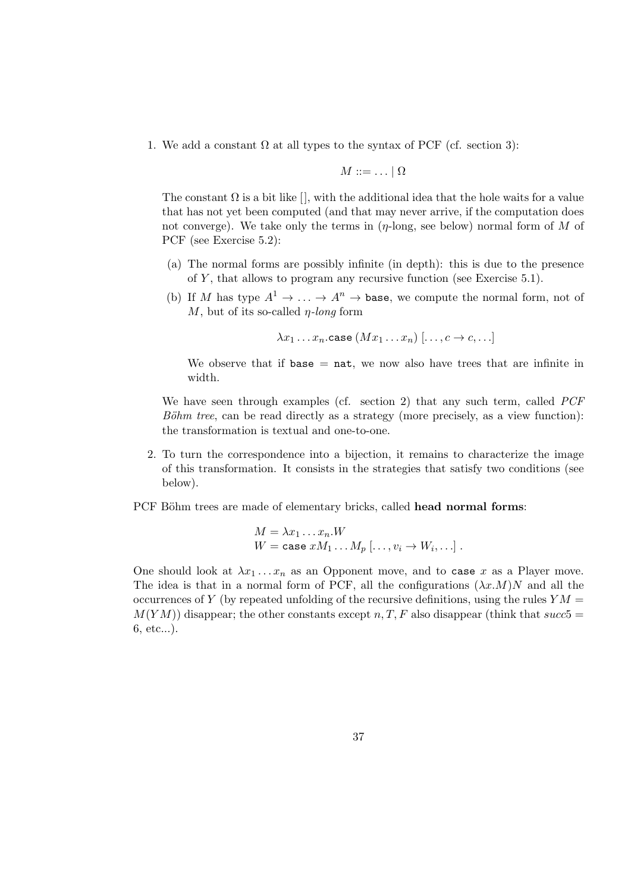1. We add a constant  $\Omega$  at all types to the syntax of PCF (cf. section 3):

$$
M ::= \ldots | \Omega
$$

The constant  $\Omega$  is a bit like  $[$ , with the additional idea that the hole waits for a value that has not yet been computed (and that may never arrive, if the computation does not converge). We take only the terms in  $(\eta$ -long, see below) normal form of M of PCF (see Exercise 5.2):

- (a) The normal forms are possibly infinite (in depth): this is due to the presence of  $Y$ , that allows to program any recursive function (see Exercise 5.1).
- (b) If M has type  $A^1 \to \ldots \to A^n \to$  base, we compute the normal form, not of  $M$ , but of its so-called  $\eta$ -long form

 $\lambda x_1 \ldots x_n$ .case  $(Mx_1 \ldots x_n)$   $[\ldots, c \rightarrow c, \ldots]$ 

We observe that if base  $=$  nat, we now also have trees that are infinite in width.

We have seen through examples (cf. section 2) that any such term, called *PCF*  $B\ddot{o}hm$  tree, can be read directly as a strategy (more precisely, as a view function): the transformation is textual and one-to-one.

2. To turn the correspondence into a bijection, it remains to characterize the image of this transformation. It consists in the strategies that satisfy two conditions (see below).

PCF Böhm trees are made of elementary bricks, called head normal forms:

$$
M = \lambda x_1 \dots x_n.W
$$
  
 
$$
W = \text{case } xM_1 \dots M_p \, [\dots, v_i \to W_i, \dots].
$$

One should look at  $\lambda x_1 \ldots x_n$  as an Opponent move, and to case x as a Player move. The idea is that in a normal form of PCF, all the configurations  $(\lambda x.M)N$  and all the occurrences of Y (by repeated unfolding of the recursive definitions, using the rules  $YM =$  $M(YM)$ ) disappear; the other constants except n, T, F also disappear (think that succ5 = 6, etc...).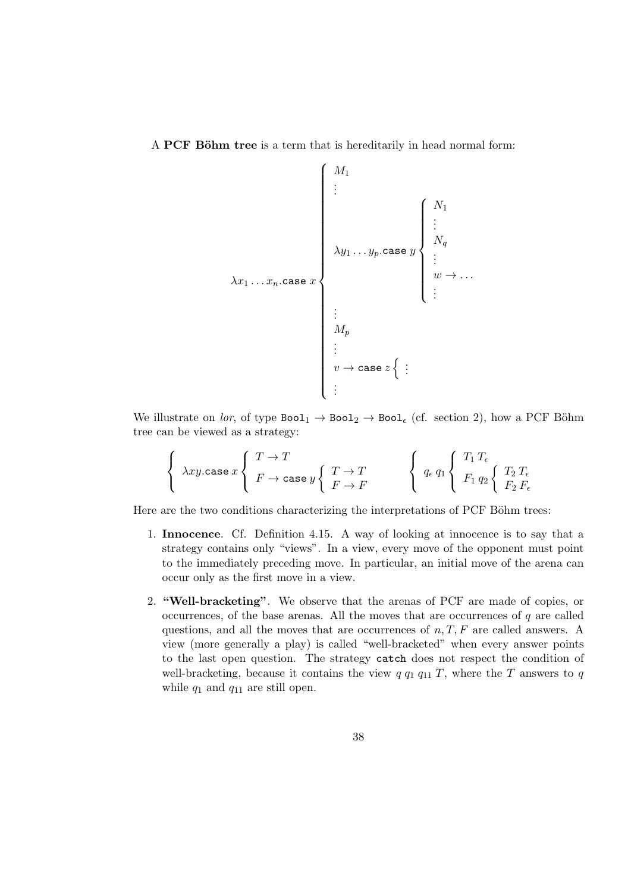A PCF Böhm tree is a term that is hereditarily in head normal form:

$$
\lambda x_1 \dots x_n \text{.case } x\n\begin{cases}\nM_1 \\
\vdots \\
\lambda y_1 \dots y_p \text{.case } y\n\begin{cases}\nN_1 \\
\vdots \\
N_q \\
\vdots \\
w \to \dots \\
\vdots \\
\vdots\n\end{cases}
$$
\n
$$
\lambda x_1 \dots x_n \text{.case } x\n\begin{cases}\nN_1 \\
\vdots \\
\vdots \\
w \to \dots\n\end{cases}
$$

We illustrate on lor, of type  $Bool_1 \rightarrow Bool_2 \rightarrow Bool_6$  (cf. section 2), how a PCF Böhm tree can be viewed as a strategy:

$$
\left\{\begin{array}{l}\lambda xy.\texttt{case }x\left\{\begin{array}{l}T\to T\\F\to\texttt{case }y\left\{\begin{array}{l}T\to T\\F\to F\end{array}\right.\end{array}\right.\right.\right.\left.\left\{\begin{array}{l}q_\epsilon\,q_1\left\{\begin{array}{l}T_1\,T_\epsilon\\F_1\,q_2\left\{\begin{array}{l}T_2\,T_\epsilon\\F_2\,F_\epsilon\end{array}\right.\end{array}\right.\right.\right.
$$

Here are the two conditions characterizing the interpretations of PCF Böhm trees:

- 1. Innocence. Cf. Definition 4.15. A way of looking at innocence is to say that a strategy contains only "views". In a view, every move of the opponent must point to the immediately preceding move. In particular, an initial move of the arena can occur only as the first move in a view.
- 2. "Well-bracketing". We observe that the arenas of PCF are made of copies, or occurrences, of the base arenas. All the moves that are occurrences of  $q$  are called questions, and all the moves that are occurrences of  $n, T, F$  are called answers. A view (more generally a play) is called "well-bracketed" when every answer points to the last open question. The strategy catch does not respect the condition of well-bracketing, because it contains the view  $q \, q_1 \, q_{11} \, T$ , where the T answers to  $q$ while  $q_1$  and  $q_{11}$  are still open.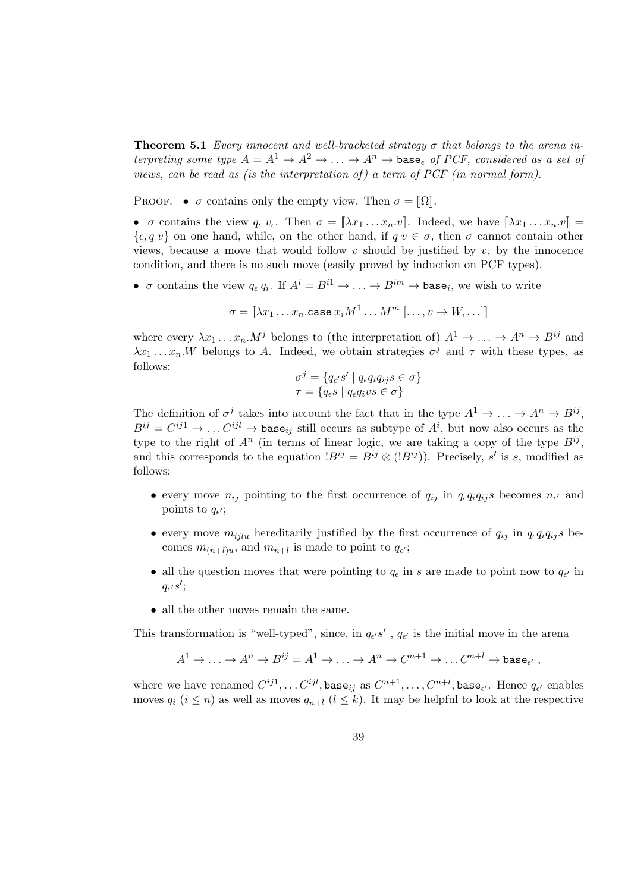**Theorem 5.1** Every innocent and well-bracketed strategy  $\sigma$  that belongs to the arena interpreting some type  $A = A^1 \rightarrow A^2 \rightarrow \ldots \rightarrow A^n \rightarrow$  base, of PCF, considered as a set of views, can be read as (is the interpretation of) a term of PCF (in normal form).

PROOF. •  $\sigma$  contains only the empty view. Then  $\sigma = \Omega$ .

•  $\sigma$  contains the view  $q_{\epsilon} v_{\epsilon}$ . Then  $\sigma = [\![\lambda x_1 \ldots x_n v]\!]$ . Indeed, we have  $[\![\lambda x_1 \ldots x_n v]\!] =$  $\{\epsilon, q \, v\}$  on one hand, while, on the other hand, if  $q \, v \in \sigma$ , then  $\sigma$  cannot contain other views, because a move that would follow  $v$  should be justified by  $v$ , by the innocence condition, and there is no such move (easily proved by induction on PCF types).

•  $\sigma$  contains the view  $q_{\epsilon} q_i$ . If  $A^i = B^{i1} \rightarrow \ldots \rightarrow B^{im} \rightarrow \text{base}_i$ , we wish to write

$$
\sigma = [\![\lambda x_1 \ldots x_n.\texttt{case } x_i M^1 \ldots M^m \; [\ldots, v \to W, \ldots ]\!]\!]
$$

where every  $\lambda x_1 \ldots x_n M^j$  belongs to (the interpretation of)  $A^1 \rightarrow \ldots \rightarrow A^n \rightarrow B^{ij}$  and  $\lambda x_1 \dots x_n$ . W belongs to A. Indeed, we obtain strategies  $\sigma^j$  and  $\tau$  with these types, as follows:

$$
\sigma^{j} = \{q_{\epsilon'}s' \mid q_{\epsilon}q_{i}q_{ij}s \in \sigma\}
$$

$$
\tau = \{q_{\epsilon}s \mid q_{\epsilon}q_{i}vs \in \sigma\}
$$

The definition of  $\sigma^j$  takes into account the fact that in the type  $A^1 \to \ldots \to A^n \to B^{ij}$ ,  $B^{ij} = C^{ij1} \to \dots C^{ijl} \to \texttt{base}_{ij}$  still occurs as subtype of  $A^i$ , but now also occurs as the type to the right of  $A^n$  (in terms of linear logic, we are taking a copy of the type  $B^{ij}$ , and this corresponds to the equation  $B^{ij} = B^{ij} \otimes (B^{ij})$ ). Precisely, s' is s, modified as follows:

- every move  $n_{ij}$  pointing to the first occurrence of  $q_{ij}$  in  $q_{\epsilon}q_iq_{ij}s$  becomes  $n_{\epsilon'}$  and points to  $q_{\epsilon'}$ ;
- every move  $m_{i\bar{i}l}u$  hereditarily justified by the first occurrence of  $q_{ij}$  in  $q_{\epsilon}q_{i}q_{ij}s$  becomes  $m_{(n+l)u}$ , and  $m_{n+l}$  is made to point to  $q_{\epsilon'}$ ;
- all the question moves that were pointing to  $q_{\epsilon}$  in s are made to point now to  $q_{\epsilon'}$  in  $q_{\epsilon'}s';$
- all the other moves remain the same.

This transformation is "well-typed", since, in  $q_{\epsilon'}s'$ ,  $q_{\epsilon'}$  is the initial move in the arena

$$
A^1 \to \ldots \to A^n \to B^{ij} = A^1 \to \ldots \to A^n \to C^{n+1} \to \ldots C^{n+l} \to \text{base}_{\epsilon'},
$$

where we have renamed  $C^{ij1}, \ldots C^{ijl},$  base $_{ij}$  as  $C^{n+1}, \ldots, C^{n+l},$  base $_{\epsilon'}$ . Hence  $q_{\epsilon'}$  enables moves  $q_i$   $(i \leq n)$  as well as moves  $q_{n+l}$   $(l \leq k)$ . It may be helpful to look at the respective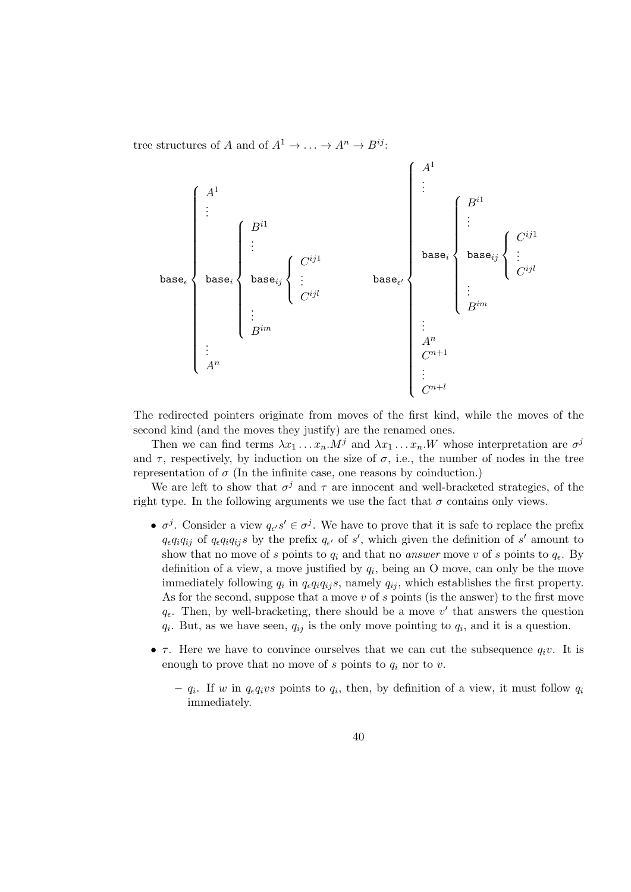tree structures of A and of  $A^1 \rightarrow \dots \rightarrow A^n \rightarrow B^{ij}$ :



The redirected pointers originate from moves of the first kind, while the moves of the second kind (and the moves they justify) are the renamed ones.

Then we can find terms  $\lambda x_1 \ldots x_n M^j$  and  $\lambda x_1 \ldots x_n W$  whose interpretation are  $\sigma^j$ and  $\tau$ , respectively, by induction on the size of  $\sigma$ , i.e., the number of nodes in the tree representation of  $\sigma$  (In the infinite case, one reasons by coinduction.)

We are left to show that  $\sigma^j$  and  $\tau$  are innocent and well-bracketed strategies, of the right type. In the following arguments we use the fact that  $\sigma$  contains only views.

- $\sigma^j$ . Consider a view  $q_{\epsilon'} s' \in \sigma^j$ . We have to prove that it is safe to replace the prefix  $q_{\epsilon}q_iq_{ij}$  of  $q_{\epsilon}q_iq_{ij}s$  by the prefix  $q_{\epsilon'}$  of s', which given the definition of s' amount to show that no move of s points to  $q_i$  and that no answer move v of s points to  $q_{\epsilon}$ . By definition of a view, a move justified by  $q_i$ , being an O move, can only be the move immediately following  $q_i$  in  $q_{\epsilon}q_iq_{ij}s$ , namely  $q_{ij}$ , which establishes the first property. As for the second, suppose that a move  $v$  of  $s$  points (is the answer) to the first move  $q_{\epsilon}$ . Then, by well-bracketing, there should be a move v' that answers the question  $q_i$ . But, as we have seen,  $q_{ij}$  is the only move pointing to  $q_i$ , and it is a question.
- $\tau$ . Here we have to convince ourselves that we can cut the subsequence  $q_i v$ . It is enough to prove that no move of s points to  $q_i$  nor to v.
	- $q_i$ . If w in  $q_{\epsilon}q_ivs$  points to  $q_i$ , then, by definition of a view, it must follow  $q_i$ immediately.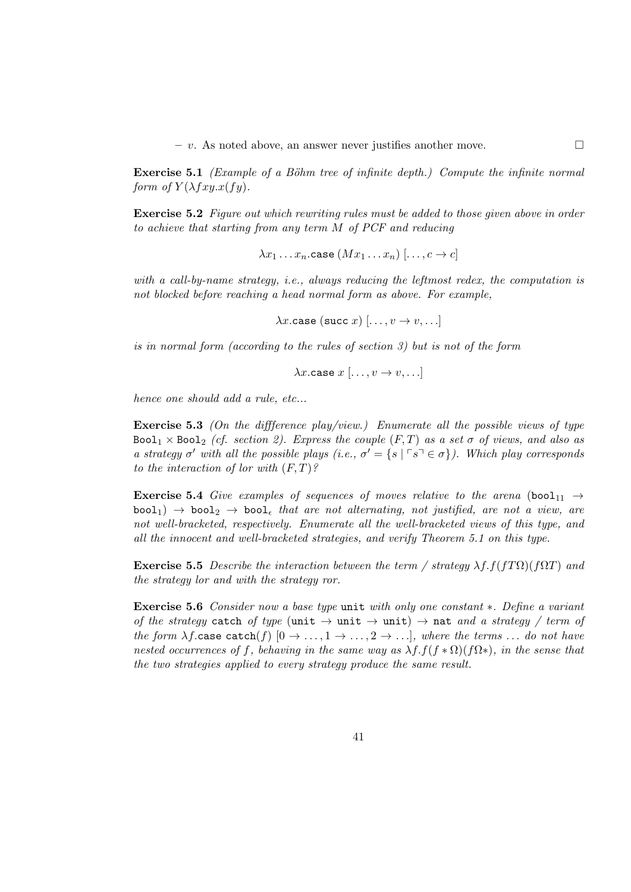$- v$ . As noted above, an answer never justifies another move.  $\Box$ 

**Exercise 5.1** (Example of a Böhm tree of infinite depth.) Compute the infinite normal form of  $Y(\lambda fxy.x(fy))$ .

Exercise 5.2 Figure out which rewriting rules must be added to those given above in order to achieve that starting from any term M of PCF and reducing

$$
\lambda x_1 \ldots x_n
$$
.case  $(Mx_1 \ldots x_n)$   $[\ldots, c \rightarrow c]$ 

with a call-by-name strategy, i.e., always reducing the leftmost redex, the computation is not blocked before reaching a head normal form as above. For example,

 $\lambda x$ .case (succ x)  $[\ldots, v \rightarrow v, \ldots]$ 

is in normal form (according to the rules of section 3) but is not of the form

$$
\lambda x.\mathtt{case}\;x\;[\ldots,v\to v,\ldots]
$$

hence one should add a rule, etc...

**Exercise 5.3** (On the difference play/view.) Enumerate all the possible views of type Bool<sub>1</sub>  $\times$  Bool<sub>2</sub> (cf. section 2). Express the couple (F,T) as a set  $\sigma$  of views, and also as a strategy  $\sigma'$  with all the possible plays (i.e.,  $\sigma' = \{s \mid \ulcorner s \urcorner \in \sigma\}$ ). Which play corresponds to the interaction of lor with  $(F, T)$ ?

**Exercise 5.4** Give examples of sequences of moves relative to the arena (bool<sub>11</sub>  $\rightarrow$  $\text{bool}_1$ )  $\rightarrow$   $\text{bool}_2$   $\rightarrow$   $\text{bool}_\epsilon$  that are not alternating, not justified, are not a view, are not well-bracketed, respectively. Enumerate all the well-bracketed views of this type, and all the innocent and well-bracketed strategies, and verify Theorem 5.1 on this type.

**Exercise 5.5** Describe the interaction between the term / strategy  $\lambda f.f(fT\Omega)(f\Omega T)$  and the strategy lor and with the strategy ror.

Exercise 5.6 Consider now a base type unit with only one constant ∗. Define a variant of the strategy catch of type (unit  $\rightarrow$  unit  $\rightarrow$  unit)  $\rightarrow$  nat and a strategy / term of the form  $\lambda f$  case catch(f)  $[0 \to \ldots, 1 \to \ldots, 2 \to \ldots]$ , where the terms ... do not have nested occurrences of f, behaving in the same way as  $\lambda f.f(f \ast \Omega)(f\Omega^*),$  in the sense that the two strategies applied to every strategy produce the same result.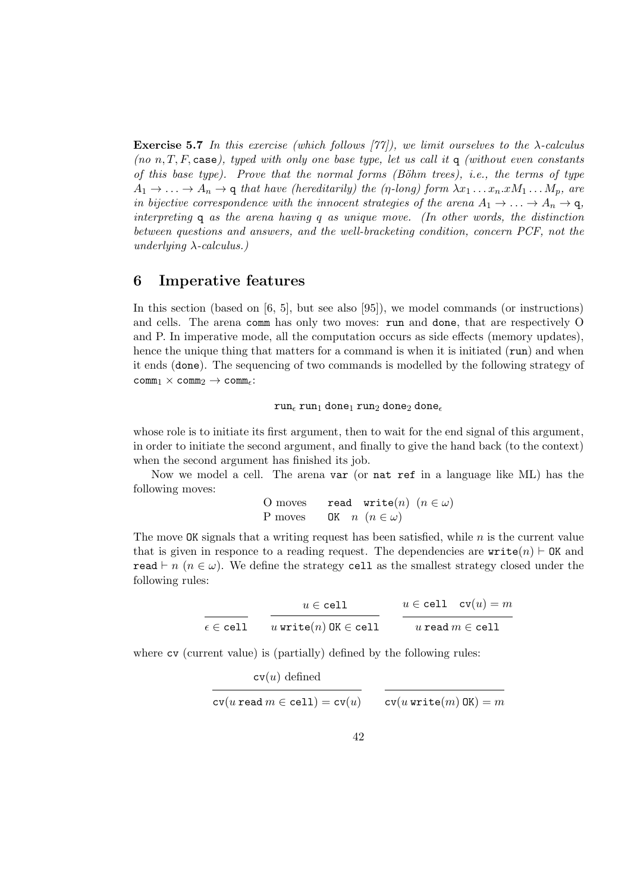**Exercise 5.7** In this exercise (which follows  $[77]$ ), we limit ourselves to the  $\lambda$ -calculus (no n, T, F, case), typed with only one base type, let us call it q (without even constants of this base type). Prove that the normal forms  $(B\ddot{\rho}h\dot{m})$  trees), i.e., the terms of type  $A_1 \rightarrow \ldots \rightarrow A_n \rightarrow q$  that have (hereditarily) the (η-long) form  $\lambda x_1 \ldots x_n.xM_1 \ldots M_p$ , are in bijective correspondence with the innocent strategies of the arena  $A_1 \rightarrow \cdots \rightarrow A_n \rightarrow q$ , interpreting q as the arena having q as unique move. (In other words, the distinction between questions and answers, and the well-bracketing condition, concern PCF, not the underlying  $\lambda$ -calculus.)

### 6 Imperative features

In this section (based on [6, 5], but see also [95]), we model commands (or instructions) and cells. The arena comm has only two moves: run and done, that are respectively O and P. In imperative mode, all the computation occurs as side effects (memory updates), hence the unique thing that matters for a command is when it is initiated (run) and when it ends (done). The sequencing of two commands is modelled by the following strategy of  $comm_1 \times comm_2 \rightarrow comm_{\epsilon}$ :

 $run_{\epsilon}$  run<sub>1</sub> done<sub>1</sub> run<sub>2</sub> done<sub>2</sub> done<sub> $\epsilon$ </sub>

whose role is to initiate its first argument, then to wait for the end signal of this argument, in order to initiate the second argument, and finally to give the hand back (to the context) when the second argument has finished its job.

Now we model a cell. The arena var (or nat ref in a language like ML) has the following moves:

> O moves read write $(n)$   $(n \in \omega)$ P moves OK  $n \ (n \in \omega)$

The move  $\alpha$ K signals that a writing request has been satisfied, while n is the current value that is given in responce to a reading request. The dependencies are  $write(n) \vdash OK$  and read  $\vdash n$  ( $n \in \omega$ ). We define the strategy cell as the smallest strategy closed under the following rules:

|                              | $u \in \texttt{cell}$         | $u \in \text{cell}$ $\text{cv}(u) = m$ |
|------------------------------|-------------------------------|----------------------------------------|
| $\epsilon \in \texttt{cell}$ | $u$ write $(n)$ OK $\in$ cell | u read $m \in \text{cell}$             |

where  $cv$  (current value) is (partially) defined by the following rules:

$$
\text{cv}(u) \text{ defined}
$$
  
 
$$
\text{cv}(u \text{ read } m \in \text{cell}) = \text{cv}(u)
$$
  
 
$$
\text{cv}(u \text{ write}(m) \text{ OK}) = m
$$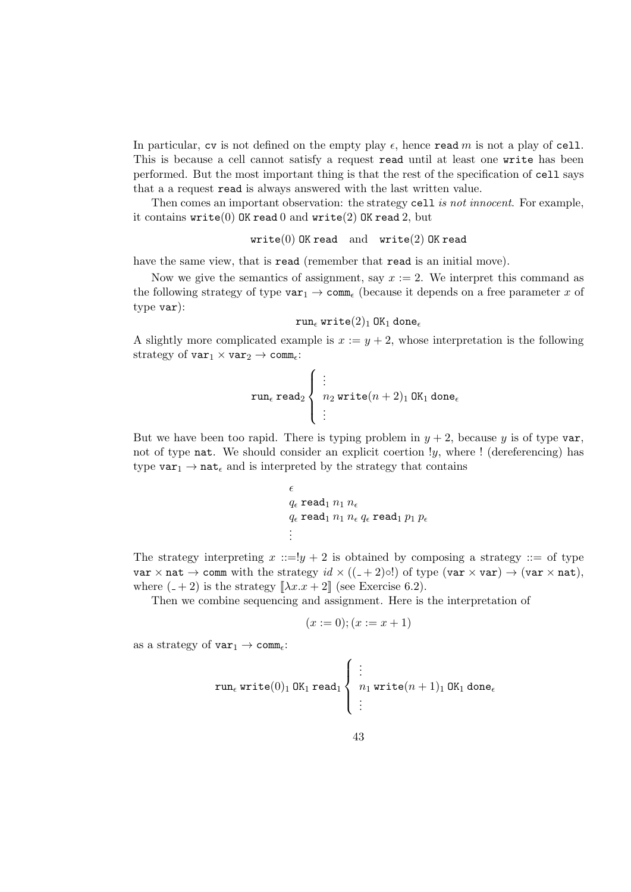In particular, cv is not defined on the empty play  $\epsilon$ , hence read m is not a play of cell. This is because a cell cannot satisfy a request read until at least one write has been performed. But the most important thing is that the rest of the specification of cell says that a a request read is always answered with the last written value.

Then comes an important observation: the strategy cell is not innocent. For example, it contains  $write(0)$  OK read 0 and  $write(2)$  OK read 2, but

```
write(0) OK read and write(2) OK read
```
have the same view, that is read (remember that read is an initial move).

Now we give the semantics of assignment, say  $x := 2$ . We interpret this command as the following strategy of type  $var_1 \rightarrow \text{comm}_{\epsilon}$  (because it depends on a free parameter x of type var):

```
run, write(2)_1 OK<sub>1</sub> done,
```
A slightly more complicated example is  $x := y + 2$ , whose interpretation is the following strategy of  $var_1 \times var_2 \rightarrow comm_{\epsilon}$ :

$$
\texttt{run}_{\epsilon}\ \texttt{read}_{2}\left\{\begin{array}{l}\vdots\\ n_2\ \texttt{write}(n+2)_1\ \texttt{OK}_1\ \texttt{done}_{\epsilon}\\ \vdots\end{array}\right.
$$

But we have been too rapid. There is typing problem in  $y + 2$ , because y is of type var, not of type nat. We should consider an explicit coertion  $y$ , where  $\ell$  (dereferencing) has type  $var_1 \rightarrow nat_{\epsilon}$  and is interpreted by the strategy that contains

$$
\epsilon
$$
\n
$$
q_{\epsilon} \text{ read}_1 n_1 n_{\epsilon}
$$
\n
$$
q_{\epsilon} \text{ read}_1 n_1 n_{\epsilon} q_{\epsilon} \text{ read}_1 p_1 p_{\epsilon}
$$
\n
$$
\vdots
$$

The strategy interpreting  $x ::= y + 2$  is obtained by composing a strategy  $::=$  of type var  $\times$  nat  $\rightarrow$  comm with the strategy  $id \times ((-2) \circ!)$  of type (var  $\times$  var)  $\rightarrow$  (var  $\times$  nat), where  $(-+2)$  is the strategy  $[\lambda x.x + 2]$  (see Exercise 6.2).

Then we combine sequencing and assignment. Here is the interpretation of

$$
(x := 0); (x := x + 1)
$$

as a strategy of  $var_1 \rightarrow \text{comm.}$ 

$$
\operatorname{run}_{\epsilon} \operatorname{write}(0)_1 \operatorname{OK}_1 \operatorname{read}_1 \left\{\begin{array}{l}\vdots\\ n_1 \operatorname{write}(n+1)_1 \operatorname{OK}_1 \operatorname{done}_{\epsilon} \\ \vdots\end{array}\right.
$$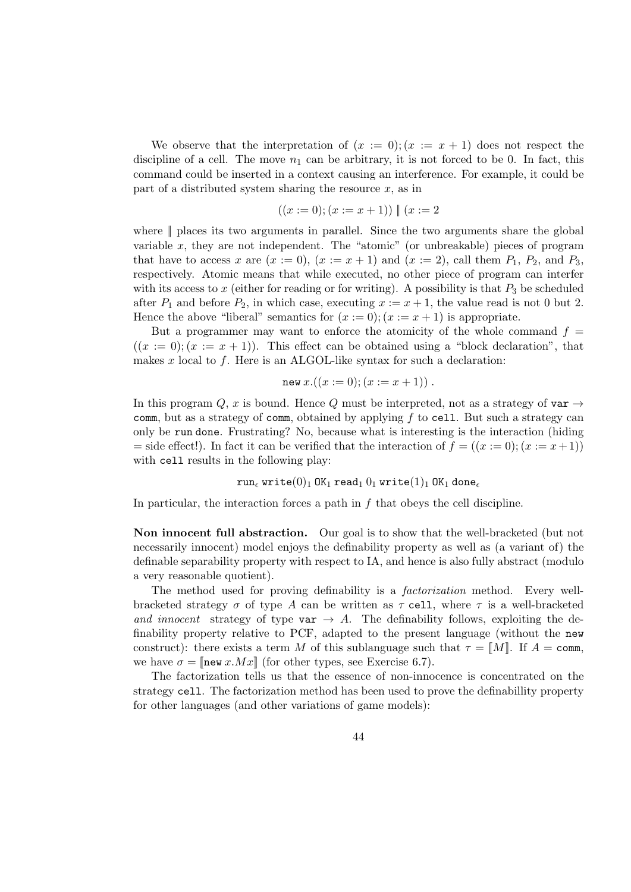We observe that the interpretation of  $(x := 0)$ ;  $(x := x + 1)$  does not respect the discipline of a cell. The move  $n_1$  can be arbitrary, it is not forced to be 0. In fact, this command could be inserted in a context causing an interference. For example, it could be part of a distributed system sharing the resource  $x$ , as in

$$
((x := 0); (x := x + 1)) \parallel (x := 2)
$$

where || places its two arguments in parallel. Since the two arguments share the global variable  $x$ , they are not independent. The "atomic" (or unbreakable) pieces of program that have to access x are  $(x := 0)$ ,  $(x := x + 1)$  and  $(x := 2)$ , call them  $P_1$ ,  $P_2$ , and  $P_3$ , respectively. Atomic means that while executed, no other piece of program can interfer with its access to x (either for reading or for writing). A possibility is that  $P_3$  be scheduled after  $P_1$  and before  $P_2$ , in which case, executing  $x := x + 1$ , the value read is not 0 but 2. Hence the above "liberal" semantics for  $(x := 0); (x := x + 1)$  is appropriate.

But a programmer may want to enforce the atomicity of the whole command  $f =$  $((x := 0); (x := x + 1))$ . This effect can be obtained using a "block declaration", that makes x local to f. Here is an ALGOL-like syntax for such a declaration:

$$
new x.((x := 0); (x := x + 1)) .
$$

In this program  $Q$ , x is bound. Hence Q must be interpreted, not as a strategy of var  $\rightarrow$ comm, but as a strategy of comm, obtained by applying  $f$  to cell. But such a strategy can only be run done. Frustrating? No, because what is interesting is the interaction (hiding = side effect!). In fact it can be verified that the interaction of  $f = ((x := 0); (x := x + 1))$ with cell results in the following play:

#### run, write $(0)_1$  OK<sub>1</sub> read<sub>1</sub>  $0_1$  write $(1)_1$  OK<sub>1</sub> done,

In particular, the interaction forces a path in  $f$  that obeys the cell discipline.

Non innocent full abstraction. Our goal is to show that the well-bracketed (but not necessarily innocent) model enjoys the definability property as well as (a variant of) the definable separability property with respect to IA, and hence is also fully abstract (modulo a very reasonable quotient).

The method used for proving definability is a factorization method. Every wellbracketed strategy  $\sigma$  of type A can be written as  $\tau$  cell, where  $\tau$  is a well-bracketed and innocent strategy of type var  $\rightarrow A$ . The definability follows, exploiting the definability property relative to PCF, adapted to the present language (without the new construct): there exists a term M of this sublanguage such that  $\tau = \llbracket M \rrbracket$ . If  $A = \text{comm}$ , we have  $\sigma = \ln w x.Mx$  (for other types, see Exercise 6.7).

The factorization tells us that the essence of non-innocence is concentrated on the strategy cell. The factorization method has been used to prove the definabillity property for other languages (and other variations of game models):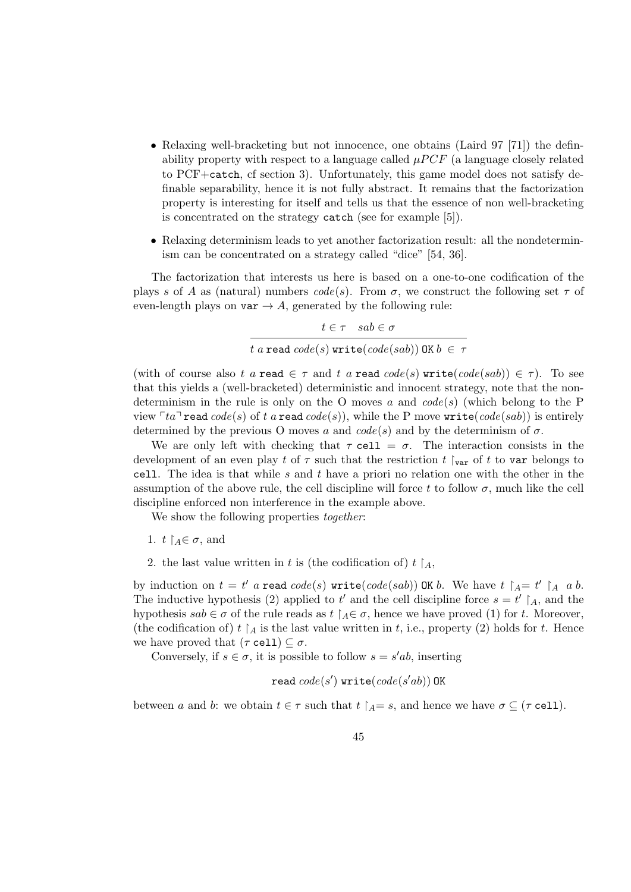- Relaxing well-bracketing but not innocence, one obtains (Laird 97 [71]) the definability property with respect to a language called  $\mu PCF$  (a language closely related to PCF+catch, cf section 3). Unfortunately, this game model does not satisfy definable separability, hence it is not fully abstract. It remains that the factorization property is interesting for itself and tells us that the essence of non well-bracketing is concentrated on the strategy catch (see for example [5]).
- Relaxing determinism leads to yet another factorization result: all the nondeterminism can be concentrated on a strategy called "dice" [54, 36].

The factorization that interests us here is based on a one-to-one codification of the plays s of A as (natural) numbers  $code(s)$ . From  $\sigma$ , we construct the following set  $\tau$  of even-length plays on  $\texttt{var} \rightarrow A$ , generated by the following rule:

 $t \in \tau$  sab  $\in \sigma$ t a read  $code(s)$  write $(code(sab))$  OK  $b \in \tau$ 

(with of course also t a read  $\in \tau$  and t a read  $code(s)$  write( $code(sab)$ )  $\in \tau$ ). To see that this yields a (well-bracketed) deterministic and innocent strategy, note that the nondeterminism in the rule is only on the O moves a and  $code(s)$  (which belong to the P view  $\lceil ta \rceil$  read  $code(s)$  of t a read  $code(s)$ , while the P move write( $code(sab)$ ) is entirely determined by the previous O moves a and  $code(s)$  and by the determinism of  $\sigma$ .

We are only left with checking that  $\tau$  cell =  $\sigma$ . The interaction consists in the development of an even play t of  $\tau$  such that the restriction t  $\int_{var}$  of t to var belongs to cell. The idea is that while s and t have a priori no relation one with the other in the assumption of the above rule, the cell discipline will force t to follow  $\sigma$ , much like the cell discipline enforced non interference in the example above.

We show the following properties *together*:

- 1.  $t \upharpoonright_{A} \in \sigma$ , and
- 2. the last value written in t is (the codification of)  $t \upharpoonright_A$ ,

by induction on  $t = t'$  a read  $code(s)$  write( $code(sab)$ ) OK b. We have  $t \upharpoonright_A = t' \upharpoonright_A a b$ . The inductive hypothesis (2) applied to t' and the cell discipline force  $s = t' \restriction_A$ , and the hypothesis  $sab \in \sigma$  of the rule reads as  $t \upharpoonright_A \in \sigma$ , hence we have proved (1) for t. Moreover, (the codification of) t  $A$  is the last value written in t, i.e., property (2) holds for t. Hence we have proved that  $(\tau \text{ cell}) \subseteq \sigma$ .

Conversely, if  $s \in \sigma$ , it is possible to follow  $s = s'ab$ , inserting

$$
\verb"read" code(s')\;\verb"write" (code(s'ab))\;\verb"OK"
$$

between a and b: we obtain  $t \in \tau$  such that  $t \upharpoonright_{A} = s$ , and hence we have  $\sigma \subseteq (\tau \text{ cell})$ .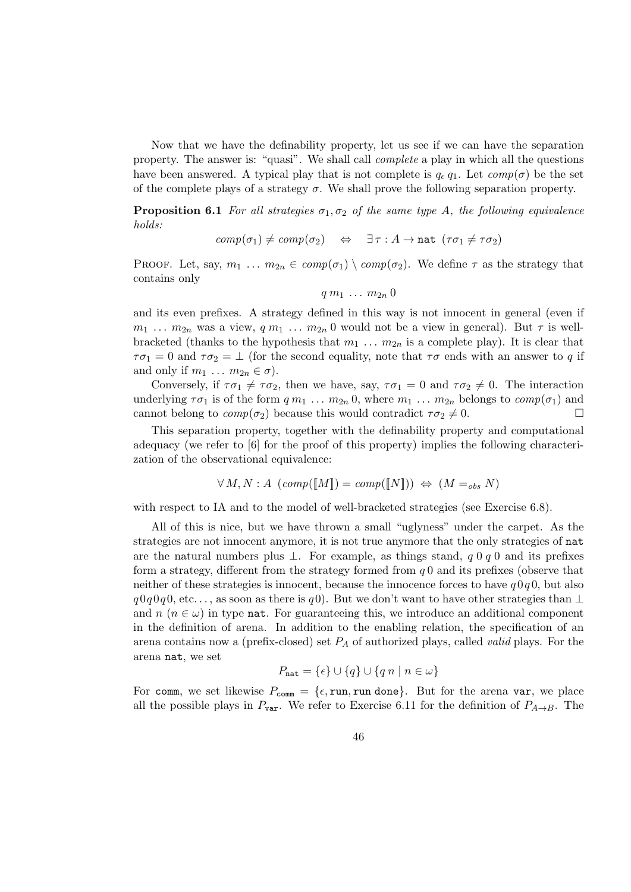Now that we have the definability property, let us see if we can have the separation property. The answer is: "quasi". We shall call complete a play in which all the questions have been answered. A typical play that is not complete is  $q_{\epsilon} q_1$ . Let  $comp(\sigma)$  be the set of the complete plays of a strategy  $\sigma$ . We shall prove the following separation property.

**Proposition 6.1** For all strategies  $\sigma_1, \sigma_2$  of the same type A, the following equivalence holds:

$$
comp(\sigma_1) \neq comp(\sigma_2) \quad \Leftrightarrow \quad \exists \tau : A \rightarrow \mathtt{nat} \ (\tau \sigma_1 \neq \tau \sigma_2)
$$

PROOF. Let, say,  $m_1 \ldots m_{2n} \in comp(\sigma_1) \setminus comp(\sigma_2)$ . We define  $\tau$  as the strategy that contains only

$$
q\ m_1\ \dots\ m_{2n}\ 0
$$

and its even prefixes. A strategy defined in this way is not innocent in general (even if  $m_1 \ldots m_{2n}$  was a view,  $q m_1 \ldots m_{2n}$  0 would not be a view in general). But  $\tau$  is wellbracketed (thanks to the hypothesis that  $m_1 \ldots m_{2n}$  is a complete play). It is clear that  $\tau\sigma_1 = 0$  and  $\tau\sigma_2 = \bot$  (for the second equality, note that  $\tau\sigma$  ends with an answer to q if and only if  $m_1 \ldots m_{2n} \in \sigma$ ).

Conversely, if  $\tau \sigma_1 \neq \tau \sigma_2$ , then we have, say,  $\tau \sigma_1 = 0$  and  $\tau \sigma_2 \neq 0$ . The interaction underlying  $\tau \sigma_1$  is of the form  $q m_1 \ldots m_{2n} 0$ , where  $m_1 \ldots m_{2n}$  belongs to  $comp(\sigma_1)$  and cannot belong to  $comp(\sigma_2)$  because this would contradict  $\tau \sigma_2 \neq 0$ .

This separation property, together with the definability property and computational adequacy (we refer to [6] for the proof of this property) implies the following characterization of the observational equivalence:

$$
\forall M, N : A \ (comp([M]) = comp([N])) \Leftrightarrow (M =_{obs} N)
$$

with respect to IA and to the model of well-bracketed strategies (see Exercise 6.8).

All of this is nice, but we have thrown a small "uglyness" under the carpet. As the strategies are not innocent anymore, it is not true anymore that the only strategies of nat are the natural numbers plus  $\perp$ . For example, as things stand, q 0 q 0 and its prefixes form a strategy, different from the strategy formed from  $q0$  and its prefixes (observe that neither of these strategies is innocent, because the innocence forces to have  $q \, 0q \, 0$ , but also  $q0q0q0$ , etc..., as soon as there is q0). But we don't want to have other strategies than ⊥ and  $n (n \in \omega)$  in type **nat**. For guaranteeing this, we introduce an additional component in the definition of arena. In addition to the enabling relation, the specification of an arena contains now a (prefix-closed) set  $P_A$  of authorized plays, called *valid* plays. For the arena nat, we set

$$
P_{\text{nat}} = \{\epsilon\} \cup \{q\} \cup \{q \mid n \mid n \in \omega\}
$$

For comm, we set likewise  $P_{\text{comm}} = {\epsilon, \text{run}, \text{run} \text{ done}}$ . But for the arena var, we place all the possible plays in  $P_{\text{var}}$ . We refer to Exercise 6.11 for the definition of  $P_{A\rightarrow B}$ . The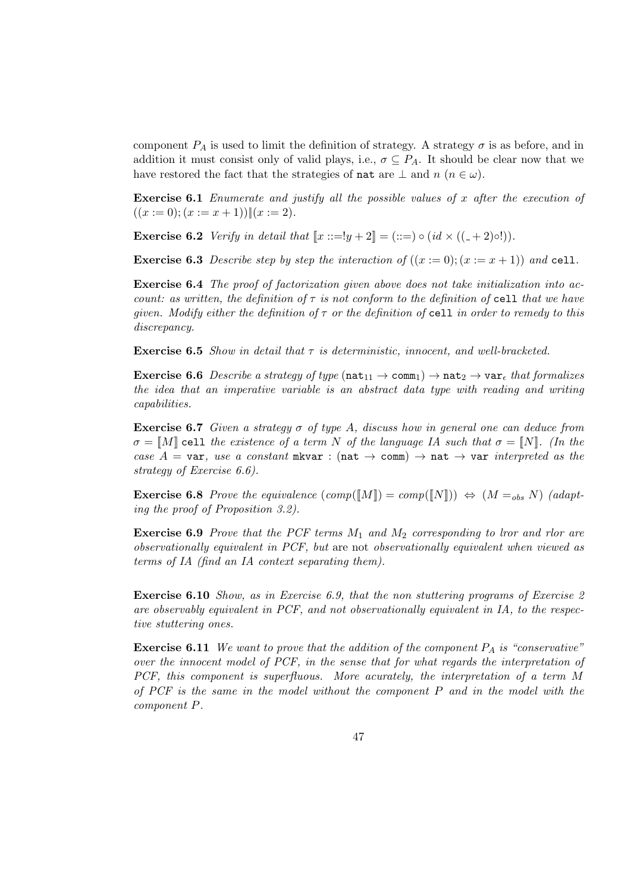component  $P_A$  is used to limit the definition of strategy. A strategy  $\sigma$  is as before, and in addition it must consist only of valid plays, i.e.,  $\sigma \subseteq P_A$ . It should be clear now that we have restored the fact that the strategies of nat are  $\perp$  and  $n$  ( $n \in \omega$ ).

Exercise 6.1 Enumerate and justify all the possible values of x after the execution of  $((x := 0); (x := x + 1))|| (x := 2).$ 

**Exercise 6.2** Verify in detail that  $[x ::= !y + 2] = (::=) \circ (id \times ((\_ + 2) \circ !))$ .

**Exercise 6.3** Describe step by step the interaction of  $((x := 0); (x := x + 1))$  and cell.

Exercise 6.4 The proof of factorization given above does not take initialization into account: as written, the definition of  $\tau$  is not conform to the definition of cell that we have given. Modify either the definition of  $\tau$  or the definition of cell in order to remedy to this discrepancy.

**Exercise 6.5** Show in detail that  $\tau$  is deterministic, innocent, and well-bracketed.

**Exercise 6.6** Describe a strategy of type  $(\texttt{nat}_{11} \rightarrow \texttt{comm}_1) \rightarrow \texttt{nat}_2 \rightarrow \texttt{var}_\epsilon$  that formalizes the idea that an imperative variable is an abstract data type with reading and writing capabilities.

**Exercise 6.7** Given a strategy  $\sigma$  of type A, discuss how in general one can deduce from  $\sigma = [M]$  cell the existence of a term N of the language IA such that  $\sigma = [N]$ . (In the case A = var, use a constant mkvar : (nat  $\rightarrow$  comm)  $\rightarrow$  nat  $\rightarrow$  var interpreted as the strategy of Exercise 6.6).

**Exercise 6.8** Prove the equivalence  $(\text{comp}(\llbracket M \rrbracket) = \text{comp}(\llbracket N \rrbracket)) \Leftrightarrow (M =_{obs} N)$  (adapting the proof of Proposition 3.2).

**Exercise 6.9** Prove that the PCF terms  $M_1$  and  $M_2$  corresponding to lror and rlor are observationally equivalent in PCF, but are not observationally equivalent when viewed as terms of IA (find an IA context separating them).

Exercise 6.10 Show, as in Exercise 6.9, that the non stuttering programs of Exercise 2 are observably equivalent in PCF, and not observationally equivalent in IA, to the respective stuttering ones.

**Exercise 6.11** We want to prove that the addition of the component  $P_A$  is "conservative" over the innocent model of PCF, in the sense that for what regards the interpretation of PCF, this component is superfluous. More acurately, the interpretation of a term M of PCF is the same in the model without the component P and in the model with the component P.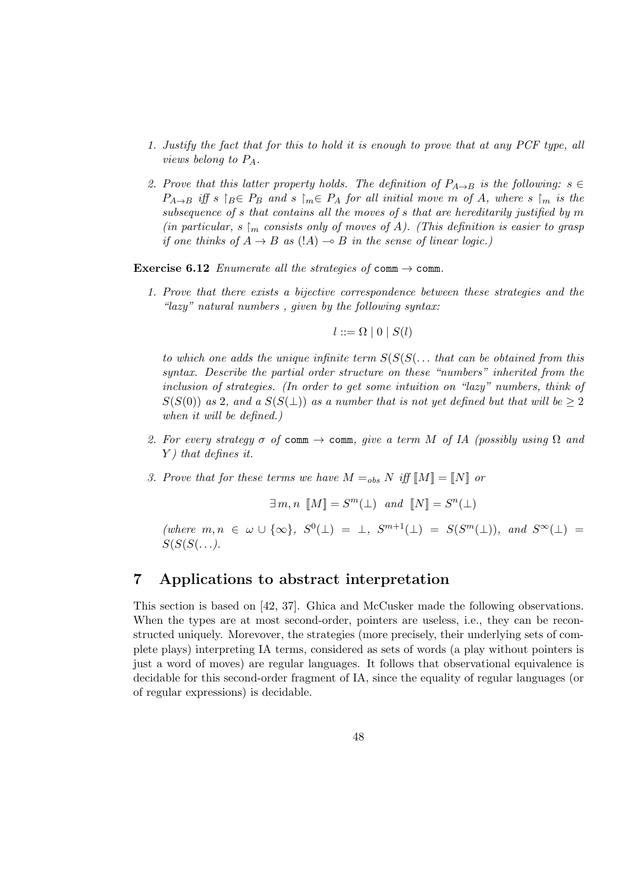- 1. Justify the fact that for this to hold it is enough to prove that at any PCF type, all views belong to PA.
- 2. Prove that this latter property holds. The definition of  $P_{A\rightarrow B}$  is the following:  $s \in$  $P_{A\rightarrow B}$  iff s  $\upharpoonright_B \in P_B$  and s  $\upharpoonright_m \in P_A$  for all initial move m of A, where s  $\upharpoonright_m$  is the subsequence of s that contains all the moves of s that are hereditarily justified by m (in particular,  $s \mid_m$  consists only of moves of A). (This definition is easier to grasp if one thinks of  $A \rightarrow B$  as  $(|A| \rightarrow B$  in the sense of linear logic.)

**Exercise 6.12** Enumerate all the strategies of comm  $\rightarrow$  comm.

1. Prove that there exists a bijective correspondence between these strategies and the "lazy" natural numbers , given by the following syntax:

$$
l ::= \Omega \mid 0 \mid S(l)
$$

to which one adds the unique infinite term  $S(S(S \ldots \text{ that can be obtained from this}))$ syntax. Describe the partial order structure on these "numbers" inherited from the inclusion of strategies. (In order to get some intuition on "lazy" numbers, think of  $S(S(0))$  as 2, and a  $S(S(\perp))$  as a number that is not yet defined but that will be  $\geq 2$ when it will be defined.)

- 2. For every strategy  $\sigma$  of comm  $\rightarrow$  comm, give a term M of IA (possibly using  $\Omega$  and  $Y$ ) that defines it.
- 3. Prove that for these terms we have  $M =_{obs} N$  iff  $[M] = [N]$  or

$$
\exists m, n \, \llbracket M \rrbracket = S^m(\bot) \text{ and } \llbracket N \rrbracket = S^n(\bot)
$$

 $(where m, n \in \omega \cup {\infty}, S^{0}(\perp) = \perp, S^{m+1}(\perp) = S(S^{m}(\perp)), and S^{\infty}(\perp) =$  $S(S(S(\ldots)).$ 

## 7 Applications to abstract interpretation

This section is based on [42, 37]. Ghica and McCusker made the following observations. When the types are at most second-order, pointers are useless, i.e., they can be reconstructed uniquely. Morevover, the strategies (more precisely, their underlying sets of complete plays) interpreting IA terms, considered as sets of words (a play without pointers is just a word of moves) are regular languages. It follows that observational equivalence is decidable for this second-order fragment of IA, since the equality of regular languages (or of regular expressions) is decidable.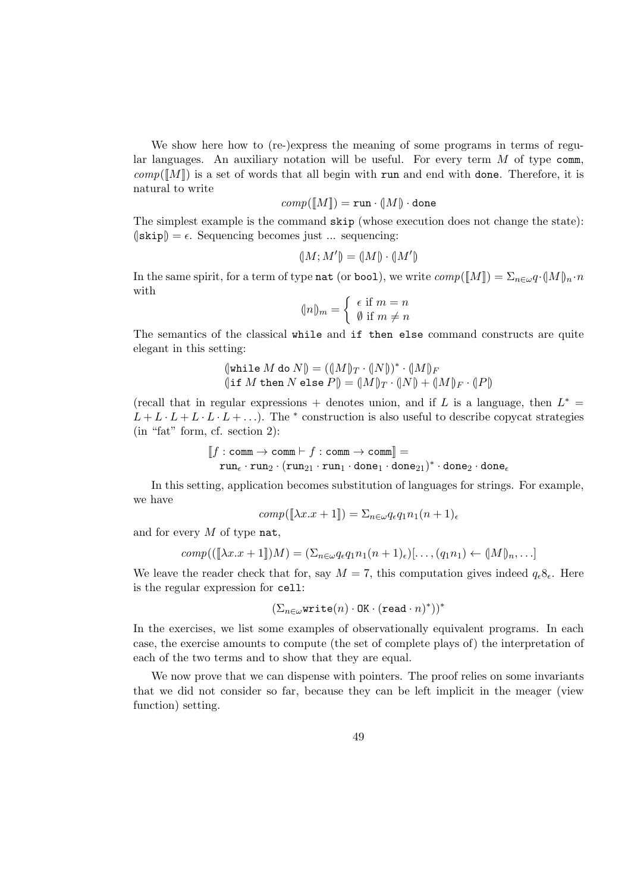We show here how to (re-)express the meaning of some programs in terms of regular languages. An auxiliary notation will be useful. For every term  $M$  of type comm,  $comp([M])$  is a set of words that all begin with run and end with done. Therefore, it is natural to write

$$
comp(\llbracket M \rrbracket) = \texttt{run} \cdot (\llbracket M \rrbracket) \cdot \texttt{done}
$$

The simplest example is the command skip (whose execution does not change the state):  $(|\text{skip}|) = \epsilon$ . Sequencing becomes just ... sequencing:

$$
(M;M') = (M) \cdot (M')
$$

In the same spirit, for a term of type nat (or bool), we write  $comp([M]) = \sum_{n \in \omega} q \cdot (M)_n \cdot n$ with

$$
\langle n \rangle_m = \begin{cases} \epsilon & \text{if } m = n \\ \emptyset & \text{if } m \neq n \end{cases}
$$

The semantics of the classical while and if then else command constructs are quite elegant in this setting:

$$
\begin{array}{l} \left( \text{while }M \text{ do }N \right) = (\left( M \right)_{T} \cdot (\left| N \right|)^{*} \cdot (\left| M \right|)_{F} \\ \left( \text{if }M \text{ then }N \text{ else }P \right) = (\left| M \right|_{T} \cdot (\left| N \right) + (\left| M \right|_{F} \cdot (\left| P \right|) \end{array}
$$

(recall that in regular expressions + denotes union, and if L is a language, then  $L^*$  =  $L + L \cdot L + L \cdot L + ...$ ). The \* construction is also useful to describe copycat strategies (in "fat" form, cf. section 2):

$$
\llbracket f : \mathtt{comm} \rightarrow \mathtt{comm} \vdash f : \mathtt{comm} \rightarrow \mathtt{comm} \rrbracket = \\ \mathtt{run}_\epsilon \cdot \mathtt{run}_2 \cdot (\mathtt{run}_{21} \cdot \mathtt{run}_1 \cdot \mathtt{done}_1 \cdot \mathtt{done}_{21})^* \cdot \mathtt{done}_2 \cdot \mathtt{done}_\epsilon
$$

In this setting, application becomes substitution of languages for strings. For example, we have

$$
comp([\![\lambda x.x + 1]\!]) = \sum_{n \in \omega} q_{\epsilon} q_1 n_1 (n + 1)_{\epsilon}
$$

and for every  $M$  of type nat,

$$
comp(([\![\lambda x.x+1]\!])M) = (\Sigma_{n\in\omega}q_{\epsilon}q_1n_1(n+1)_{\epsilon})[\ldots,(q_1n_1) \leftarrow (\![M]\!)_n,\ldots]
$$

We leave the reader check that for, say  $M = 7$ , this computation gives indeed  $q_e8_e$ . Here is the regular expression for cell:

$$
(\Sigma_{n\in\omega}\texttt{write}(n)\cdot\texttt{OK}\cdot(\texttt{read}\cdot n)^*))^*
$$

In the exercises, we list some examples of observationally equivalent programs. In each case, the exercise amounts to compute (the set of complete plays of) the interpretation of each of the two terms and to show that they are equal.

We now prove that we can dispense with pointers. The proof relies on some invariants that we did not consider so far, because they can be left implicit in the meager (view function) setting.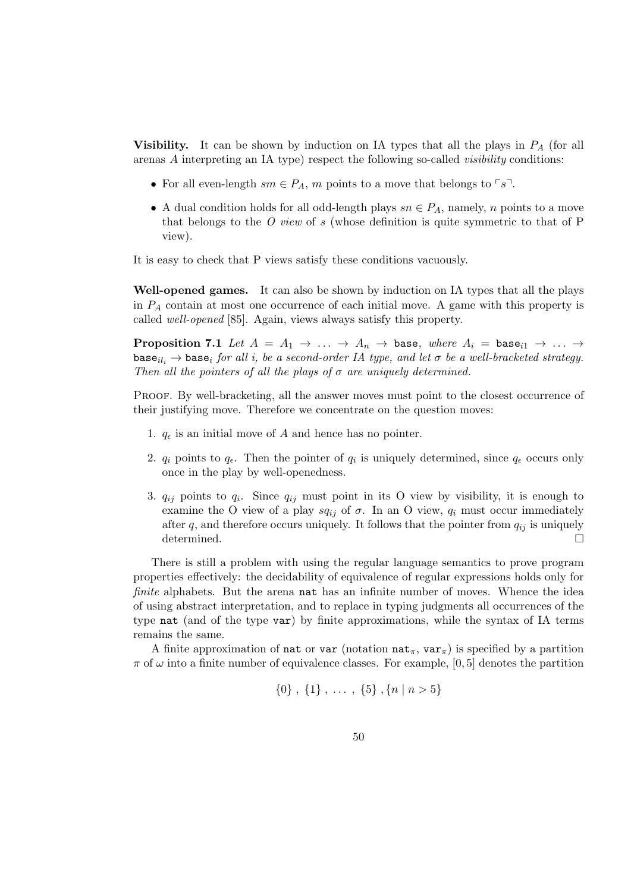Visibility. It can be shown by induction on IA types that all the plays in  $P_A$  (for all arenas A interpreting an IA type) respect the following so-called visibility conditions:

- For all even-length  $sm \in P_A$ , m points to a move that belongs to  $\lceil s \rceil$ .
- A dual condition holds for all odd-length plays  $sn \in P_A$ , namely, n points to a move that belongs to the O view of s (whose definition is quite symmetric to that of  $P$ view).

It is easy to check that P views satisfy these conditions vacuously.

Well-opened games. It can also be shown by induction on IA types that all the plays in  $P_A$  contain at most one occurrence of each initial move. A game with this property is called well-opened [85]. Again, views always satisfy this property.

**Proposition 7.1** Let  $A = A_1 \rightarrow \ldots \rightarrow A_n \rightarrow$  base, where  $A_i = \text{base}_{i1} \rightarrow \ldots \rightarrow$ base<sub>ili</sub>  $\rightarrow$  base<sub>i</sub> for all i, be a second-order IA type, and let  $\sigma$  be a well-bracketed strategy. Then all the pointers of all the plays of  $\sigma$  are uniquely determined.

Proof. By well-bracketing, all the answer moves must point to the closest occurrence of their justifying move. Therefore we concentrate on the question moves:

- 1.  $q_{\epsilon}$  is an initial move of A and hence has no pointer.
- 2.  $q_i$  points to  $q_{\epsilon}$ . Then the pointer of  $q_i$  is uniquely determined, since  $q_{\epsilon}$  occurs only once in the play by well-openedness.
- 3.  $q_{ij}$  points to  $q_i$ . Since  $q_{ij}$  must point in its O view by visibility, it is enough to examine the O view of a play  $sq_{ij}$  of  $\sigma$ . In an O view,  $q_i$  must occur immediately after q, and therefore occurs uniquely. It follows that the pointer from  $q_{ij}$  is uniquely determined.  $\square$

There is still a problem with using the regular language semantics to prove program properties effectively: the decidability of equivalence of regular expressions holds only for finite alphabets. But the arena nat has an infinite number of moves. Whence the idea of using abstract interpretation, and to replace in typing judgments all occurrences of the type nat (and of the type var) by finite approximations, while the syntax of IA terms remains the same.

A finite approximation of nat or var (notation nat<sub>π</sub>, var<sub>π</sub>) is specified by a partition  $\pi$  of  $\omega$  into a finite number of equivalence classes. For example, [0, 5] denotes the partition

$$
\{0\} , \{1\} , \ldots , \{5\} , \{n \mid n > 5\}
$$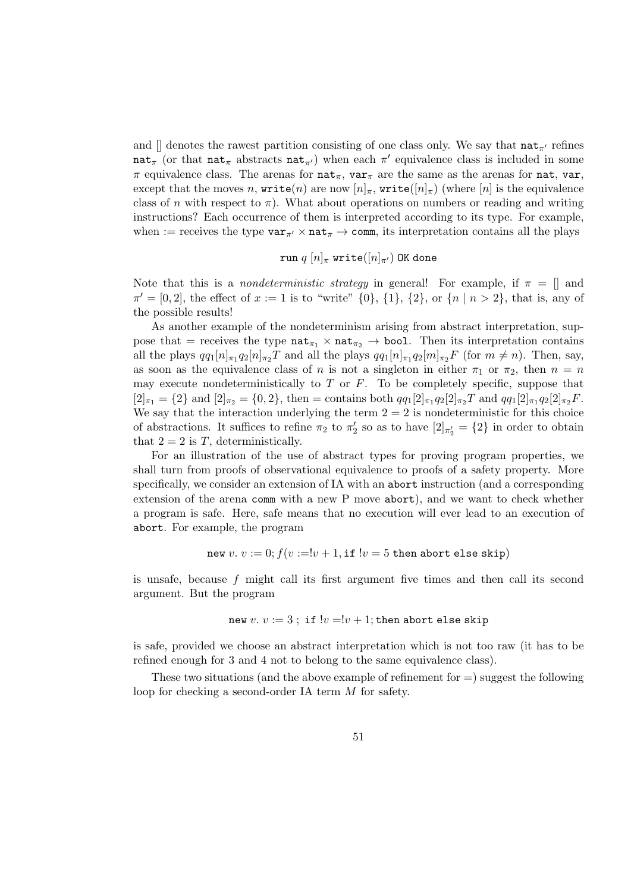and  $\parallel$  denotes the rawest partition consisting of one class only. We say that  $\texttt{nat}_{\pi}$  refines  $\texttt{nat}_{\pi}$  (or that  $\texttt{nat}_{\pi}$  abstracts  $\texttt{nat}_{\pi}$ ) when each  $\pi'$  equivalence class is included in some  $\pi$  equivalence class. The arenas for nat<sub>π</sub>, var<sub>π</sub> are the same as the arenas for nat, var, except that the moves n, write(n) are now  $[n]_\pi$ , write( $[n]_\pi$ ) (where  $[n]$  is the equivalence class of n with respect to  $\pi$ ). What about operations on numbers or reading and writing instructions? Each occurrence of them is interpreted according to its type. For example, when := receives the type  $var_{\pi'} \times nat_{\pi} \rightarrow$  comm, its interpretation contains all the plays

$$
\verb"run"\ q\ [n]_\pi\ \verb"write"([n]_{\pi'}\text{)}\ 0\texttt{K}\ \verb"done"
$$

Note that this is a *nondeterministic strategy* in general! For example, if  $\pi = \parallel$  and  $\pi' = [0, 2]$ , the effect of  $x := 1$  is to "write"  $\{0\}$ ,  $\{1\}$ ,  $\{2\}$ , or  $\{n \mid n > 2\}$ , that is, any of the possible results!

As another example of the nondeterminism arising from abstract interpretation, suppose that = receives the type  $nat_{\pi_1} \times nat_{\pi_2} \rightarrow bool$ . Then its interpretation contains all the plays  $qq_1[n]_{\pi_1}q_2[n]_{\pi_2}T$  and all the plays  $qq_1[n]_{\pi_1}q_2[m]_{\pi_2}F$  (for  $m \neq n$ ). Then, say, as soon as the equivalence class of n is not a singleton in either  $\pi_1$  or  $\pi_2$ , then  $n = n$ may execute nondeterministically to  $T$  or  $F$ . To be completely specific, suppose that  $[2]_{\pi_1} = \{2\}$  and  $[2]_{\pi_2} = \{0, 2\}$ , then = contains both  $qq_1[2]_{\pi_1}q_2[2]_{\pi_2}T$  and  $qq_1[2]_{\pi_1}q_2[2]_{\pi_2}F$ . We say that the interaction underlying the term  $2 = 2$  is nondeterministic for this choice of abstractions. It suffices to refine  $\pi_2$  to  $\pi'_2$  so as to have  $[2]_{\pi'_2} = \{2\}$  in order to obtain that  $2 = 2$  is T, deterministically.

For an illustration of the use of abstract types for proving program properties, we shall turn from proofs of observational equivalence to proofs of a safety property. More specifically, we consider an extension of IA with an abort instruction (and a corresponding extension of the arena comm with a new P move abort), and we want to check whether a program is safe. Here, safe means that no execution will ever lead to an execution of abort. For example, the program

new v. 
$$
v := 0
$$
;  $f(v := v + 1, \text{if } v = 5 \text{ then abort else skip})$ 

is unsafe, because f might call its first argument five times and then call its second argument. But the program

$$
\mathtt{new}\ v.\ v:=3\ ;\ \mathtt{if}\ !v=!v+1; \mathtt{then}\ \mathtt{abort}\ \mathtt{else}\ \mathtt{skip}
$$

is safe, provided we choose an abstract interpretation which is not too raw (it has to be refined enough for 3 and 4 not to belong to the same equivalence class).

These two situations (and the above example of refinement for  $=$ ) suggest the following loop for checking a second-order IA term M for safety.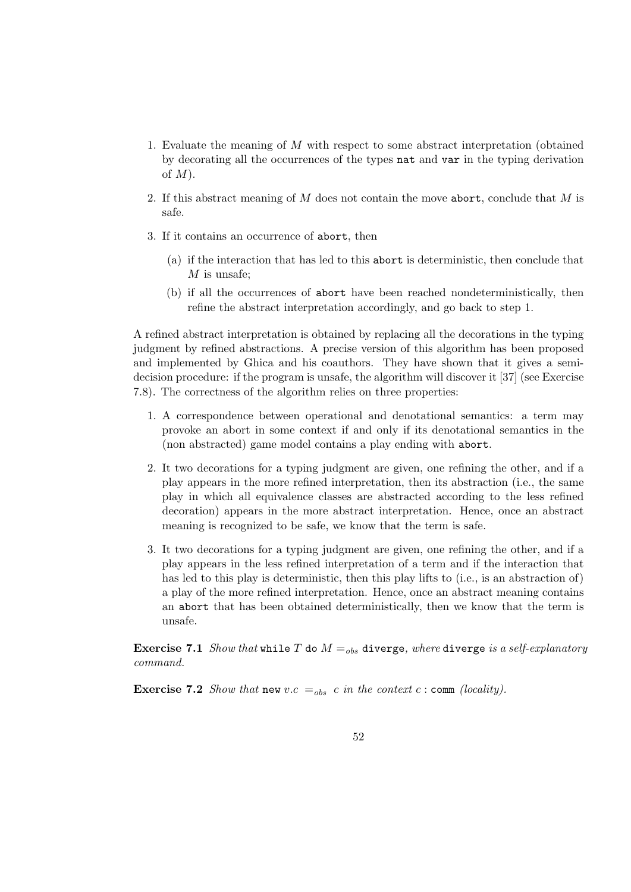- 1. Evaluate the meaning of M with respect to some abstract interpretation (obtained by decorating all the occurrences of the types nat and var in the typing derivation of  $M$ ).
- 2. If this abstract meaning of M does not contain the move abort, conclude that M is safe.
- 3. If it contains an occurrence of abort, then
	- (a) if the interaction that has led to this abort is deterministic, then conclude that  $M$  is unsafe:
	- (b) if all the occurrences of abort have been reached nondeterministically, then refine the abstract interpretation accordingly, and go back to step 1.

A refined abstract interpretation is obtained by replacing all the decorations in the typing judgment by refined abstractions. A precise version of this algorithm has been proposed and implemented by Ghica and his coauthors. They have shown that it gives a semidecision procedure: if the program is unsafe, the algorithm will discover it [37] (see Exercise 7.8). The correctness of the algorithm relies on three properties:

- 1. A correspondence between operational and denotational semantics: a term may provoke an abort in some context if and only if its denotational semantics in the (non abstracted) game model contains a play ending with abort.
- 2. It two decorations for a typing judgment are given, one refining the other, and if a play appears in the more refined interpretation, then its abstraction (i.e., the same play in which all equivalence classes are abstracted according to the less refined decoration) appears in the more abstract interpretation. Hence, once an abstract meaning is recognized to be safe, we know that the term is safe.
- 3. It two decorations for a typing judgment are given, one refining the other, and if a play appears in the less refined interpretation of a term and if the interaction that has led to this play is deterministic, then this play lifts to (i.e., is an abstraction of) a play of the more refined interpretation. Hence, once an abstract meaning contains an abort that has been obtained deterministically, then we know that the term is unsafe.

**Exercise 7.1** Show that while T do  $M =_{obs}$  diverge, where diverge is a self-explanatory command.

**Exercise 7.2** Show that new v.c  $=_{obs} c$  in the context c : comm (locality).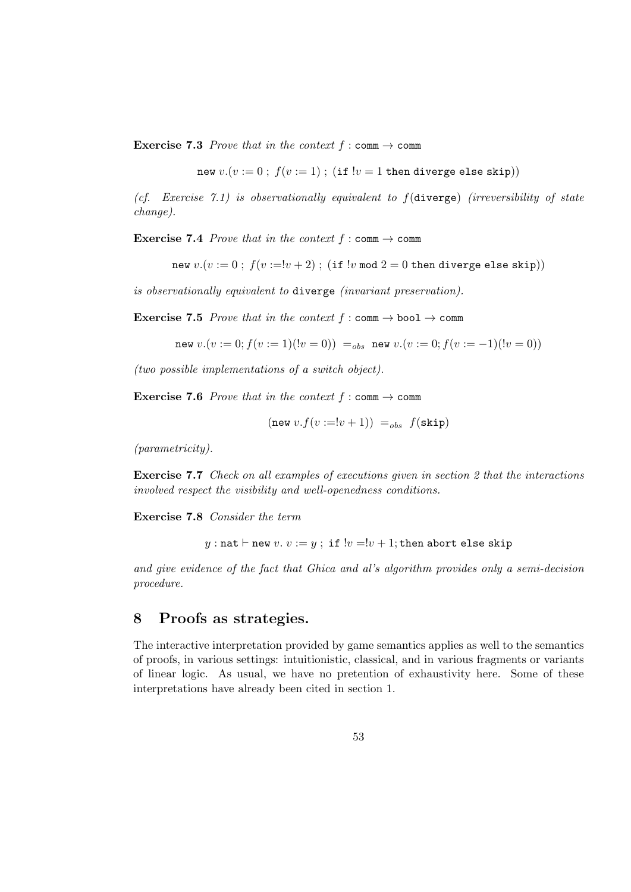**Exercise 7.3** Prove that in the context  $f : \text{comm} \to \text{comm}$ 

new  $v.(v := 0 : f(v := 1)$ ; (if  $!v = 1$  then diverge else skip))

(cf. Exercise 7.1) is observationally equivalent to  $f$ (diverge) (irreversibility of state change).

**Exercise 7.4** Prove that in the context  $f : \text{comm} \rightarrow \text{comm}$ 

new  $v.(v := 0 : f(v := !v + 2) : (if !v mod 2 = 0 then diverge else skip))$ 

is observationally equivalent to diverge (invariant preservation).

**Exercise 7.5** Prove that in the context  $f : \text{comm} \to \text{bool} \to \text{comm}$ 

new  $v.(v := 0; f(v := 1)(!v = 0)) =_{obs}$  new  $v.(v := 0; f(v := -1)(!v = 0))$ 

(two possible implementations of a switch object).

**Exercise 7.6** Prove that in the context  $f : \text{comm} \to \text{comm}$ 

$$
(\text{new } v.f(v := !v + 1)) =_{obs} f(\text{skip})
$$

(parametricity).

Exercise 7.7 Check on all examples of executions given in section 2 that the interactions involved respect the visibility and well-openedness conditions.

Exercise 7.8 Consider the term

y : nat  $\vdash$  new  $v. v := y$ ; if  $!v = !v + 1$ ; then abort else skip

and give evidence of the fact that Ghica and al's algorithm provides only a semi-decision procedure.

#### 8 Proofs as strategies.

The interactive interpretation provided by game semantics applies as well to the semantics of proofs, in various settings: intuitionistic, classical, and in various fragments or variants of linear logic. As usual, we have no pretention of exhaustivity here. Some of these interpretations have already been cited in section 1.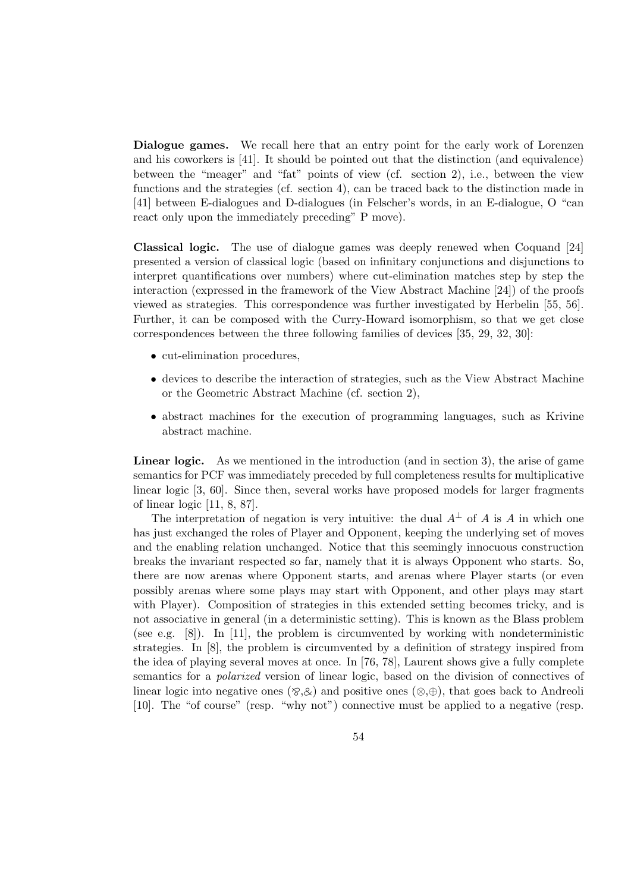Dialogue games. We recall here that an entry point for the early work of Lorenzen and his coworkers is [41]. It should be pointed out that the distinction (and equivalence) between the "meager" and "fat" points of view (cf. section 2), i.e., between the view functions and the strategies (cf. section 4), can be traced back to the distinction made in [41] between E-dialogues and D-dialogues (in Felscher's words, in an E-dialogue, O "can react only upon the immediately preceding" P move).

Classical logic. The use of dialogue games was deeply renewed when Coquand [24] presented a version of classical logic (based on infinitary conjunctions and disjunctions to interpret quantifications over numbers) where cut-elimination matches step by step the interaction (expressed in the framework of the View Abstract Machine [24]) of the proofs viewed as strategies. This correspondence was further investigated by Herbelin [55, 56]. Further, it can be composed with the Curry-Howard isomorphism, so that we get close correspondences between the three following families of devices [35, 29, 32, 30]:

- cut-elimination procedures,
- devices to describe the interaction of strategies, such as the View Abstract Machine or the Geometric Abstract Machine (cf. section 2),
- abstract machines for the execution of programming languages, such as Krivine abstract machine.

Linear logic. As we mentioned in the introduction (and in section 3), the arise of game semantics for PCF was immediately preceded by full completeness results for multiplicative linear logic [3, 60]. Since then, several works have proposed models for larger fragments of linear logic [11, 8, 87].

The interpretation of negation is very intuitive: the dual  $A^{\perp}$  of A is A in which one has just exchanged the roles of Player and Opponent, keeping the underlying set of moves and the enabling relation unchanged. Notice that this seemingly innocuous construction breaks the invariant respected so far, namely that it is always Opponent who starts. So, there are now arenas where Opponent starts, and arenas where Player starts (or even possibly arenas where some plays may start with Opponent, and other plays may start with Player). Composition of strategies in this extended setting becomes tricky, and is not associative in general (in a deterministic setting). This is known as the Blass problem (see e.g. [8]). In [11], the problem is circumvented by working with nondeterministic strategies. In [8], the problem is circumvented by a definition of strategy inspired from the idea of playing several moves at once. In [76, 78], Laurent shows give a fully complete semantics for a polarized version of linear logic, based on the division of connectives of linear logic into negative ones ( $\otimes$ , $\otimes$ ) and positive ones ( $\otimes$ , $\oplus$ ), that goes back to Andreoli [10]. The "of course" (resp. "why not") connective must be applied to a negative (resp.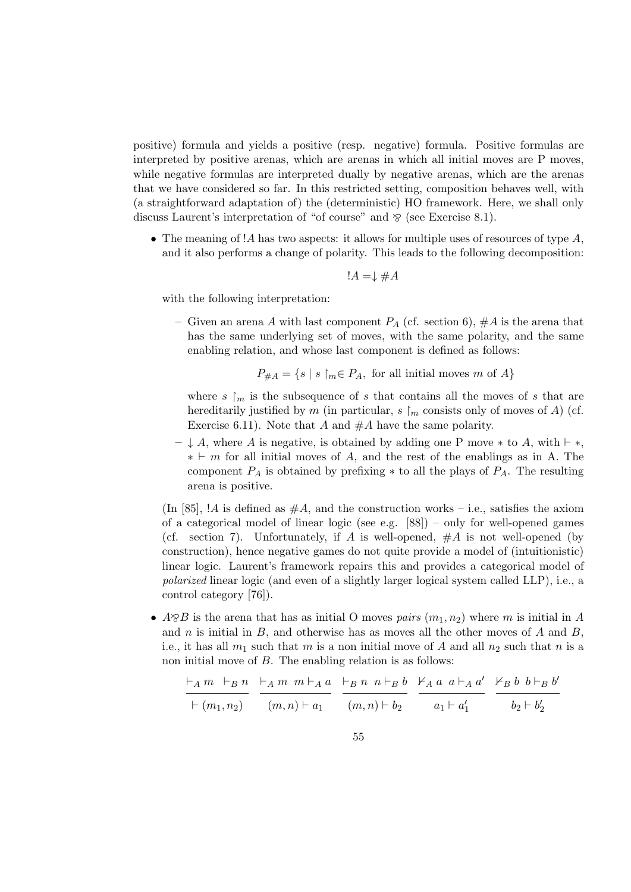positive) formula and yields a positive (resp. negative) formula. Positive formulas are interpreted by positive arenas, which are arenas in which all initial moves are P moves, while negative formulas are interpreted dually by negative arenas, which are the arenas that we have considered so far. In this restricted setting, composition behaves well, with (a straightforward adaptation of) the (deterministic) HO framework. Here, we shall only discuss Laurent's interpretation of "of course" and  $\delta$  (see Exercise 8.1).

• The meaning of !A has two aspects: it allows for multiple uses of resources of type  $A$ , and it also performs a change of polarity. This leads to the following decomposition:

$$
!A=\downarrow\#A
$$

with the following interpretation:

– Given an arena A with last component  $P_A$  (cf. section 6),  $\#A$  is the arena that has the same underlying set of moves, with the same polarity, and the same enabling relation, and whose last component is defined as follows:

$$
P_{\#A} = \{ s \mid s \restriction_m \in P_A, \text{ for all initial moves } m \text{ of } A \}
$$

where s  $\lfloor m \rfloor$  is the subsequence of s that contains all the moves of s that are hereditarily justified by m (in particular,  $s \upharpoonright_m$  consists only of moves of A) (cf. Exercise 6.11). Note that A and  $#A$  have the same polarity.

 $- \downarrow A$ , where A is negative, is obtained by adding one P move  $*$  to A, with  $\vdash$   $*$ ,  $* \vdash m$  for all initial moves of A, and the rest of the enablings as in A. The component  $P_A$  is obtained by prefixing  $*$  to all the plays of  $P_A$ . The resulting arena is positive.

(In [85], !A is defined as  $#A$ , and the construction works – i.e., satisfies the axiom of a categorical model of linear logic (see e.g.  $[88]$ ) – only for well-opened games (cf. section 7). Unfortunately, if A is well-opened,  $#A$  is not well-opened (by construction), hence negative games do not quite provide a model of (intuitionistic) linear logic. Laurent's framework repairs this and provides a categorical model of polarized linear logic (and even of a slightly larger logical system called LLP), i.e., a control category [76]).

•  $A \otimes B$  is the arena that has as initial O moves pairs  $(m_1, n_2)$  where m is initial in A and n is initial in  $B$ , and otherwise has as moves all the other moves of  $A$  and  $B$ , i.e., it has all  $m_1$  such that m is a non initial move of A and all  $n_2$  such that n is a non initial move of B. The enabling relation is as follows:

$$
\frac{\vdash_A m \vdash_B n}{\vdash (m_1, n_2)} \quad \frac{\vdash_A m \ m \vdash_A a}{(m, n) \vdash a_1} \quad \frac{\vdash_B n \ n \vdash_B b}{(m, n) \vdash b_2} \quad \frac{\nvdash_A a \ a \vdash_A a'}{a_1 \vdash a_1'} \quad \frac{\nvdash_B b \ b \vdash_B b'}{b_2 \vdash b_2'}
$$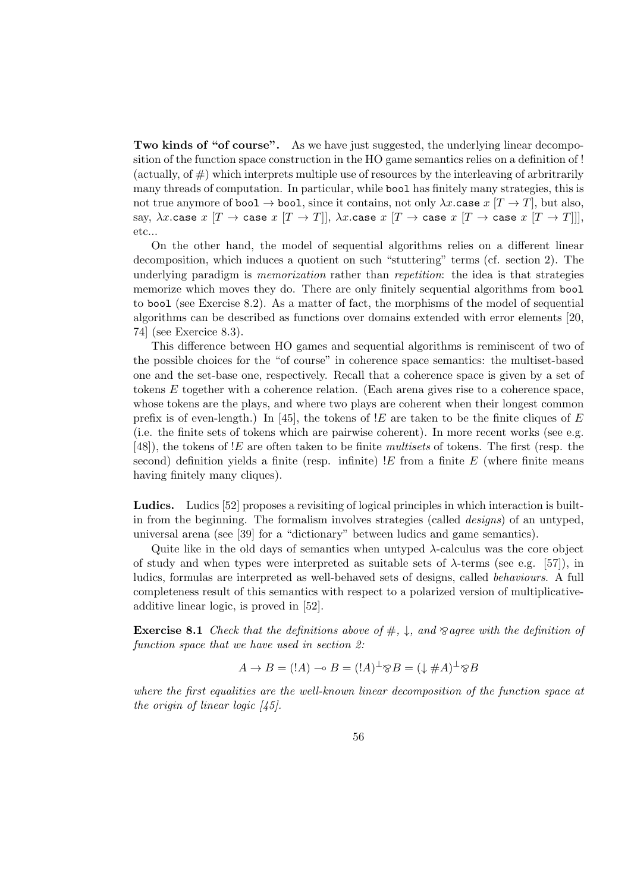Two kinds of "of course". As we have just suggested, the underlying linear decomposition of the function space construction in the HO game semantics relies on a definition of ! (actually, of  $#$ ) which interprets multiple use of resources by the interleaving of arbritrarily many threads of computation. In particular, while bool has finitely many strategies, this is not true anymore of bool  $\rightarrow$  bool, since it contains, not only  $\lambda x$  case  $x$   $[T \rightarrow T]$ , but also, say,  $\lambda x$ .case  $x[T \to \text{case } x[T \to T]]$ ,  $\lambda x$ .case  $x[T \to \text{case } x[T \to \text{case } x[T \to T]]$ , etc...

On the other hand, the model of sequential algorithms relies on a different linear decomposition, which induces a quotient on such "stuttering" terms (cf. section 2). The underlying paradigm is *memorization* rather than *repetition*: the idea is that strategies memorize which moves they do. There are only finitely sequential algorithms from bool to bool (see Exercise 8.2). As a matter of fact, the morphisms of the model of sequential algorithms can be described as functions over domains extended with error elements [20, 74] (see Exercice 8.3).

This difference between HO games and sequential algorithms is reminiscent of two of the possible choices for the "of course" in coherence space semantics: the multiset-based one and the set-base one, respectively. Recall that a coherence space is given by a set of tokens E together with a coherence relation. (Each arena gives rise to a coherence space, whose tokens are the plays, and where two plays are coherent when their longest common prefix is of even-length.) In [45], the tokens of  $E$  are taken to be the finite cliques of E (i.e. the finite sets of tokens which are pairwise coherent). In more recent works (see e.g. [48]), the tokens of !E are often taken to be finite multisets of tokens. The first (resp. the second) definition yields a finite (resp. infinite)  $E$  from a finite E (where finite means having finitely many cliques).

Ludics. Ludics [52] proposes a revisiting of logical principles in which interaction is builtin from the beginning. The formalism involves strategies (called *designs*) of an untyped, universal arena (see [39] for a "dictionary" between ludics and game semantics).

Quite like in the old days of semantics when untyped  $\lambda$ -calculus was the core object of study and when types were interpreted as suitable sets of  $\lambda$ -terms (see e.g. [57]), in ludics, formulas are interpreted as well-behaved sets of designs, called behaviours. A full completeness result of this semantics with respect to a polarized version of multiplicativeadditive linear logic, is proved in [52].

**Exercise 8.1** Check that the definitions above of  $\#$ ,  $\downarrow$ , and  $\otimes$  agree with the definition of function space that we have used in section 2:

$$
A \to B = (!A) \multimap B = (!A)^{\perp} \otimes B = (\downarrow \# A)^{\perp} \otimes B
$$

where the first equalities are the well-known linear decomposition of the function space at the origin of linear logic  $\langle 45 \rangle$ .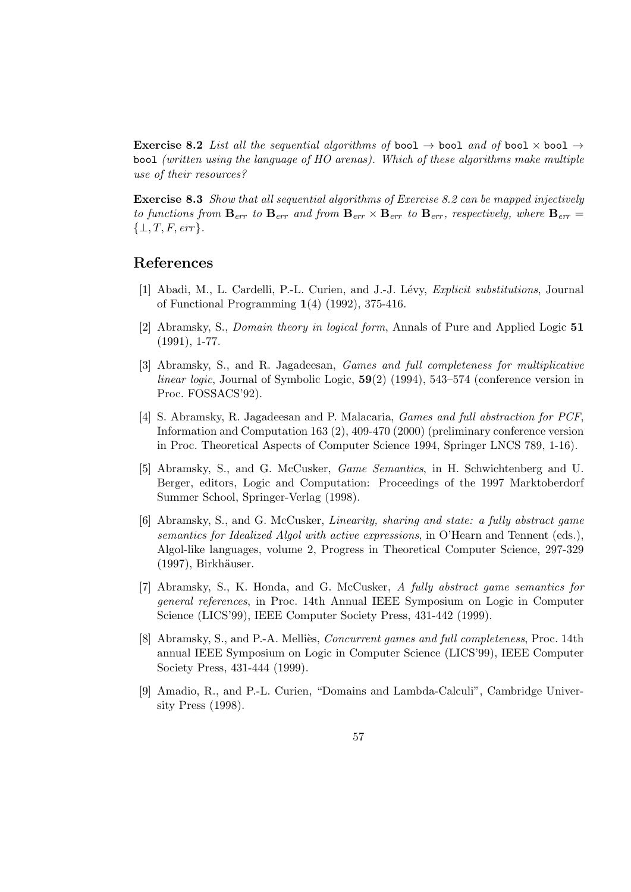**Exercise 8.2** List all the sequential algorithms of bool  $\rightarrow$  bool and of bool  $\times$  bool  $\rightarrow$ bool (written using the language of HO arenas). Which of these algorithms make multiple use of their resources?

Exercise 8.3 Show that all sequential algorithms of Exercise 8.2 can be mapped injectively to functions from  $\mathbf{B}_{err}$  to  $\mathbf{B}_{err}$  and from  $\mathbf{B}_{err} \times \mathbf{B}_{err}$  to  $\mathbf{B}_{err}$ , respectively, where  $\mathbf{B}_{err}$  $\{\perp, T, F, err\}.$ 

## References

- [1] Abadi, M., L. Cardelli, P.-L. Curien, and J.-J. Lévy, *Explicit substitutions*, Journal of Functional Programming 1(4) (1992), 375-416.
- [2] Abramsky, S., Domain theory in logical form, Annals of Pure and Applied Logic 51 (1991), 1-77.
- [3] Abramsky, S., and R. Jagadeesan, Games and full completeness for multiplicative *linear logic*, Journal of Symbolic Logic,  $59(2)$  (1994), 543–574 (conference version in Proc. FOSSACS'92).
- [4] S. Abramsky, R. Jagadeesan and P. Malacaria, Games and full abstraction for PCF, Information and Computation 163 (2), 409-470 (2000) (preliminary conference version in Proc. Theoretical Aspects of Computer Science 1994, Springer LNCS 789, 1-16).
- [5] Abramsky, S., and G. McCusker, Game Semantics, in H. Schwichtenberg and U. Berger, editors, Logic and Computation: Proceedings of the 1997 Marktoberdorf Summer School, Springer-Verlag (1998).
- [6] Abramsky, S., and G. McCusker, Linearity, sharing and state: a fully abstract game semantics for Idealized Algol with active expressions, in O'Hearn and Tennent (eds.), Algol-like languages, volume 2, Progress in Theoretical Computer Science, 297-329  $(1997)$ , Birkhäuser.
- [7] Abramsky, S., K. Honda, and G. McCusker, A fully abstract game semantics for general references, in Proc. 14th Annual IEEE Symposium on Logic in Computer Science (LICS'99), IEEE Computer Society Press, 431-442 (1999).
- [8] Abramsky, S., and P.-A. Melliès, *Concurrent games and full completeness*, Proc. 14th annual IEEE Symposium on Logic in Computer Science (LICS'99), IEEE Computer Society Press, 431-444 (1999).
- [9] Amadio, R., and P.-L. Curien, "Domains and Lambda-Calculi", Cambridge University Press (1998).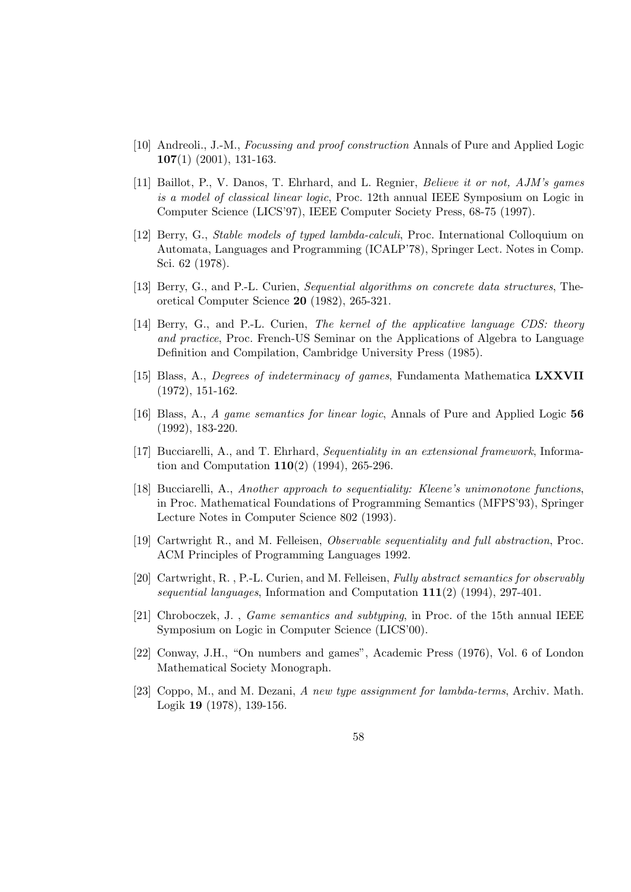- [10] Andreoli., J.-M., Focussing and proof construction Annals of Pure and Applied Logic  $107(1)$  (2001), 131-163.
- [11] Baillot, P., V. Danos, T. Ehrhard, and L. Regnier, *Believe it or not, AJM's games* is a model of classical linear logic, Proc. 12th annual IEEE Symposium on Logic in Computer Science (LICS'97), IEEE Computer Society Press, 68-75 (1997).
- [12] Berry, G., Stable models of typed lambda-calculi, Proc. International Colloquium on Automata, Languages and Programming (ICALP'78), Springer Lect. Notes in Comp. Sci. 62 (1978).
- [13] Berry, G., and P.-L. Curien, Sequential algorithms on concrete data structures, Theoretical Computer Science 20 (1982), 265-321.
- [14] Berry, G., and P.-L. Curien, The kernel of the applicative language CDS: theory and practice, Proc. French-US Seminar on the Applications of Algebra to Language Definition and Compilation, Cambridge University Press (1985).
- [15] Blass, A., *Degrees of indeterminacy of games*, Fundamenta Mathematica LXXVII (1972), 151-162.
- [16] Blass, A., A game semantics for linear logic, Annals of Pure and Applied Logic 56 (1992), 183-220.
- [17] Bucciarelli, A., and T. Ehrhard, Sequentiality in an extensional framework, Information and Computation  $110(2)$  (1994), 265-296.
- [18] Bucciarelli, A., Another approach to sequentiality: Kleene's unimonotone functions, in Proc. Mathematical Foundations of Programming Semantics (MFPS'93), Springer Lecture Notes in Computer Science 802 (1993).
- [19] Cartwright R., and M. Felleisen, Observable sequentiality and full abstraction, Proc. ACM Principles of Programming Languages 1992.
- [20] Cartwright, R. , P.-L. Curien, and M. Felleisen, Fully abstract semantics for observably sequential languages, Information and Computation  $111(2)$  (1994), 297-401.
- [21] Chroboczek, J. , Game semantics and subtyping, in Proc. of the 15th annual IEEE Symposium on Logic in Computer Science (LICS'00).
- [22] Conway, J.H., "On numbers and games", Academic Press (1976), Vol. 6 of London Mathematical Society Monograph.
- [23] Coppo, M., and M. Dezani, A new type assignment for lambda-terms, Archiv. Math. Logik 19 (1978), 139-156.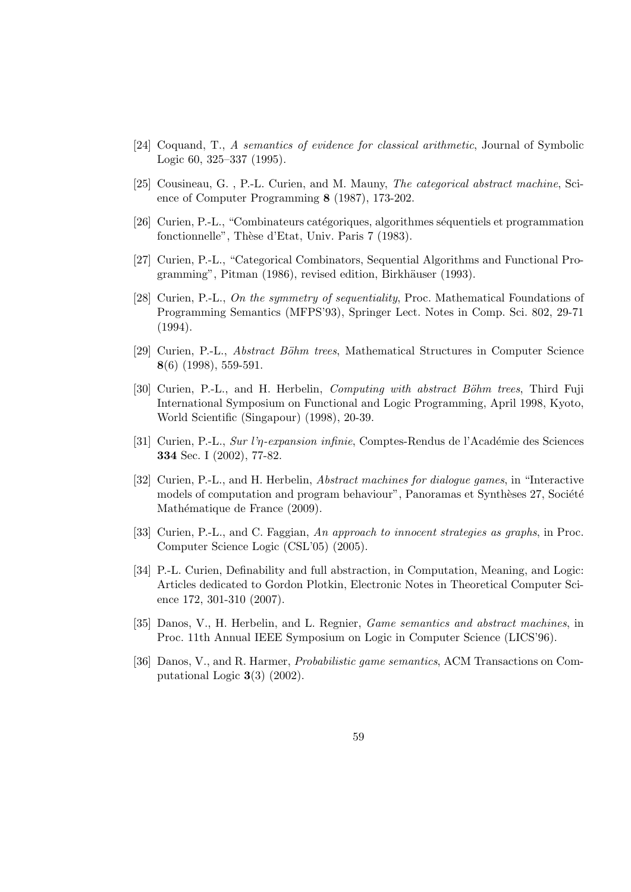- [24] Coquand, T., A semantics of evidence for classical arithmetic, Journal of Symbolic Logic 60, 325–337 (1995).
- [25] Cousineau, G. , P.-L. Curien, and M. Mauny, The categorical abstract machine, Science of Computer Programming 8 (1987), 173-202.
- [26] Curien, P.-L., "Combinateurs catégoriques, algorithmes séquentiels et programmation fonctionnelle", Thèse d'Etat, Univ. Paris 7 (1983).
- [27] Curien, P.-L., "Categorical Combinators, Sequential Algorithms and Functional Programming", Pitman (1986), revised edition, Birkhäuser (1993).
- [28] Curien, P.-L., On the symmetry of sequentiality, Proc. Mathematical Foundations of Programming Semantics (MFPS'93), Springer Lect. Notes in Comp. Sci. 802, 29-71 (1994).
- [29] Curien, P.-L., *Abstract Böhm trees*, Mathematical Structures in Computer Science 8(6) (1998), 559-591.
- [30] Curien, P.-L., and H. Herbelin, *Computing with abstract Böhm trees*, Third Fuji International Symposium on Functional and Logic Programming, April 1998, Kyoto, World Scientific (Singapour) (1998), 20-39.
- [31] Curien, P.-L., Sur l' $\eta$ -expansion infinie, Comptes-Rendus de l'Académie des Sciences 334 Sec. I (2002), 77-82.
- [32] Curien, P.-L., and H. Herbelin, Abstract machines for dialogue games, in "Interactive models of computation and program behaviour", Panoramas et Synthèses 27, Société Mathématique de France (2009).
- [33] Curien, P.-L., and C. Faggian, An approach to innocent strategies as graphs, in Proc. Computer Science Logic (CSL'05) (2005).
- [34] P.-L. Curien, Definability and full abstraction, in Computation, Meaning, and Logic: Articles dedicated to Gordon Plotkin, Electronic Notes in Theoretical Computer Science 172, 301-310 (2007).
- [35] Danos, V., H. Herbelin, and L. Regnier, Game semantics and abstract machines, in Proc. 11th Annual IEEE Symposium on Logic in Computer Science (LICS'96).
- [36] Danos, V., and R. Harmer, Probabilistic game semantics, ACM Transactions on Computational Logic 3(3) (2002).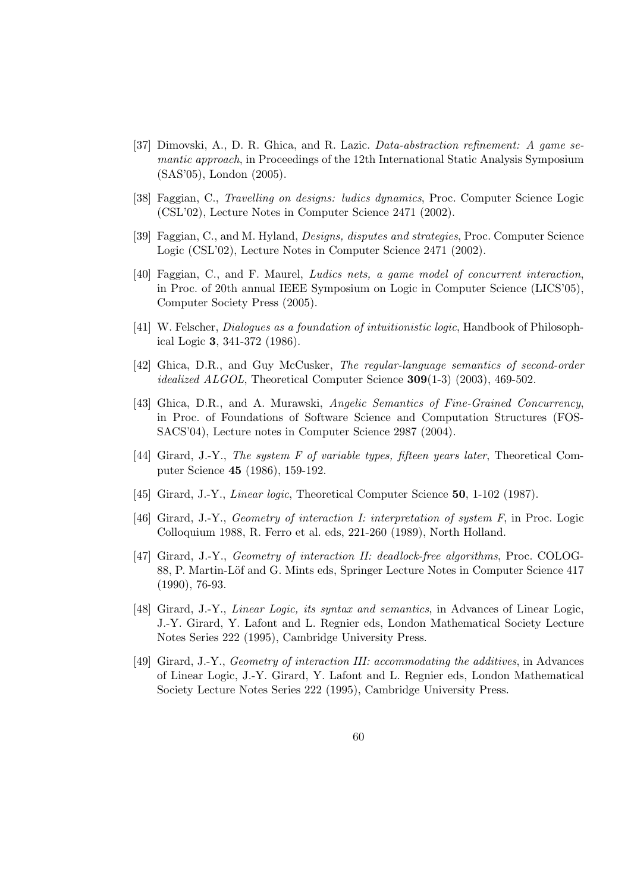- [37] Dimovski, A., D. R. Ghica, and R. Lazic. Data-abstraction refinement: A game semantic approach, in Proceedings of the 12th International Static Analysis Symposium (SAS'05), London (2005).
- [38] Faggian, C., Travelling on designs: ludics dynamics, Proc. Computer Science Logic (CSL'02), Lecture Notes in Computer Science 2471 (2002).
- [39] Faggian, C., and M. Hyland, Designs, disputes and strategies, Proc. Computer Science Logic (CSL'02), Lecture Notes in Computer Science 2471 (2002).
- [40] Faggian, C., and F. Maurel, Ludics nets, a game model of concurrent interaction, in Proc. of 20th annual IEEE Symposium on Logic in Computer Science (LICS'05), Computer Society Press (2005).
- [41] W. Felscher, Dialogues as a foundation of intuitionistic logic, Handbook of Philosophical Logic 3, 341-372 (1986).
- [42] Ghica, D.R., and Guy McCusker, The regular-language semantics of second-order idealized ALGOL, Theoretical Computer Science 309(1-3) (2003), 469-502.
- [43] Ghica, D.R., and A. Murawski, Angelic Semantics of Fine-Grained Concurrency, in Proc. of Foundations of Software Science and Computation Structures (FOS-SACS'04), Lecture notes in Computer Science 2987 (2004).
- [44] Girard, J.-Y., The system F of variable types, fifteen years later, Theoretical Computer Science 45 (1986), 159-192.
- [45] Girard, J.-Y., *Linear logic*, Theoretical Computer Science **50**, 1-102 (1987).
- [46] Girard, J.-Y., Geometry of interaction I: interpretation of system F, in Proc. Logic Colloquium 1988, R. Ferro et al. eds, 221-260 (1989), North Holland.
- [47] Girard, J.-Y., Geometry of interaction II: deadlock-free algorithms, Proc. COLOG-88, P. Martin-Löf and G. Mints eds, Springer Lecture Notes in Computer Science 417 (1990), 76-93.
- [48] Girard, J.-Y., Linear Logic, its syntax and semantics, in Advances of Linear Logic, J.-Y. Girard, Y. Lafont and L. Regnier eds, London Mathematical Society Lecture Notes Series 222 (1995), Cambridge University Press.
- [49] Girard, J.-Y., Geometry of interaction III: accommodating the additives, in Advances of Linear Logic, J.-Y. Girard, Y. Lafont and L. Regnier eds, London Mathematical Society Lecture Notes Series 222 (1995), Cambridge University Press.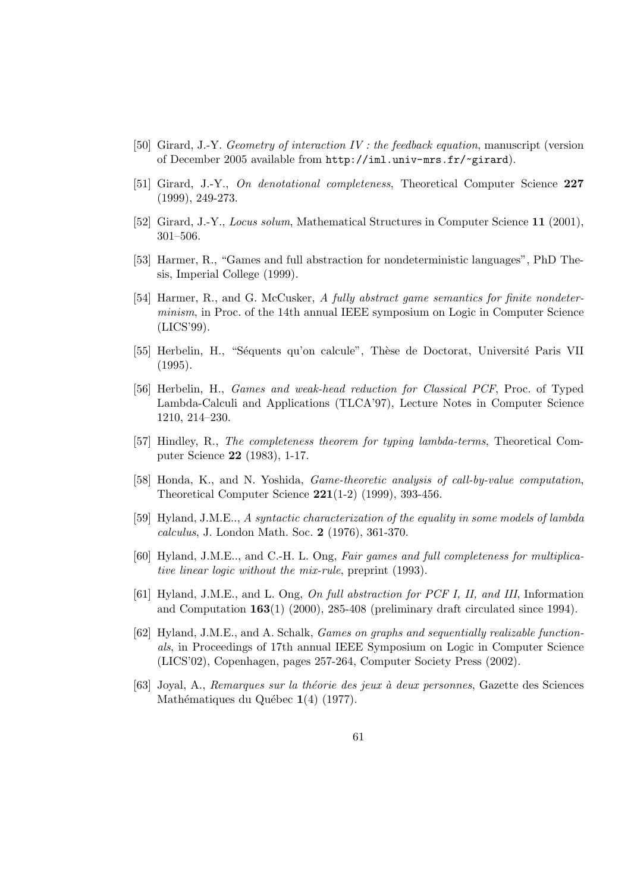- [50] Girard, J.-Y. Geometry of interaction IV : the feedback equation, manuscript (version of December 2005 available from http://iml.univ-mrs.fr/~girard).
- [51] Girard, J.-Y., On denotational completeness, Theoretical Computer Science 227 (1999), 249-273.
- [52] Girard, J.-Y., Locus solum, Mathematical Structures in Computer Science 11 (2001), 301–506.
- [53] Harmer, R., "Games and full abstraction for nondeterministic languages", PhD Thesis, Imperial College (1999).
- [54] Harmer, R., and G. McCusker, A fully abstract game semantics for finite nondeterminism, in Proc. of the 14th annual IEEE symposium on Logic in Computer Science (LICS'99).
- [55] Herbelin, H., "Séquents qu'on calcule", Thèse de Doctorat, Université Paris VII (1995).
- [56] Herbelin, H., Games and weak-head reduction for Classical PCF, Proc. of Typed Lambda-Calculi and Applications (TLCA'97), Lecture Notes in Computer Science 1210, 214–230.
- [57] Hindley, R., The completeness theorem for typing lambda-terms, Theoretical Computer Science 22 (1983), 1-17.
- [58] Honda, K., and N. Yoshida, Game-theoretic analysis of call-by-value computation, Theoretical Computer Science  $221(1-2)$  (1999), 393-456.
- [59] Hyland, J.M.E.., A syntactic characterization of the equality in some models of lambda calculus, J. London Math. Soc. 2 (1976), 361-370.
- [60] Hyland, J.M.E.., and C.-H. L. Ong, Fair games and full completeness for multiplicative linear logic without the mix-rule, preprint (1993).
- [61] Hyland, J.M.E., and L. Ong, On full abstraction for PCF I, II, and III, Information and Computation  $163(1)$  (2000), 285-408 (preliminary draft circulated since 1994).
- [62] Hyland, J.M.E., and A. Schalk, Games on graphs and sequentially realizable functionals, in Proceedings of 17th annual IEEE Symposium on Logic in Computer Science (LICS'02), Copenhagen, pages 257-264, Computer Society Press (2002).
- [63] Joyal, A., Remarques sur la théorie des jeux à deux personnes, Gazette des Sciences Mathématiques du Québec  $1(4)$  (1977).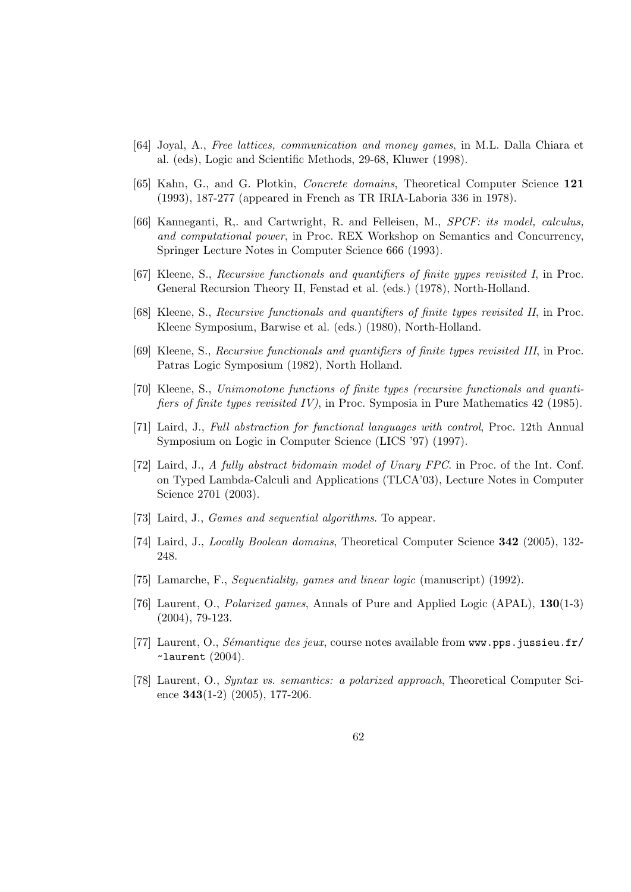- [64] Joyal, A., Free lattices, communication and money games, in M.L. Dalla Chiara et al. (eds), Logic and Scientific Methods, 29-68, Kluwer (1998).
- [65] Kahn, G., and G. Plotkin, Concrete domains, Theoretical Computer Science 121 (1993), 187-277 (appeared in French as TR IRIA-Laboria 336 in 1978).
- [66] Kanneganti, R,. and Cartwright, R. and Felleisen, M., SPCF: its model, calculus, and computational power, in Proc. REX Workshop on Semantics and Concurrency, Springer Lecture Notes in Computer Science 666 (1993).
- [67] Kleene, S., Recursive functionals and quantifiers of finite yypes revisited I, in Proc. General Recursion Theory II, Fenstad et al. (eds.) (1978), North-Holland.
- [68] Kleene, S., Recursive functionals and quantifiers of finite types revisited II, in Proc. Kleene Symposium, Barwise et al. (eds.) (1980), North-Holland.
- [69] Kleene, S., Recursive functionals and quantifiers of finite types revisited III, in Proc. Patras Logic Symposium (1982), North Holland.
- [70] Kleene, S., Unimonotone functions of finite types (recursive functionals and quantifiers of finite types revisited IV), in Proc. Symposia in Pure Mathematics 42 (1985).
- [71] Laird, J., Full abstraction for functional languages with control, Proc. 12th Annual Symposium on Logic in Computer Science (LICS '97) (1997).
- [72] Laird, J., A fully abstract bidomain model of Unary FPC. in Proc. of the Int. Conf. on Typed Lambda-Calculi and Applications (TLCA'03), Lecture Notes in Computer Science 2701 (2003).
- [73] Laird, J., Games and sequential algorithms. To appear.
- [74] Laird, J., *Locally Boolean domains*, Theoretical Computer Science 342 (2005), 132-248.
- [75] Lamarche, F., Sequentiality, games and linear logic (manuscript) (1992).
- [76] Laurent, O., Polarized games, Annals of Pure and Applied Logic (APAL), 130(1-3) (2004), 79-123.
- [77] Laurent, O., Sémantique des jeux, course notes available from www.pps.jussieu.fr/  $\sim$ laurent  $(2004)$ .
- [78] Laurent, O., Syntax vs. semantics: a polarized approach, Theoretical Computer Science  $343(1-2)$   $(2005)$ , 177-206.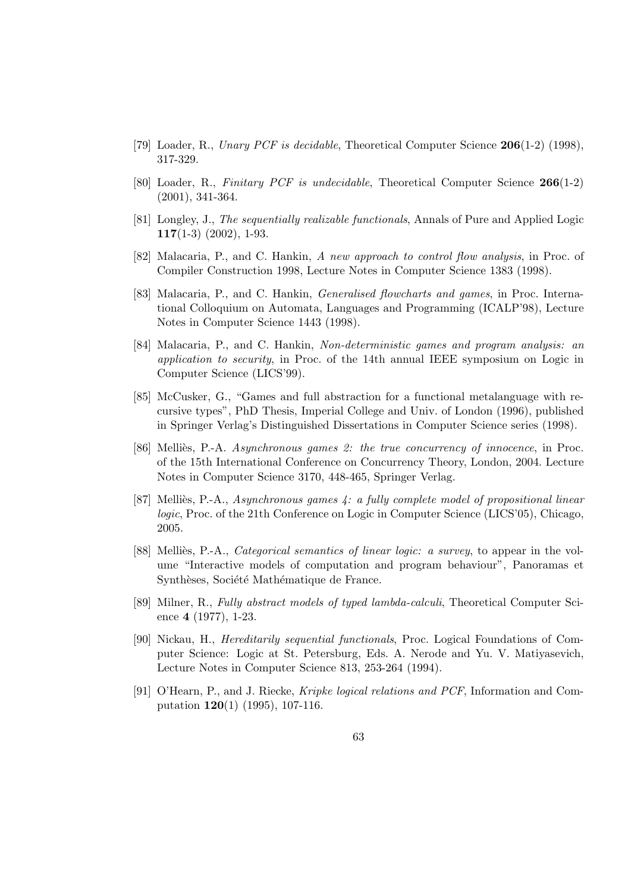- [79] Loader, R., Unary PCF is decidable, Theoretical Computer Science 206(1-2) (1998), 317-329.
- [80] Loader, R., Finitary PCF is undecidable, Theoretical Computer Science 266(1-2) (2001), 341-364.
- [81] Longley, J., The sequentially realizable functionals, Annals of Pure and Applied Logic  $117(1-3)$   $(2002)$ , 1-93.
- [82] Malacaria, P., and C. Hankin, A new approach to control flow analysis, in Proc. of Compiler Construction 1998, Lecture Notes in Computer Science 1383 (1998).
- [83] Malacaria, P., and C. Hankin, Generalised flowcharts and games, in Proc. International Colloquium on Automata, Languages and Programming (ICALP'98), Lecture Notes in Computer Science 1443 (1998).
- [84] Malacaria, P., and C. Hankin, Non-deterministic games and program analysis: an application to security, in Proc. of the 14th annual IEEE symposium on Logic in Computer Science (LICS'99).
- [85] McCusker, G., "Games and full abstraction for a functional metalanguage with recursive types", PhD Thesis, Imperial College and Univ. of London (1996), published in Springer Verlag's Distinguished Dissertations in Computer Science series (1998).
- [86] Melliès, P.-A. Asynchronous games 2: the true concurrency of innocence, in Proc. of the 15th International Conference on Concurrency Theory, London, 2004. Lecture Notes in Computer Science 3170, 448-465, Springer Verlag.
- [87] Melliès, P.-A., Asynchronous games  $\ddot{4}$ : a fully complete model of propositional linear logic, Proc. of the 21th Conference on Logic in Computer Science (LICS'05), Chicago, 2005.
- [88] Melliès, P.-A., *Categorical semantics of linear logic: a survey*, to appear in the volume "Interactive models of computation and program behaviour", Panoramas et Synthèses, Société Mathématique de France.
- [89] Milner, R., Fully abstract models of typed lambda-calculi, Theoretical Computer Science 4 (1977), 1-23.
- [90] Nickau, H., Hereditarily sequential functionals, Proc. Logical Foundations of Computer Science: Logic at St. Petersburg, Eds. A. Nerode and Yu. V. Matiyasevich, Lecture Notes in Computer Science 813, 253-264 (1994).
- [91] O'Hearn, P., and J. Riecke, Kripke logical relations and PCF, Information and Computation 120(1) (1995), 107-116.